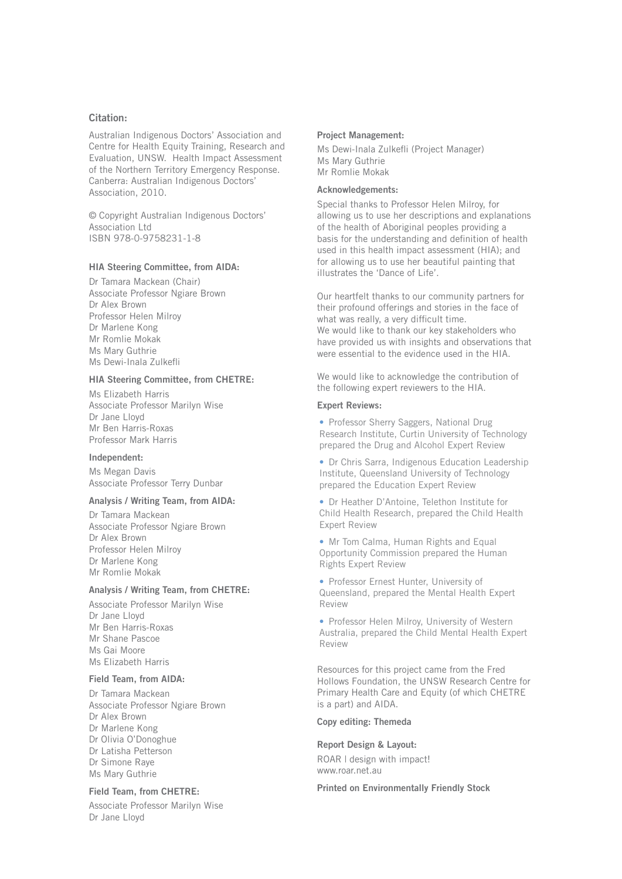#### Citation:

Australian Indigenous Doctors' Association and Centre for Health Equity Training, Research and Evaluation, UNSW. Health Impact Assessment of the Northern Territory Emergency Response. Canberra: Australian Indigenous Doctors' Association, 2010.

© Copyright Australian Indigenous Doctors' Association Ltd ISBN 978-0-9758231-1-8

#### **HIA Steering Committee, from AIDA:**

Dr Tamara Mackean (Chair) Associate Professor Ngiare Brown Dr Alex Brown Professor Helen Milroy Dr Marlene Kong Mr Romlie Mokak Ms Mary Guthrie Ms Dewi-Inala Zulkefli

#### **HIA Steering Committee, from CHETRE:**

Ms Elizabeth Harris Associate Professor Marilyn Wise Dr Jane Lloyd Mr Ben Harris-Roxas Professor Mark Harris

#### **Independent:**

Ms Megan Davis Associate Professor Terry Dunbar

#### **Analysis / Writing Team, from AIDA:**

Dr Tamara Mackean Associate Professor Ngiare Brown Dr Alex Brown Professor Helen Milroy Dr Marlene Kong Mr Romlie Mokak

#### **Analysis / Writing Team, from CHETRE:**

Associate Professor Marilyn Wise Dr Jane Lloyd Mr Ben Harris-Roxas Mr Shane Pascoe Ms Gai Moore Ms Elizabeth Harris

#### **Field Team, from AIDA:**

Dr Tamara Mackean Associate Professor Ngiare Brown Dr Alex Brown Dr Marlene Kong Dr Olivia O'Donoghue Dr Latisha Petterson Dr Simone Raye Ms Mary Guthrie

#### **Field Team, from CHETRE:**

Associate Professor Marilyn Wise Dr Jane Lloyd

#### **Project Management:**

Ms Dewi-Inala Zulkefli (Project Manager) Ms Mary Guthrie Mr Romlie Mokak

#### **Acknowledgements:**

Special thanks to Professor Helen Milroy, for allowing us to use her descriptions and explanations of the health of Aboriginal peoples providing a basis for the understanding and definition of health used in this health impact assessment (HIA); and for allowing us to use her beautiful painting that illustrates the 'Dance of Life'.

Our heartfelt thanks to our community partners for their profound offerings and stories in the face of what was really, a very difficult time. We would like to thank our key stakeholders who have provided us with insights and observations that were essential to the evidence used in the HIA.

We would like to acknowledge the contribution of the following expert reviewers to the HIA.

#### **Expert Reviews:**

• Professor Sherry Saggers, National Drug Research Institute, Curtin University of Technology prepared the Drug and Alcohol Expert Review

• Dr Chris Sarra, Indigenous Education Leadership Institute, Queensland University of Technology prepared the Education Expert Review

• Dr Heather D'Antoine, Telethon Institute for Child Health Research, prepared the Child Health Expert Review

• Mr Tom Calma, Human Rights and Equal Opportunity Commission prepared the Human Rights Expert Review

• Professor Ernest Hunter, University of Queensland, prepared the Mental Health Expert Review

• Professor Helen Milroy, University of Western Australia, prepared the Child Mental Health Expert Review

Resources for this project came from the Fred Hollows Foundation, the UNSW Research Centre for Primary Health Care and Equity (of which CHETRE is a part) and AIDA.

#### **Copy editing: Themeda**

#### **Report Design & Layout:**

ROAR | design with impact! www.roar.net.au

**Printed on Environmentally Friendly Stock**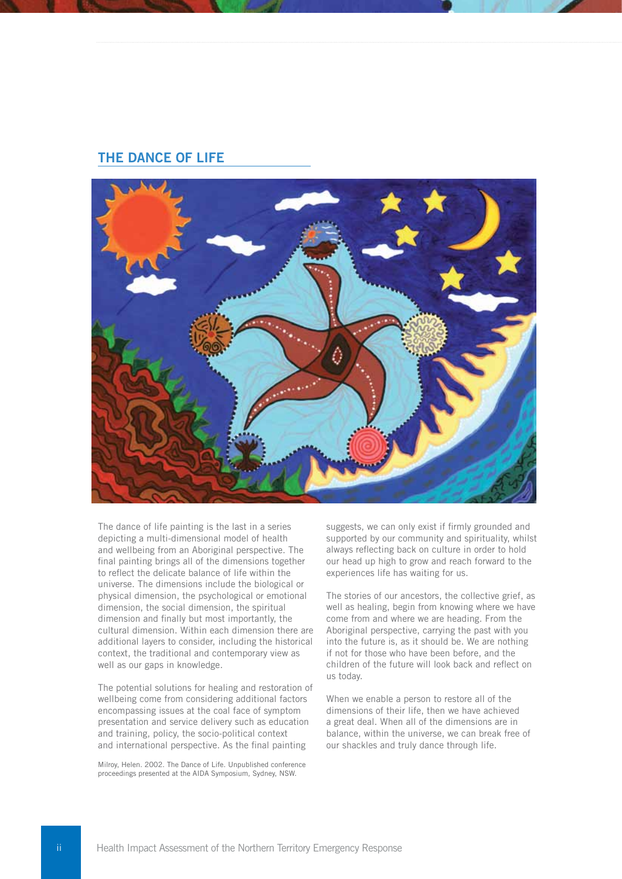## THE DANCE OF LIFE



The dance of life painting is the last in a series depicting a multi-dimensional model of health and wellbeing from an Aboriginal perspective. The final painting brings all of the dimensions together to reflect the delicate balance of life within the universe. The dimensions include the biological or physical dimension, the psychological or emotional dimension, the social dimension, the spiritual dimension and finally but most importantly, the cultural dimension. Within each dimension there are additional layers to consider, including the historical context, the traditional and contemporary view as well as our gaps in knowledge.

The potential solutions for healing and restoration of wellbeing come from considering additional factors encompassing issues at the coal face of symptom presentation and service delivery such as education and training, policy, the socio-political context and international perspective. As the final painting

Milroy, Helen. 2002. The Dance of Life. Unpublished conference proceedings presented at the AIDA Symposium, Sydney, NSW.

suggests, we can only exist if firmly grounded and supported by our community and spirituality, whilst always reflecting back on culture in order to hold our head up high to grow and reach forward to the experiences life has waiting for us.

The stories of our ancestors, the collective grief, as well as healing, begin from knowing where we have come from and where we are heading. From the Aboriginal perspective, carrying the past with you into the future is, as it should be. We are nothing if not for those who have been before, and the children of the future will look back and reflect on us today.

When we enable a person to restore all of the dimensions of their life, then we have achieved a great deal. When all of the dimensions are in balance, within the universe, we can break free of our shackles and truly dance through life.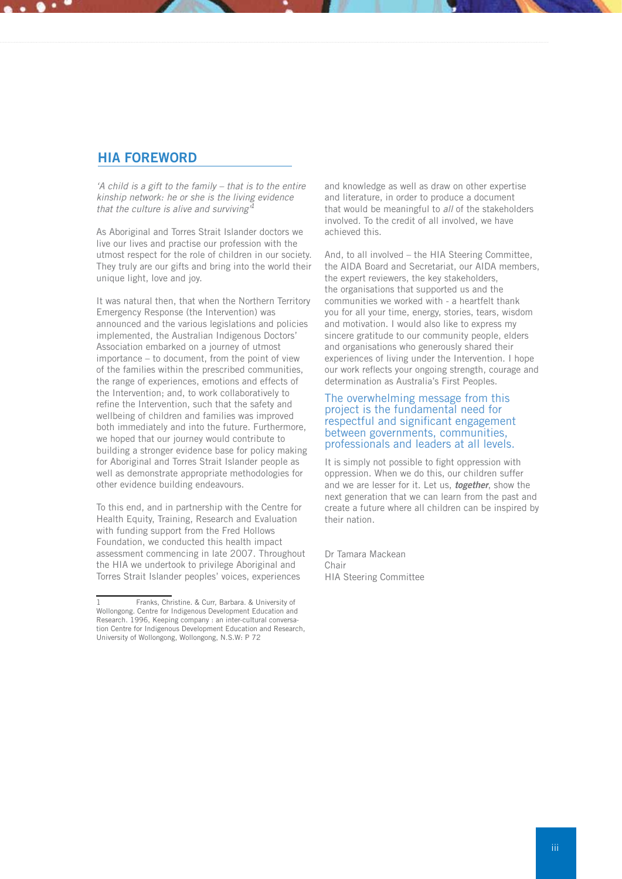## HIA Foreword

*'A child is a gift to the family – that is to the entire kinship network: he or she is the living evidence that the culture is alive and surviving'<sup>1</sup>*

As Aboriginal and Torres Strait Islander doctors we live our lives and practise our profession with the utmost respect for the role of children in our society. They truly are our gifts and bring into the world their unique light, love and joy.

It was natural then, that when the Northern Territory Emergency Response (the Intervention) was announced and the various legislations and policies implemented, the Australian Indigenous Doctors' Association embarked on a journey of utmost importance – to document, from the point of view of the families within the prescribed communities, the range of experiences, emotions and effects of the Intervention; and, to work collaboratively to refine the Intervention, such that the safety and wellbeing of children and families was improved both immediately and into the future. Furthermore, we hoped that our journey would contribute to building a stronger evidence base for policy making for Aboriginal and Torres Strait Islander people as well as demonstrate appropriate methodologies for other evidence building endeavours.

To this end, and in partnership with the Centre for Health Equity, Training, Research and Evaluation with funding support from the Fred Hollows Foundation, we conducted this health impact assessment commencing in late 2007. Throughout the HIA we undertook to privilege Aboriginal and Torres Strait Islander peoples' voices, experiences

and knowledge as well as draw on other expertise and literature, in order to produce a document that would be meaningful to *all* of the stakeholders involved. To the credit of all involved, we have achieved this.

And, to all involved – the HIA Steering Committee, the AIDA Board and Secretariat, our AIDA members, the expert reviewers, the key stakeholders, the organisations that supported us and the communities we worked with - a heartfelt thank you for all your time, energy, stories, tears, wisdom and motivation. I would also like to express my sincere gratitude to our community people, elders and organisations who generously shared their experiences of living under the Intervention. I hope our work reflects your ongoing strength, courage and determination as Australia's First Peoples.

#### The overwhelming message from this project is the fundamental need for respectful and significant engagement between governments, communities, professionals and leaders at all levels.

It is simply not possible to fight oppression with oppression. When we do this, our children suffer and we are lesser for it. Let us, *together*, show the next generation that we can learn from the past and create a future where all children can be inspired by their nation.

Dr Tamara Mackean Chair HIA Steering Committee

<sup>1</sup> Franks, Christine. & Curr, Barbara. & University of Wollongong. Centre for Indigenous Development Education and Research. 1996, Keeping company : an inter-cultural conversation Centre for Indigenous Development Education and Research, University of Wollongong, Wollongong, N.S.W: P 72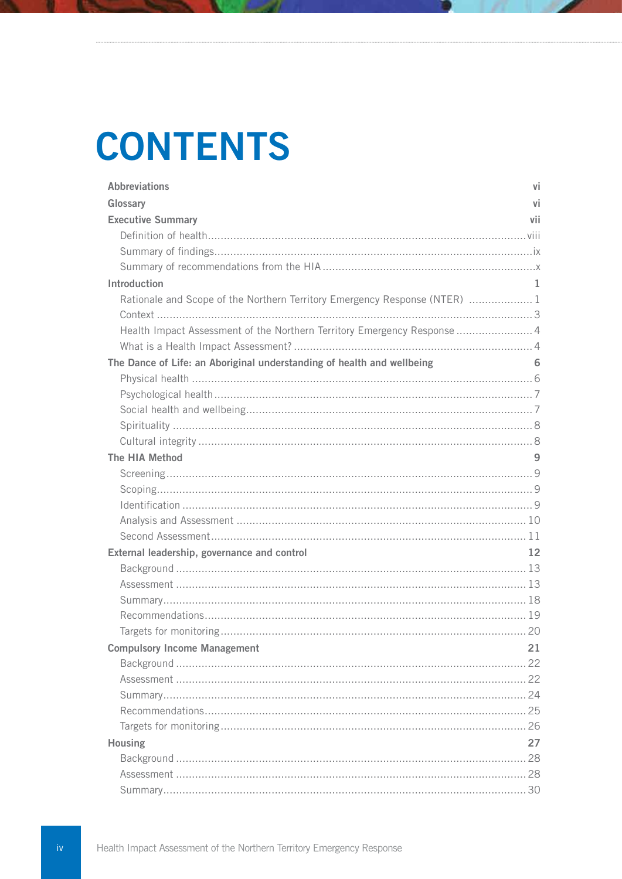## **CONTENTS**

| <b>Abbreviations</b>                                                       | vi  |
|----------------------------------------------------------------------------|-----|
| Glossary                                                                   | vi  |
| <b>Executive Summary</b>                                                   | vii |
|                                                                            |     |
|                                                                            |     |
|                                                                            |     |
| Introduction                                                               | 1.  |
| Rationale and Scope of the Northern Territory Emergency Response (NTER)  1 |     |
|                                                                            |     |
| Health Impact Assessment of the Northern Territory Emergency Response  4   |     |
|                                                                            |     |
| The Dance of Life: an Aboriginal understanding of health and wellbeing     | 6   |
|                                                                            |     |
|                                                                            |     |
|                                                                            |     |
|                                                                            |     |
|                                                                            |     |
| The HIA Method                                                             | 9   |
|                                                                            |     |
|                                                                            |     |
|                                                                            |     |
|                                                                            |     |
|                                                                            |     |
| External leadership, governance and control                                | 12  |
|                                                                            |     |
|                                                                            |     |
|                                                                            |     |
|                                                                            |     |
|                                                                            |     |
| <b>Compulsory Income Management</b><br>$\sim$ 21                           |     |
|                                                                            |     |
|                                                                            |     |
|                                                                            |     |
|                                                                            |     |
|                                                                            |     |
| <b>Housing</b>                                                             | 27  |
|                                                                            |     |
|                                                                            |     |
|                                                                            |     |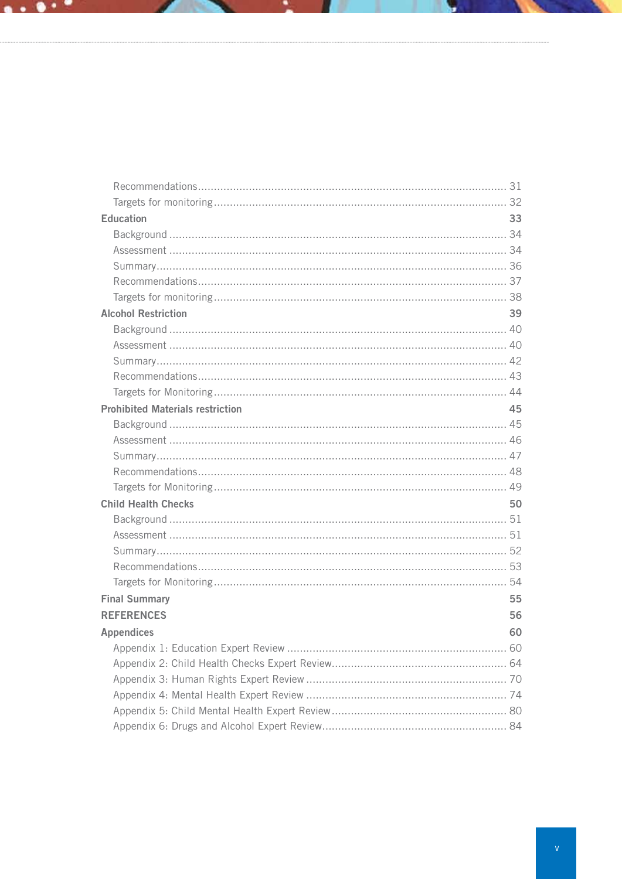## $\bullet$  .  $\bullet$  . The set of  $\bullet$

| <b>Education</b>                        | 33 |
|-----------------------------------------|----|
|                                         |    |
|                                         |    |
|                                         |    |
|                                         |    |
|                                         |    |
| <b>Alcohol Restriction</b>              | 39 |
|                                         |    |
|                                         |    |
|                                         |    |
|                                         |    |
|                                         |    |
| <b>Prohibited Materials restriction</b> | 45 |
|                                         |    |
|                                         |    |
|                                         |    |
|                                         |    |
|                                         |    |
| <b>Child Health Checks</b>              | 50 |
|                                         |    |
|                                         |    |
|                                         |    |
|                                         |    |
|                                         |    |
| <b>Final Summary</b>                    | 55 |
| <b>REFERENCES</b>                       | 56 |
| <b>Appendices</b>                       | 60 |
|                                         | 60 |
|                                         |    |
|                                         |    |
|                                         |    |
|                                         |    |
|                                         |    |

**Contract Contract Contract Contract** 

ь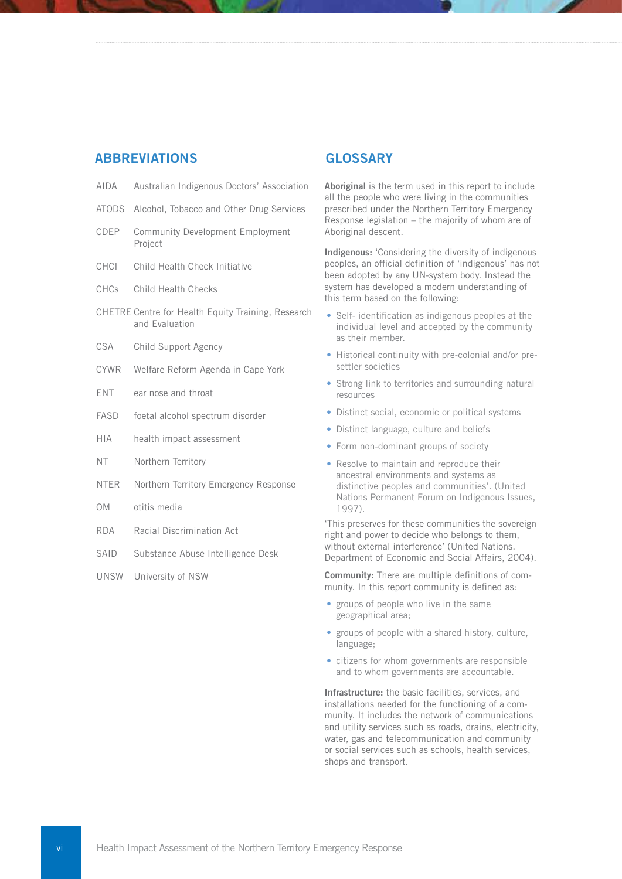## ABBREVIATIONS GI OSSARY

- AIDA Australian Indigenous Doctors' Association
- ATODS Alcohol, Tobacco and Other Drug Services
- CDEP Community Development Employment Project
- CHCI Child Health Check Initiative
- CHCs Child Health Checks
- CHETRE Centre for Health Equity Training, Research and Evaluation
- CSA Child Support Agency
- CYWR Welfare Reform Agenda in Cape York
- ENT ear nose and throat
- FASD foetal alcohol spectrum disorder
- HIA health impact assessment
- NT Northern Territory
- NTER Northern Territory Emergency Response
- OM otitis media
- RDA Racial Discrimination Act
- SAID Substance Abuse Intelligence Desk
- UNSW University of NSW

**Aboriginal** is the term used in this report to include all the people who were living in the communities prescribed under the Northern Territory Emergency Response legislation – the majority of whom are of Aboriginal descent.

**Indigenous:** 'Considering the diversity of indigenous peoples, an official definition of 'indigenous' has not been adopted by any UN-system body. Instead the system has developed a modern understanding of this term based on the following:

- Self- identification as indigenous peoples at the individual level and accepted by the community as their member.
- Historical continuity with pre-colonial and/or presettler societies
- Strong link to territories and surrounding natural resources
- Distinct social, economic or political systems
- Distinct language, culture and beliefs
- Form non-dominant groups of society
- Resolve to maintain and reproduce their ancestral environments and systems as distinctive peoples and communities'. (United Nations Permanent Forum on Indigenous Issues, 1997).

'This preserves for these communities the sovereign right and power to decide who belongs to them, without external interference' (United Nations. Department of Economic and Social Affairs, 2004).

**Community:** There are multiple definitions of community. In this report community is defined as:

- groups of people who live in the same geographical area;
- groups of people with a shared history, culture, language;
- citizens for whom governments are responsible and to whom governments are accountable.

**Infrastructure:** the basic facilities, services, and installations needed for the functioning of a community. It includes the network of communications and utility services such as roads, drains, electricity, water, gas and telecommunication and community or social services such as schools, health services, shops and transport.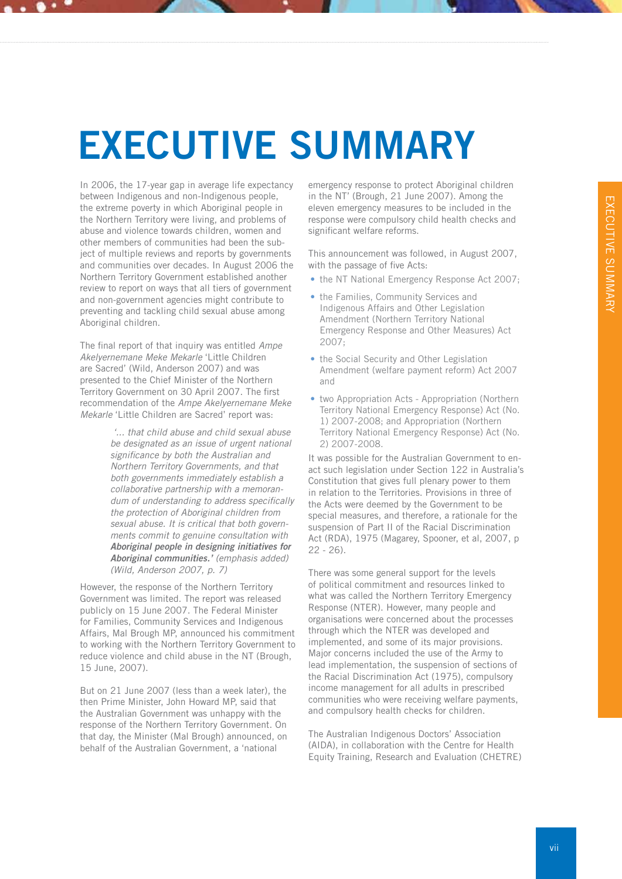# **EXECUTIVE SUMMARY**

In 2006, the 17-year gap in average life expectancy between Indigenous and non-Indigenous people, the extreme poverty in which Aboriginal people in the Northern Territory were living, and problems of abuse and violence towards children, women and other members of communities had been the subject of multiple reviews and reports by governments and communities over decades. In August 2006 the Northern Territory Government established another review to report on ways that all tiers of government and non-government agencies might contribute to preventing and tackling child sexual abuse among Aboriginal children.

The final report of that inquiry was entitled *Ampe Akelyernemane Meke Mekarle* 'Little Children are Sacred' (Wild, Anderson 2007) and was presented to the Chief Minister of the Northern Territory Government on 30 April 2007. The first recommendation of the *Ampe Akelyernemane Meke Mekarle* 'Little Children are Sacred' report was:

> *'... that child abuse and child sexual abuse be designated as an issue of urgent national*  significance by both the Australian and *Northern Territory Governments, and that both governments immediately establish a collaborative partnership with a memoran*dum of understanding to address specifically *the protection of Aboriginal children from sexual abuse. It is critical that both governments commit to genuine consultation with Aboriginal people in designing initiatives for Aboriginal communities.' (emphasis added) (Wild, Anderson 2007, p. 7)*

However, the response of the Northern Territory Government was limited. The report was released publicly on 15 June 2007. The Federal Minister for Families, Community Services and Indigenous Affairs, Mal Brough MP, announced his commitment to working with the Northern Territory Government to reduce violence and child abuse in the NT (Brough, 15 June, 2007).

But on 21 June 2007 (less than a week later), the then Prime Minister, John Howard MP, said that the Australian Government was unhappy with the response of the Northern Territory Government. On that day, the Minister (Mal Brough) announced, on behalf of the Australian Government, a 'national

emergency response to protect Aboriginal children in the NT' (Brough, 21 June 2007). Among the eleven emergency measures to be included in the response were compulsory child health checks and significant welfare reforms.

This announcement was followed, in August 2007, with the passage of five Acts:

- the NT National Emergency Response Act 2007:
- the Families, Community Services and Indigenous Affairs and Other Legislation Amendment (Northern Territory National Emergency Response and Other Measures) Act 2007;
- the Social Security and Other Legislation Amendment (welfare payment reform) Act 2007 and
- two Appropriation Acts Appropriation (Northern Territory National Emergency Response) Act (No. 1) 2007-2008; and Appropriation (Northern Territory National Emergency Response) Act (No. 2) 2007-2008.

It was possible for the Australian Government to enact such legislation under Section 122 in Australia's Constitution that gives full plenary power to them in relation to the Territories. Provisions in three of the Acts were deemed by the Government to be special measures, and therefore, a rationale for the suspension of Part II of the Racial Discrimination Act (RDA), 1975 (Magarey, Spooner, et al, 2007, p 22 - 26).

There was some general support for the levels of political commitment and resources linked to what was called the Northern Territory Emergency Response (NTER). However, many people and organisations were concerned about the processes through which the NTER was developed and implemented, and some of its major provisions. Major concerns included the use of the Army to lead implementation, the suspension of sections of the Racial Discrimination Act (1975), compulsory income management for all adults in prescribed communities who were receiving welfare payments, and compulsory health checks for children.

The Australian Indigenous Doctors' Association (AIDA), in collaboration with the Centre for Health Equity Training, Research and Evaluation (CHETRE)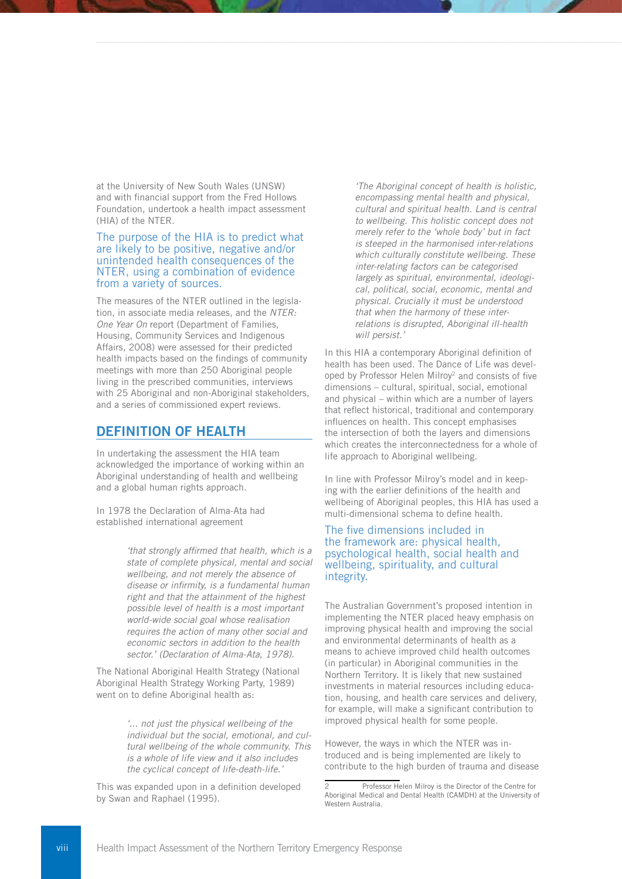at the University of New South Wales (UNSW) and with financial support from the Fred Hollows Foundation, undertook a health impact assessment (HIA) of the NTER.

The purpose of the HIA is to predict what are likely to be positive, negative and/or unintended health consequences of the NTER, using a combination of evidence from a variety of sources.

The measures of the NTER outlined in the legislation, in associate media releases, and the *NTER: One Year On* report (Department of Families, Housing, Community Services and Indigenous Affairs, 2008) were assessed for their predicted health impacts based on the findings of community meetings with more than 250 Aboriginal people living in the prescribed communities, interviews with 25 Aboriginal and non-Aboriginal stakeholders, and a series of commissioned expert reviews.

## Definition of health

In undertaking the assessment the HIA team acknowledged the importance of working within an Aboriginal understanding of health and wellbeing and a global human rights approach.

In 1978 the Declaration of Alma-Ata had established international agreement

> 'that strongly affirmed that health, which is a *state of complete physical, mental and social wellbeing, and not merely the absence of*  disease or infirmity, is a fundamental human *right and that the attainment of the highest possible level of health is a most important world-wide social goal whose realisation requires the action of many other social and economic sectors in addition to the health sector.' (Declaration of Alma-Ata, 1978).*

The National Aboriginal Health Strategy (National Aboriginal Health Strategy Working Party, 1989) went on to define Aboriginal health as:

> *'... not just the physical wellbeing of the individual but the social, emotional, and cultural wellbeing of the whole community. This is a whole of life view and it also includes the cyclical concept of life-death-life.'*

This was expanded upon in a definition developed by Swan and Raphael (1995).

*'The Aboriginal concept of health is holistic, encompassing mental health and physical, cultural and spiritual health. Land is central to wellbeing. This holistic concept does not merely refer to the 'whole body' but in fact is steeped in the harmonised inter-relations which culturally constitute wellbeing. These inter-relating factors can be categorised largely as spiritual, environmental, ideological, political, social, economic, mental and physical. Crucially it must be understood that when the harmony of these interrelations is disrupted, Aboriginal ill-health will persist.'*

In this HIA a contemporary Aboriginal definition of health has been used. The Dance of Life was developed by Professor Helen Milroy<sup>2</sup> and consists of five dimensions – cultural, spiritual, social, emotional and physical – within which are a number of layers that reflect historical, traditional and contemporary influences on health. This concept emphasises the intersection of both the layers and dimensions which creates the interconnectedness for a whole of life approach to Aboriginal wellbeing.

In line with Professor Milroy's model and in keeping with the earlier definitions of the health and wellbeing of Aboriginal peoples, this HIA has used a multi-dimensional schema to define health.

#### The five dimensions included in the framework are: physical health, psychological health, social health and wellbeing, spirituality, and cultural integrity.

The Australian Government's proposed intention in implementing the NTER placed heavy emphasis on improving physical health and improving the social and environmental determinants of health as a means to achieve improved child health outcomes (in particular) in Aboriginal communities in the Northern Territory. It is likely that new sustained investments in material resources including education, housing, and health care services and delivery, for example, will make a significant contribution to improved physical health for some people.

However, the ways in which the NTER was introduced and is being implemented are likely to contribute to the high burden of trauma and disease

Professor Helen Milroy is the Director of the Centre for Aboriginal Medical and Dental Health (CAMDH) at the University of Western Australia.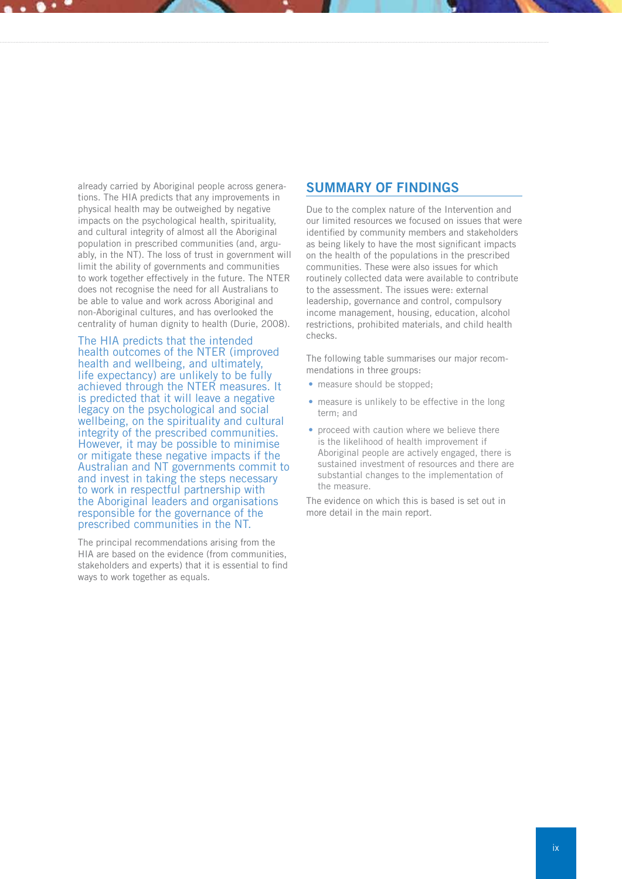already carried by Aboriginal people across generations. The HIA predicts that any improvements in physical health may be outweighed by negative impacts on the psychological health, spirituality, and cultural integrity of almost all the Aboriginal population in prescribed communities (and, arguably, in the NT). The loss of trust in government will limit the ability of governments and communities to work together effectively in the future. The NTER does not recognise the need for all Australians to be able to value and work across Aboriginal and non-Aboriginal cultures, and has overlooked the centrality of human dignity to health (Durie, 2008).

The HIA predicts that the intended health outcomes of the NTER (improved health and wellbeing, and ultimately, life expectancy) are unlikely to be fully achieved through the NTER measures. It is predicted that it will leave a negative legacy on the psychological and social wellbeing, on the spirituality and cultural integrity of the prescribed communities. However, it may be possible to minimise or mitigate these negative impacts if the Australian and NT governments commit to and invest in taking the steps necessary to work in respectful partnership with the Aboriginal leaders and organisations responsible for the governance of the prescribed communities in the NT.

The principal recommendations arising from the HIA are based on the evidence (from communities, stakeholders and experts) that it is essential to find ways to work together as equals.

## Summary of findings

Due to the complex nature of the Intervention and our limited resources we focused on issues that were identified by community members and stakeholders as being likely to have the most significant impacts on the health of the populations in the prescribed communities. These were also issues for which routinely collected data were available to contribute to the assessment. The issues were: external leadership, governance and control, compulsory income management, housing, education, alcohol restrictions, prohibited materials, and child health checks.

The following table summarises our major recommendations in three groups:

- measure should be stopped:
- measure is unlikely to be effective in the long term; and
- proceed with caution where we believe there is the likelihood of health improvement if Aboriginal people are actively engaged, there is sustained investment of resources and there are substantial changes to the implementation of the measure.

The evidence on which this is based is set out in more detail in the main report.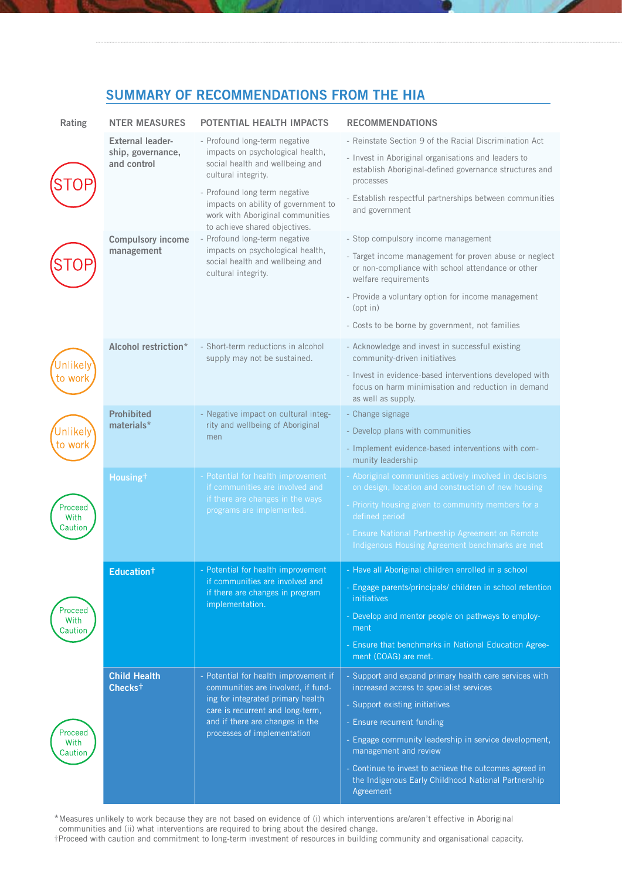## Summary of recommendations from the HIA

| Rating                     | <b>NTER MEASURES</b>                                        | POTENTIAL HEALTH IMPACTS                                                                                                                                                                                                                                                 | <b>RECOMMENDATIONS</b>                                                                                                                                                                                                                                                                                                                                                          |
|----------------------------|-------------------------------------------------------------|--------------------------------------------------------------------------------------------------------------------------------------------------------------------------------------------------------------------------------------------------------------------------|---------------------------------------------------------------------------------------------------------------------------------------------------------------------------------------------------------------------------------------------------------------------------------------------------------------------------------------------------------------------------------|
|                            | <b>External leader-</b><br>ship, governance,<br>and control | - Profound long-term negative<br>impacts on psychological health,<br>social health and wellbeing and<br>cultural integrity.<br>- Profound long term negative<br>impacts on ability of government to<br>work with Aboriginal communities<br>to achieve shared objectives. | - Reinstate Section 9 of the Racial Discrimination Act<br>- Invest in Aboriginal organisations and leaders to<br>establish Aboriginal-defined governance structures and<br>processes<br>- Establish respectful partnerships between communities<br>and government                                                                                                               |
|                            | Compulsory income<br>management                             | - Profound long-term negative<br>impacts on psychological health,<br>social health and wellbeing and<br>cultural integrity.                                                                                                                                              | - Stop compulsory income management<br>- Target income management for proven abuse or neglect<br>or non-compliance with school attendance or other<br>welfare requirements<br>- Provide a voluntary option for income management<br>(opt in)<br>- Costs to be borne by government, not families                                                                                 |
| likely<br>wor              | Alcohol restriction*                                        | - Short-term reductions in alcohol<br>supply may not be sustained.                                                                                                                                                                                                       | - Acknowledge and invest in successful existing<br>community-driven initiatives<br>- Invest in evidence-based interventions developed with<br>focus on harm minimisation and reduction in demand<br>as well as supply.                                                                                                                                                          |
| likel<br>wor               | <b>Prohibited</b><br>materials*                             | - Negative impact on cultural integ-<br>rity and wellbeing of Aboriginal<br>men                                                                                                                                                                                          | - Change signage<br>- Develop plans with communities<br>- Implement evidence-based interventions with com-<br>munity leadership                                                                                                                                                                                                                                                 |
| Proceed<br>With<br>Caution | Housing <sup>+</sup>                                        | Potential for health improvement<br>if communities are involved and<br>if there are changes in the ways<br>programs are implemented.                                                                                                                                     | Aboriginal communities actively involved in decisions<br>on design, location and construction of new housing<br>Priority housing given to community members for a<br>defined period<br>Ensure National Partnership Agreement on Remote<br>Indigenous Housing Agreement benchmarks are met                                                                                       |
| Proceed<br>With<br>Caution | Education <sup>+</sup>                                      | - Potential for health improvement<br>if communities are involved and<br>if there are changes in program<br>implementation.                                                                                                                                              | - Have all Aboriginal children enrolled in a school<br>- Engage parents/principals/ children in school retention<br><i>initiatives</i><br>- Develop and mentor people on pathways to employ-<br>ment<br>- Ensure that benchmarks in National Education Agree-<br>ment (COAG) are met.                                                                                           |
| Proceed<br>With<br>Caution | <b>Child Health</b><br>Checks <sup>+</sup>                  | - Potential for health improvement if<br>communities are involved, if fund-<br>ing for integrated primary health<br>care is recurrent and long-term,<br>and if there are changes in the<br>processes of implementation                                                   | Support and expand primary health care services with<br>increased access to specialist services<br>- Support existing initiatives<br>- Ensure recurrent funding<br>- Engage community leadership in service development,<br>management and review<br>- Continue to invest to achieve the outcomes agreed in<br>the Indigenous Early Childhood National Partnership<br>Agreement |

**\***Measures unlikely to work because they are not based on evidence of (i) which interventions are/aren't effective in Aboriginal communities and (ii) what interventions are required to bring about the desired change.

†Proceed with caution and commitment to long-term investment of resources in building community and organisational capacity.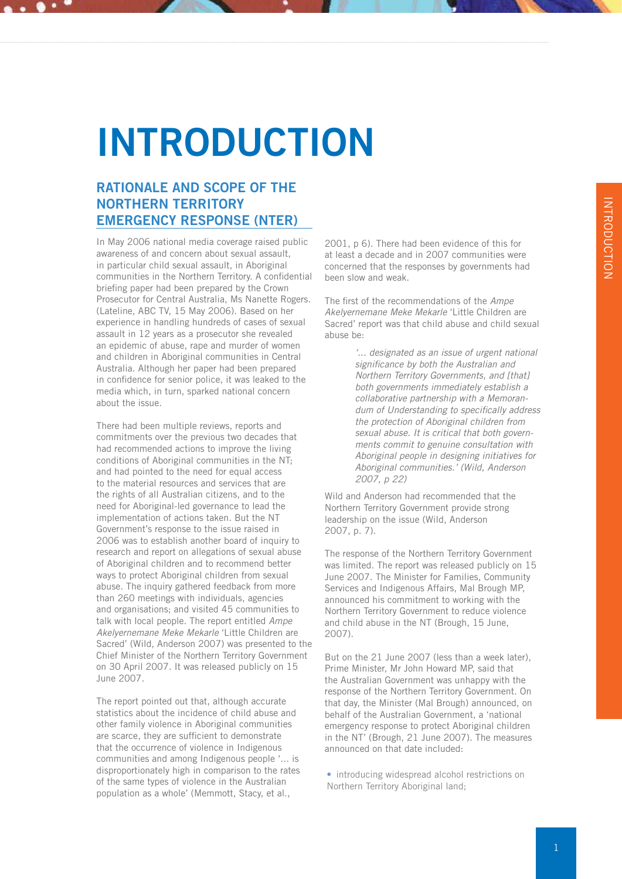# **INTRODUCTION**

## Rationale and Scope of the Northern Territory Emergency Response (NTER)

In May 2006 national media coverage raised public awareness of and concern about sexual assault, in particular child sexual assault, in Aboriginal communities in the Northern Territory. A confidential briefing paper had been prepared by the Crown Prosecutor for Central Australia, Ms Nanette Rogers. (Lateline, ABC TV, 15 May 2006). Based on her experience in handling hundreds of cases of sexual assault in 12 years as a prosecutor she revealed an epidemic of abuse, rape and murder of women and children in Aboriginal communities in Central Australia. Although her paper had been prepared in confidence for senior police, it was leaked to the media which, in turn, sparked national concern about the issue.

There had been multiple reviews, reports and commitments over the previous two decades that had recommended actions to improve the living conditions of Aboriginal communities in the NT; and had pointed to the need for equal access to the material resources and services that are the rights of all Australian citizens, and to the need for Aboriginal-led governance to lead the implementation of actions taken. But the NT Government's response to the issue raised in 2006 was to establish another board of inquiry to research and report on allegations of sexual abuse of Aboriginal children and to recommend better ways to protect Aboriginal children from sexual abuse. The inquiry gathered feedback from more than 260 meetings with individuals, agencies and organisations; and visited 45 communities to talk with local people. The report entitled *Ampe Akelyernemane Meke Mekarle* 'Little Children are Sacred' (Wild, Anderson 2007) was presented to the Chief Minister of the Northern Territory Government on 30 April 2007. It was released publicly on 15 June 2007.

The report pointed out that, although accurate statistics about the incidence of child abuse and other family violence in Aboriginal communities are scarce, they are sufficient to demonstrate that the occurrence of violence in Indigenous communities and among Indigenous people '... is disproportionately high in comparison to the rates of the same types of violence in the Australian population as a whole' (Memmott, Stacy, et al.,

2001, p 6). There had been evidence of this for at least a decade and in 2007 communities were concerned that the responses by governments had been slow and weak.

The first of the recommendations of the *Ampe Akelyernemane Meke Mekarle* 'Little Children are Sacred' report was that child abuse and child sexual abuse be:

> *'... designated as an issue of urgent national*  significance by both the Australian and *Northern Territory Governments, and [that] both governments immediately establish a collaborative partnership with a Memoran*dum of Understanding to specifically address *the protection of Aboriginal children from sexual abuse. It is critical that both governments commit to genuine consultation with Aboriginal people in designing initiatives for Aboriginal communities.' (Wild, Anderson 2007, p 22)*

Wild and Anderson had recommended that the Northern Territory Government provide strong leadership on the issue (Wild, Anderson 2007, p. 7).

The response of the Northern Territory Government was limited. The report was released publicly on 15 June 2007. The Minister for Families, Community Services and Indigenous Affairs, Mal Brough MP, announced his commitment to working with the Northern Territory Government to reduce violence and child abuse in the NT (Brough, 15 June, 2007).

But on the 21 June 2007 (less than a week later), Prime Minister, Mr John Howard MP, said that the Australian Government was unhappy with the response of the Northern Territory Government. On that day, the Minister (Mal Brough) announced, on behalf of the Australian Government, a 'national emergency response to protect Aboriginal children in the NT' (Brough, 21 June 2007). The measures announced on that date included:

• introducing widespread alcohol restrictions on Northern Territory Aboriginal land;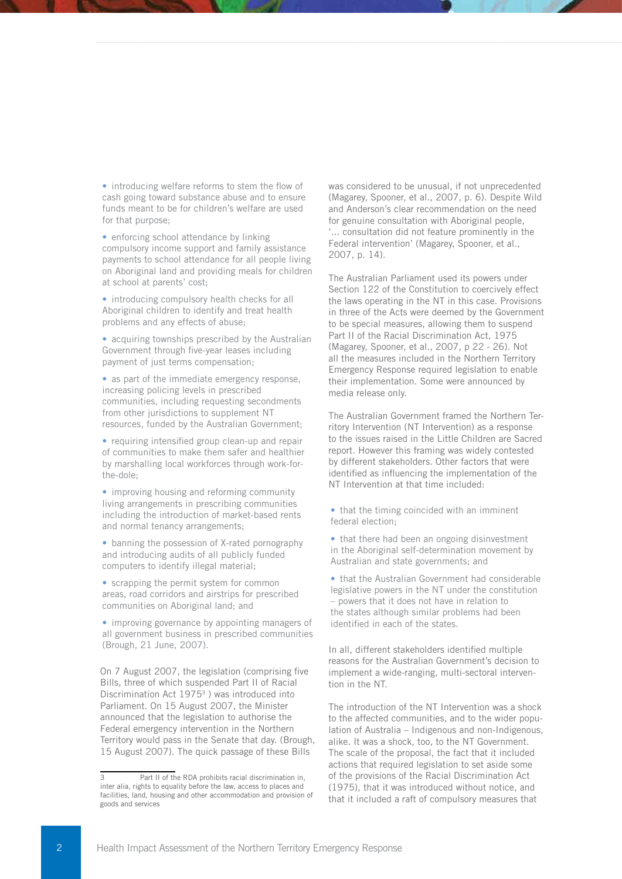• introducing welfare reforms to stem the flow of cash going toward substance abuse and to ensure funds meant to be for children's welfare are used for that purpose;

• enforcing school attendance by linking compulsory income support and family assistance payments to school attendance for all people living on Aboriginal land and providing meals for children at school at parents' cost;

• introducing compulsory health checks for all Aboriginal children to identify and treat health problems and any effects of abuse;

• acquiring townships prescribed by the Australian Government through five-year leases including payment of just terms compensation;

• as part of the immediate emergency response, increasing policing levels in prescribed communities, including requesting secondments from other jurisdictions to supplement NT resources, funded by the Australian Government;

• requiring intensified group clean-up and repair of communities to make them safer and healthier by marshalling local workforces through work-forthe-dole;

• improving housing and reforming community living arrangements in prescribing communities including the introduction of market-based rents and normal tenancy arrangements;

• banning the possession of X-rated pornography and introducing audits of all publicly funded computers to identify illegal material;

• scrapping the permit system for common areas, road corridors and airstrips for prescribed communities on Aboriginal land; and

• improving governance by appointing managers of all government business in prescribed communities (Brough, 21 June, 2007).

On 7 August 2007, the legislation (comprising five Bills, three of which suspended Part II of Racial Discrimination Act 19753 ) was introduced into Parliament. On 15 August 2007, the Minister announced that the legislation to authorise the Federal emergency intervention in the Northern Territory would pass in the Senate that day. (Brough, 15 August 2007). The quick passage of these Bills

was considered to be unusual, if not unprecedented (Magarey, Spooner, et al., 2007, p. 6). Despite Wild and Anderson's clear recommendation on the need for genuine consultation with Aboriginal people, '... consultation did not feature prominently in the Federal intervention' (Magarey, Spooner, et al., 2007, p. 14).

The Australian Parliament used its powers under Section 122 of the Constitution to coercively effect the laws operating in the NT in this case. Provisions in three of the Acts were deemed by the Government to be special measures, allowing them to suspend Part II of the Racial Discrimination Act, 1975 (Magarey, Spooner, et al., 2007, p 22 - 26). Not all the measures included in the Northern Territory Emergency Response required legislation to enable their implementation. Some were announced by media release only.

The Australian Government framed the Northern Territory Intervention (NT Intervention) as a response to the issues raised in the Little Children are Sacred report. However this framing was widely contested by different stakeholders. Other factors that were identified as influencing the implementation of the NT Intervention at that time included:

• that the timing coincided with an imminent federal election;

• that there had been an ongoing disinvestment in the Aboriginal self-determination movement by Australian and state governments; and

• that the Australian Government had considerable legislative powers in the NT under the constitution – powers that it does not have in relation to the states although similar problems had been identified in each of the states.

In all, different stakeholders identified multiple reasons for the Australian Government's decision to implement a wide-ranging, multi-sectoral intervention in the NT.

The introduction of the NT Intervention was a shock to the affected communities, and to the wider population of Australia – Indigenous and non-Indigenous, alike. It was a shock, too, to the NT Government. The scale of the proposal, the fact that it included actions that required legislation to set aside some of the provisions of the Racial Discrimination Act (1975), that it was introduced without notice, and that it included a raft of compulsory measures that

Part II of the RDA prohibits racial discrimination in, inter alia, rights to equality before the law, access to places and facilities, land, housing and other accommodation and provision of goods and services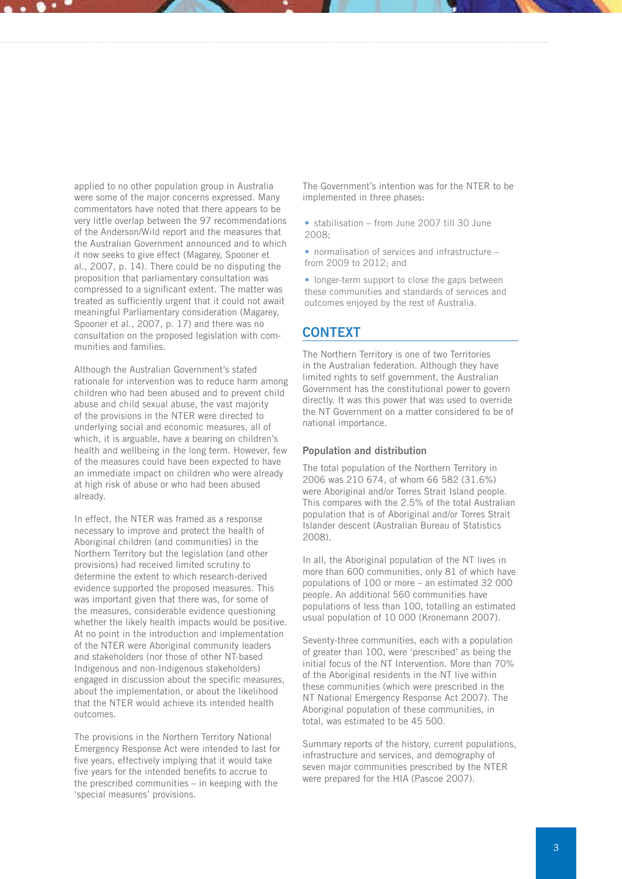applied to no other population group in Australia were some of the major concerns expressed. Many commentators have noted that there appears to be very little overlap between the 97 recommendations of the Anderson/Wild report and the measures that the Australian Government announced and to which it now seeks to give effect (Magarey, Spooner et al., 2007, p. 14). There could be no disputing the proposition that parliamentary consultation was compressed to a significant extent. The matter was treated as sufficiently urgent that it could not await meaningful Parliamentary consideration (Magarey, Spooner et al., 2007, p. 17) and there was no consultation on the proposed legislation with communities and families.

Although the Australian Government's stated rationale for intervention was to reduce harm among children who had been abused and to prevent child abuse and child sexual abuse, the vast majority of the provisions in the NTER were directed to underlying social and economic measures, all of which, it is arguable, have a bearing on children's health and wellbeing in the long term. However, few of the measures could have been expected to have an immediate impact on children who were already at high risk of abuse or who had been abused already.

In effect, the NTER was framed as a response necessary to improve and protect the health of Aboriginal children (and communities) in the Northern Territory but the legislation (and other provisions) had received limited scrutiny to determine the extent to which research-derived evidence supported the proposed measures. This was important given that there was, for some of the measures, considerable evidence questioning whether the likely health impacts would be positive. At no point in the introduction and implementation of the NTER were Aboriginal community leaders and stakeholders (nor those of other NT-based Indigenous and non-Indigenous stakeholders) engaged in discussion about the specific measures, about the implementation, or about the likelihood that the NTER would achieve its intended health outcomes.

The provisions in the Northern Territory National Emergency Response Act were intended to last for five years, effectively implying that it would take five years for the intended benefits to accrue to the prescribed communities – in keeping with the 'special measures' provisions.

The Government's intention was for the NTER to be implemented in three phases:

• stabilisation – from June 2007 till 30 June 2008;

• normalisation of services and infrastructure – from 2009 to 2012; and

• longer-term support to close the gaps between these communities and standards of services and outcomes enjoyed by the rest of Australia.

## **CONTEXT**

The Northern Territory is one of two Territories in the Australian federation. Although they have limited rights to self government, the Australian Government has the constitutional power to govern directly. It was this power that was used to override the NT Government on a matter considered to be of national importance.

#### Population and distribution

The total population of the Northern Territory in 2006 was 210 674, of whom 66 582 (31.6%) were Aboriginal and/or Torres Strait Island people. This compares with the 2.5% of the total Australian population that is of Aboriginal and/or Torres Strait Islander descent (Australian Bureau of Statistics 2008).

In all, the Aboriginal population of the NT lives in more than 600 communities, only 81 of which have populations of 100 or more – an estimated 32 000 people. An additional 560 communities have populations of less than 100, totalling an estimated usual population of 10 000 (Kronemann 2007).

Seventy-three communities, each with a population of greater than 100, were 'prescribed' as being the initial focus of the NT Intervention. More than 70% of the Aboriginal residents in the NT live within these communities (which were prescribed in the NT National Emergency Response Act 2007). The Aboriginal population of these communities, in total, was estimated to be 45 500.

Summary reports of the history, current populations, infrastructure and services, and demography of seven major communities prescribed by the NTER were prepared for the HIA (Pascoe 2007).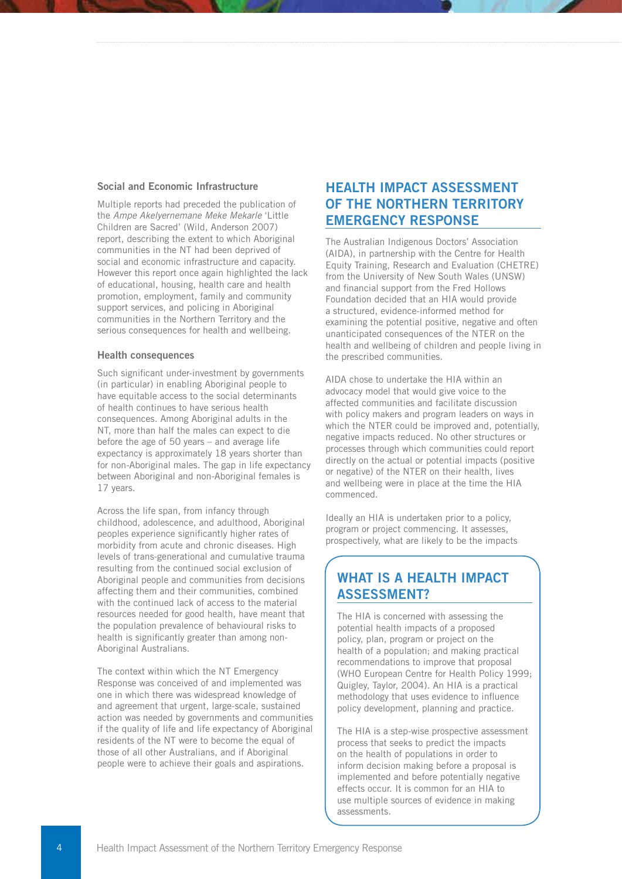#### Social and Economic Infrastructure

Multiple reports had preceded the publication of the *Ampe Akelyernemane Meke Mekarle* 'Little Children are Sacred' (Wild, Anderson 2007) report, describing the extent to which Aboriginal communities in the NT had been deprived of social and economic infrastructure and capacity. However this report once again highlighted the lack of educational, housing, health care and health promotion, employment, family and community support services, and policing in Aboriginal communities in the Northern Territory and the serious consequences for health and wellbeing.

#### Health consequences

Such significant under-investment by governments (in particular) in enabling Aboriginal people to have equitable access to the social determinants of health continues to have serious health consequences. Among Aboriginal adults in the NT, more than half the males can expect to die before the age of 50 years – and average life expectancy is approximately 18 years shorter than for non-Aboriginal males. The gap in life expectancy between Aboriginal and non-Aboriginal females is 17 years.

Across the life span, from infancy through childhood, adolescence, and adulthood, Aboriginal peoples experience significantly higher rates of morbidity from acute and chronic diseases. High levels of trans-generational and cumulative trauma resulting from the continued social exclusion of Aboriginal people and communities from decisions affecting them and their communities, combined with the continued lack of access to the material resources needed for good health, have meant that the population prevalence of behavioural risks to health is significantly greater than among non-Aboriginal Australians.

The context within which the NT Emergency Response was conceived of and implemented was one in which there was widespread knowledge of and agreement that urgent, large-scale, sustained action was needed by governments and communities if the quality of life and life expectancy of Aboriginal residents of the NT were to become the equal of those of all other Australians, and if Aboriginal people were to achieve their goals and aspirations.

## Health Impact Assessment of the Northern Territory Emergency Response

The Australian Indigenous Doctors' Association (AIDA), in partnership with the Centre for Health Equity Training, Research and Evaluation (CHETRE) from the University of New South Wales (UNSW) and financial support from the Fred Hollows Foundation decided that an HIA would provide a structured, evidence-informed method for examining the potential positive, negative and often unanticipated consequences of the NTER on the health and wellbeing of children and people living in the prescribed communities.

AIDA chose to undertake the HIA within an advocacy model that would give voice to the affected communities and facilitate discussion with policy makers and program leaders on ways in which the NTER could be improved and, potentially, negative impacts reduced. No other structures or processes through which communities could report directly on the actual or potential impacts (positive or negative) of the NTER on their health, lives and wellbeing were in place at the time the HIA commenced.

Ideally an HIA is undertaken prior to a policy, program or project commencing. It assesses, prospectively, what are likely to be the impacts

## WHAT IS A HEALTH IMPACT Assessment?

The HIA is concerned with assessing the potential health impacts of a proposed policy, plan, program or project on the health of a population; and making practical recommendations to improve that proposal (WHO European Centre for Health Policy 1999; Quigley, Taylor, 2004). An HIA is a practical methodology that uses evidence to influence policy development, planning and practice.

The HIA is a step-wise prospective assessment process that seeks to predict the impacts on the health of populations in order to inform decision making before a proposal is implemented and before potentially negative effects occur. It is common for an HIA to use multiple sources of evidence in making assessments.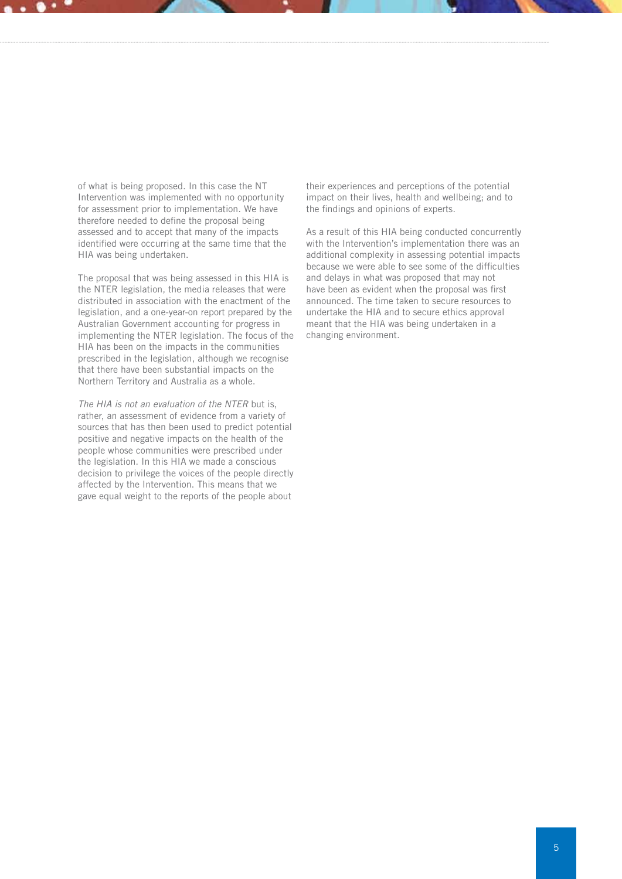of what is being proposed. In this case the NT Intervention was implemented with no opportunity for assessment prior to implementation. We have therefore needed to define the proposal being assessed and to accept that many of the impacts identified were occurring at the same time that the HIA was being undertaken.

The proposal that was being assessed in this HIA is the NTER legislation, the media releases that were distributed in association with the enactment of the legislation, and a one-year-on report prepared by the Australian Government accounting for progress in implementing the NTER legislation. The focus of the HIA has been on the impacts in the communities prescribed in the legislation, although we recognise that there have been substantial impacts on the Northern Territory and Australia as a whole.

*The HIA is not an evaluation of the NTER* but is, rather, an assessment of evidence from a variety of sources that has then been used to predict potential positive and negative impacts on the health of the people whose communities were prescribed under the legislation. In this HIA we made a conscious decision to privilege the voices of the people directly affected by the Intervention. This means that we gave equal weight to the reports of the people about

their experiences and perceptions of the potential impact on their lives, health and wellbeing; and to the findings and opinions of experts.

As a result of this HIA being conducted concurrently with the Intervention's implementation there was an additional complexity in assessing potential impacts because we were able to see some of the difficulties and delays in what was proposed that may not have been as evident when the proposal was first announced. The time taken to secure resources to undertake the HIA and to secure ethics approval meant that the HIA was being undertaken in a changing environment.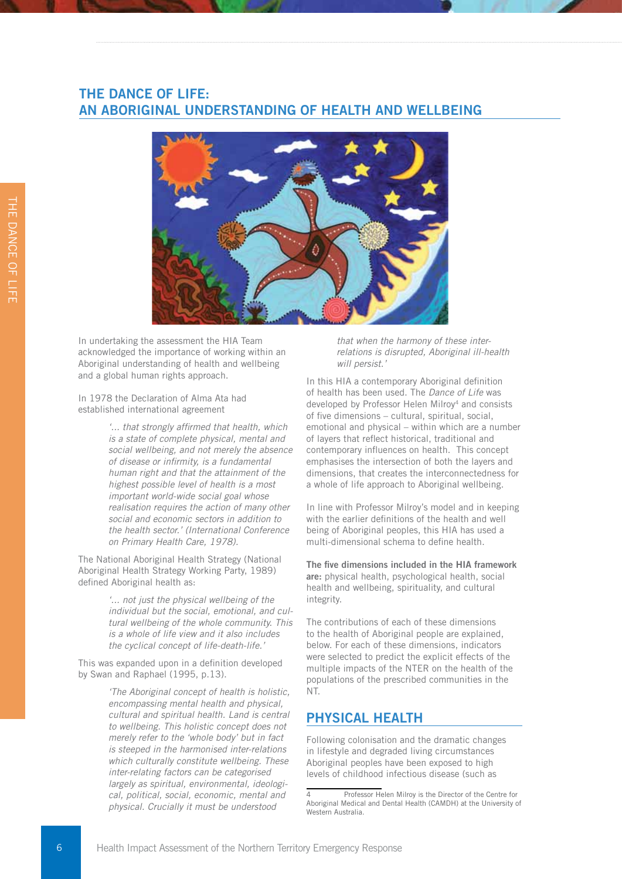## The Dance of Life: an Aboriginal understanding of health and wellbeing



In undertaking the assessment the HIA Team acknowledged the importance of working within an Aboriginal understanding of health and wellbeing and a global human rights approach.

In 1978 the Declaration of Alma Ata had established international agreement

> '... that strongly affirmed that health, which *is a state of complete physical, mental and social wellbeing, and not merely the absence*  of disease or infirmity, is a fundamental *human right and that the attainment of the highest possible level of health is a most important world-wide social goal whose realisation requires the action of many other social and economic sectors in addition to the health sector.' (International Conference on Primary Health Care, 1978).*

The National Aboriginal Health Strategy (National Aboriginal Health Strategy Working Party, 1989) defined Aboriginal health as:

> *'... not just the physical wellbeing of the individual but the social, emotional, and cultural wellbeing of the whole community. This is a whole of life view and it also includes the cyclical concept of life-death-life.'*

This was expanded upon in a definition developed by Swan and Raphael (1995, p.13).

> *'The Aboriginal concept of health is holistic, encompassing mental health and physical, cultural and spiritual health. Land is central to wellbeing. This holistic concept does not merely refer to the 'whole body' but in fact is steeped in the harmonised inter-relations which culturally constitute wellbeing. These inter-relating factors can be categorised largely as spiritual, environmental, ideological, political, social, economic, mental and physical. Crucially it must be understood*

*that when the harmony of these interrelations is disrupted, Aboriginal ill-health will persist.'*

In this HIA a contemporary Aboriginal definition of health has been used. The *Dance of Life* was developed by Professor Helen Milroy<sup>4</sup> and consists of five dimensions – cultural, spiritual, social, emotional and physical – within which are a number of layers that reflect historical, traditional and contemporary influences on health. This concept emphasises the intersection of both the layers and dimensions, that creates the interconnectedness for a whole of life approach to Aboriginal wellbeing.

In line with Professor Milroy's model and in keeping with the earlier definitions of the health and well being of Aboriginal peoples, this HIA has used a multi-dimensional schema to define health.

**The five dimensions included in the HIA framework are:** physical health, psychological health, social health and wellbeing, spirituality, and cultural integrity.

The contributions of each of these dimensions to the health of Aboriginal people are explained, below. For each of these dimensions, indicators were selected to predict the explicit effects of the multiple impacts of the NTER on the health of the populations of the prescribed communities in the NT.

## Physical health

Following colonisation and the dramatic changes in lifestyle and degraded living circumstances Aboriginal peoples have been exposed to high levels of childhood infectious disease (such as

Professor Helen Milroy is the Director of the Centre for Aboriginal Medical and Dental Health (CAMDH) at the University of Western Australia.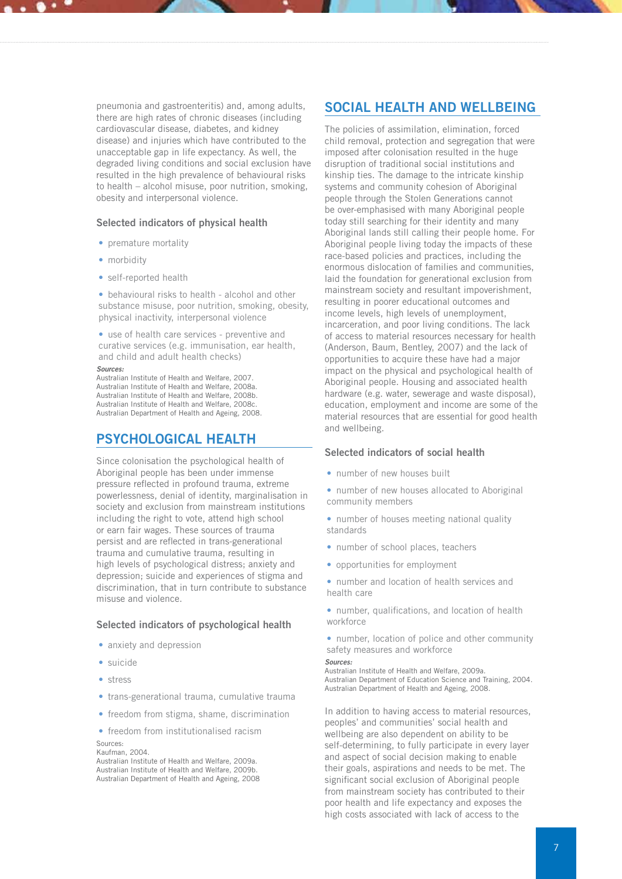pneumonia and gastroenteritis) and, among adults, there are high rates of chronic diseases (including cardiovascular disease, diabetes, and kidney disease) and injuries which have contributed to the unacceptable gap in life expectancy. As well, the degraded living conditions and social exclusion have resulted in the high prevalence of behavioural risks to health – alcohol misuse, poor nutrition, smoking, obesity and interpersonal violence.

#### Selected indicators of physical health

- premature mortality
- morbidity
- self-reported health

• behavioural risks to health - alcohol and other substance misuse, poor nutrition, smoking, obesity, physical inactivity, interpersonal violence

• use of health care services - preventive and curative services (e.g. immunisation, ear health, and child and adult health checks)

#### *Sources:*

Australian Institute of Health and Welfare, 2007. Australian Institute of Health and Welfare, 2008a. Australian Institute of Health and Welfare, 2008b. Australian Institute of Health and Welfare, 2008c. Australian Department of Health and Ageing, 2008.

## Psychological health

Since colonisation the psychological health of Aboriginal people has been under immense pressure reflected in profound trauma, extreme powerlessness, denial of identity, marginalisation in society and exclusion from mainstream institutions including the right to vote, attend high school or earn fair wages. These sources of trauma persist and are reflected in trans-generational trauma and cumulative trauma, resulting in high levels of psychological distress; anxiety and depression; suicide and experiences of stigma and discrimination, that in turn contribute to substance misuse and violence.

#### Selected indicators of psychological health

- anxiety and depression
- suicide
- stress
- trans-generational trauma, cumulative trauma
- freedom from stigma, shame, discrimination
- freedom from institutionalised racism

Sources: Kaufman, 2004.

Australian Institute of Health and Welfare, 2009a. Australian Institute of Health and Welfare, 2009b. Australian Department of Health and Ageing, 2008

## Social health and wellbeing

The policies of assimilation, elimination, forced child removal, protection and segregation that were imposed after colonisation resulted in the huge disruption of traditional social institutions and kinship ties. The damage to the intricate kinship systems and community cohesion of Aboriginal people through the Stolen Generations cannot be over-emphasised with many Aboriginal people today still searching for their identity and many Aboriginal lands still calling their people home. For Aboriginal people living today the impacts of these race-based policies and practices, including the enormous dislocation of families and communities, laid the foundation for generational exclusion from mainstream society and resultant impoverishment, resulting in poorer educational outcomes and income levels, high levels of unemployment, incarceration, and poor living conditions. The lack of access to material resources necessary for health (Anderson, Baum, Bentley, 2007) and the lack of opportunities to acquire these have had a major impact on the physical and psychological health of Aboriginal people. Housing and associated health hardware (e.g. water, sewerage and waste disposal), education, employment and income are some of the material resources that are essential for good health and wellbeing.

#### Selected indicators of social health

- number of new houses built
- number of new houses allocated to Aboriginal community members
- number of houses meeting national quality standards
- number of school places, teachers
- opportunities for employment
- number and location of health services and health care
- number, qualifications, and location of health workforce

• number, location of police and other community safety measures and workforce

*Sources:*

Australian Institute of Health and Welfare, 2009a. Australian Department of Education Science and Training, 2004. Australian Department of Health and Ageing, 2008.

In addition to having access to material resources, peoples' and communities' social health and wellbeing are also dependent on ability to be self-determining, to fully participate in every layer and aspect of social decision making to enable their goals, aspirations and needs to be met. The significant social exclusion of Aboriginal people from mainstream society has contributed to their poor health and life expectancy and exposes the high costs associated with lack of access to the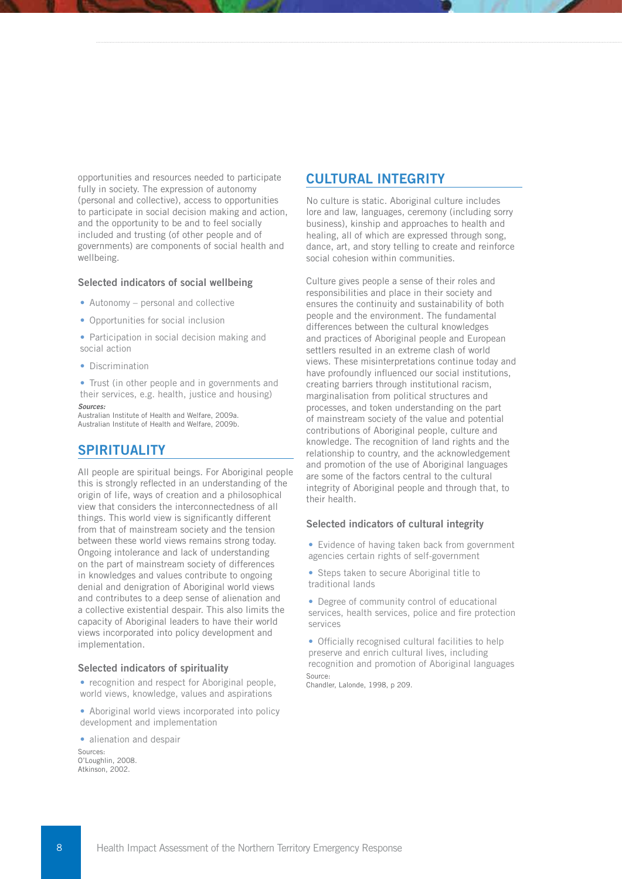opportunities and resources needed to participate fully in society. The expression of autonomy (personal and collective), access to opportunities to participate in social decision making and action, and the opportunity to be and to feel socially included and trusting (of other people and of governments) are components of social health and wellbeing.

#### Selected indicators of social wellbeing

- Autonomy personal and collective
- Opportunities for social inclusion
- Participation in social decision making and social action
- Discrimination

• Trust (in other people and in governments and their services, e.g. health, justice and housing) *Sources:*

Australian Institute of Health and Welfare, 2009a. Australian Institute of Health and Welfare, 2009b.

## **SPIRITUALITY**

All people are spiritual beings. For Aboriginal people this is strongly reflected in an understanding of the origin of life, ways of creation and a philosophical view that considers the interconnectedness of all things. This world view is significantly different from that of mainstream society and the tension between these world views remains strong today. Ongoing intolerance and lack of understanding on the part of mainstream society of differences in knowledges and values contribute to ongoing denial and denigration of Aboriginal world views and contributes to a deep sense of alienation and a collective existential despair. This also limits the capacity of Aboriginal leaders to have their world views incorporated into policy development and implementation.

#### Selected indicators of spirituality

• recognition and respect for Aboriginal people. world views, knowledge, values and aspirations

• Aboriginal world views incorporated into policy development and implementation

• alienation and despair Sources: O'Loughlin, 2008. Atkinson, 2002.

## Cultural integrity

No culture is static. Aboriginal culture includes lore and law, languages, ceremony (including sorry business), kinship and approaches to health and healing, all of which are expressed through song, dance, art, and story telling to create and reinforce social cohesion within communities.

Culture gives people a sense of their roles and responsibilities and place in their society and ensures the continuity and sustainability of both people and the environment. The fundamental differences between the cultural knowledges and practices of Aboriginal people and European settlers resulted in an extreme clash of world views. These misinterpretations continue today and have profoundly influenced our social institutions, creating barriers through institutional racism, marginalisation from political structures and processes, and token understanding on the part of mainstream society of the value and potential contributions of Aboriginal people, culture and knowledge. The recognition of land rights and the relationship to country, and the acknowledgement and promotion of the use of Aboriginal languages are some of the factors central to the cultural integrity of Aboriginal people and through that, to their health.

#### Selected indicators of cultural integrity

• Evidence of having taken back from government agencies certain rights of self-government

• Steps taken to secure Aboriginal title to traditional lands

• Degree of community control of educational services, health services, police and fire protection services

• Officially recognised cultural facilities to help preserve and enrich cultural lives, including recognition and promotion of Aboriginal languages Source:

Chandler, Lalonde, 1998, p 209.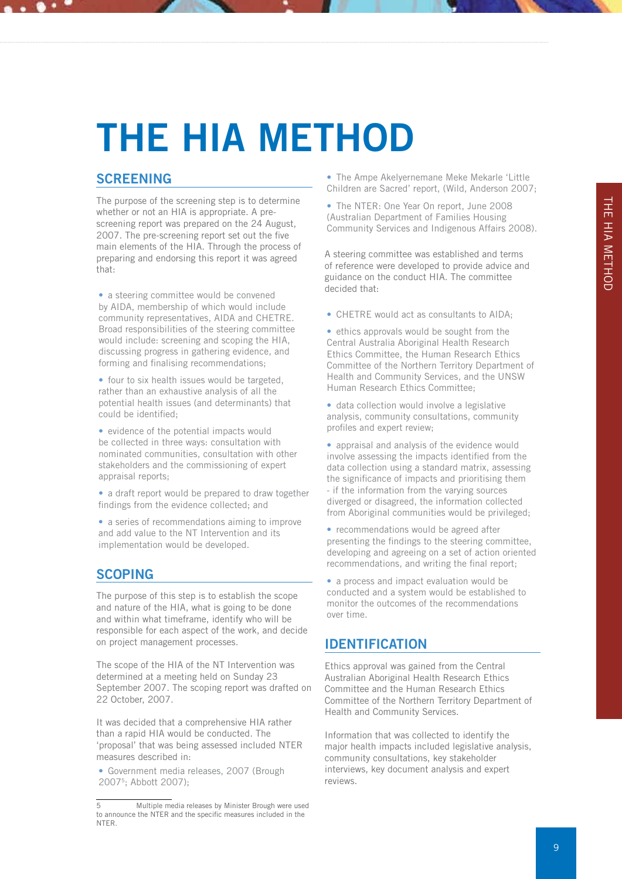# The HIA Method

## **SCREENING**

The purpose of the screening step is to determine whether or not an HIA is appropriate. A prescreening report was prepared on the 24 August, 2007. The pre-screening report set out the five main elements of the HIA. Through the process of preparing and endorsing this report it was agreed that:

• a steering committee would be convened by AIDA, membership of which would include community representatives, AIDA and CHETRE. Broad responsibilities of the steering committee would include: screening and scoping the HIA, discussing progress in gathering evidence, and forming and finalising recommendations;

• four to six health issues would be targeted, rather than an exhaustive analysis of all the potential health issues (and determinants) that could be identified;

• evidence of the potential impacts would be collected in three ways: consultation with nominated communities, consultation with other stakeholders and the commissioning of expert appraisal reports;

• a draft report would be prepared to draw together findings from the evidence collected; and

• a series of recommendations aiming to improve and add value to the NT Intervention and its implementation would be developed.

## **SCOPING**

The purpose of this step is to establish the scope and nature of the HIA, what is going to be done and within what timeframe, identify who will be responsible for each aspect of the work, and decide on project management processes.

The scope of the HIA of the NT Intervention was determined at a meeting held on Sunday 23 September 2007. The scoping report was drafted on 22 October, 2007.

It was decided that a comprehensive HIA rather than a rapid HIA would be conducted. The 'proposal' that was being assessed included NTER measures described in:

• Government media releases, 2007 (Brough 20075; Abbott 2007);

• The Ampe Akelyernemane Meke Mekarle 'Little Children are Sacred' report, (Wild, Anderson 2007;

• The NTER: One Year On report, June 2008 (Australian Department of Families Housing Community Services and Indigenous Affairs 2008).

A steering committee was established and terms of reference were developed to provide advice and guidance on the conduct HIA. The committee decided that:

• CHETRE would act as consultants to AIDA;

• ethics approvals would be sought from the Central Australia Aboriginal Health Research Ethics Committee, the Human Research Ethics Committee of the Northern Territory Department of Health and Community Services, and the UNSW Human Research Ethics Committee;

• data collection would involve a legislative analysis, community consultations, community profiles and expert review;

• appraisal and analysis of the evidence would involve assessing the impacts identified from the data collection using a standard matrix, assessing the significance of impacts and prioritising them ‑ if the information from the varying sources diverged or disagreed, the information collected from Aboriginal communities would be privileged;

• recommendations would be agreed after presenting the findings to the steering committee, developing and agreeing on a set of action oriented recommendations, and writing the final report;

• a process and impact evaluation would be conducted and a system would be established to monitor the outcomes of the recommendations over time.

## **IDENTIFICATION**

Ethics approval was gained from the Central Australian Aboriginal Health Research Ethics Committee and the Human Research Ethics Committee of the Northern Territory Department of Health and Community Services.

Information that was collected to identify the major health impacts included legislative analysis, community consultations, key stakeholder interviews, key document analysis and expert reviews.

Multiple media releases by Minister Brough were used to announce the NTER and the specific measures included in the **NTER**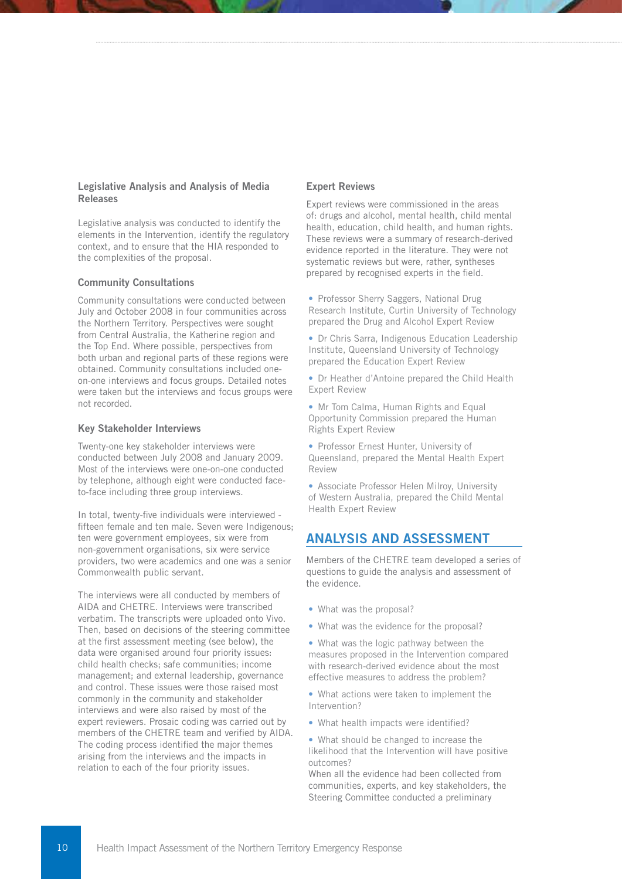#### Legislative Analysis and Analysis of Media Releases

Legislative analysis was conducted to identify the elements in the Intervention, identify the regulatory context, and to ensure that the HIA responded to the complexities of the proposal.

#### Community Consultations

Community consultations were conducted between July and October 2008 in four communities across the Northern Territory. Perspectives were sought from Central Australia, the Katherine region and the Top End. Where possible, perspectives from both urban and regional parts of these regions were obtained. Community consultations included oneon-one interviews and focus groups. Detailed notes were taken but the interviews and focus groups were not recorded.

#### Key Stakeholder Interviews

Twenty-one key stakeholder interviews were conducted between July 2008 and January 2009. Most of the interviews were one-on-one conducted by telephone, although eight were conducted faceto-face including three group interviews.

In total, twenty-five individuals were interviewed fifteen female and ten male. Seven were Indigenous; ten were government employees, six were from non-government organisations, six were service providers, two were academics and one was a senior Commonwealth public servant.

The interviews were all conducted by members of AIDA and CHETRE. Interviews were transcribed verbatim. The transcripts were uploaded onto Vivo. Then, based on decisions of the steering committee at the first assessment meeting (see below), the data were organised around four priority issues: child health checks; safe communities; income management; and external leadership, governance and control. These issues were those raised most commonly in the community and stakeholder interviews and were also raised by most of the expert reviewers. Prosaic coding was carried out by members of the CHETRE team and verified by AIDA. The coding process identified the major themes arising from the interviews and the impacts in relation to each of the four priority issues.

#### Expert Reviews

Expert reviews were commissioned in the areas of: drugs and alcohol, mental health, child mental health, education, child health, and human rights. These reviews were a summary of research-derived evidence reported in the literature. They were not systematic reviews but were, rather, syntheses prepared by recognised experts in the field.

• Professor Sherry Saggers, National Drug Research Institute, Curtin University of Technology prepared the Drug and Alcohol Expert Review

• Dr Chris Sarra, Indigenous Education Leadership Institute, Queensland University of Technology prepared the Education Expert Review

• Dr Heather d'Antoine prepared the Child Health Expert Review

• Mr Tom Calma, Human Rights and Equal Opportunity Commission prepared the Human Rights Expert Review

• Professor Ernest Hunter, University of Queensland, prepared the Mental Health Expert Review

• Associate Professor Helen Milroy, University of Western Australia, prepared the Child Mental Health Expert Review

## Analysis and Assessment

Members of the CHETRE team developed a series of questions to guide the analysis and assessment of the evidence.

- What was the proposal?
- What was the evidence for the proposal?

• What was the logic pathway between the measures proposed in the Intervention compared with research-derived evidence about the most effective measures to address the problem?

• What actions were taken to implement the Intervention?

• What health impacts were identified?

• What should be changed to increase the likelihood that the Intervention will have positive outcomes? 

When all the evidence had been collected from communities, experts, and key stakeholders, the Steering Committee conducted a preliminary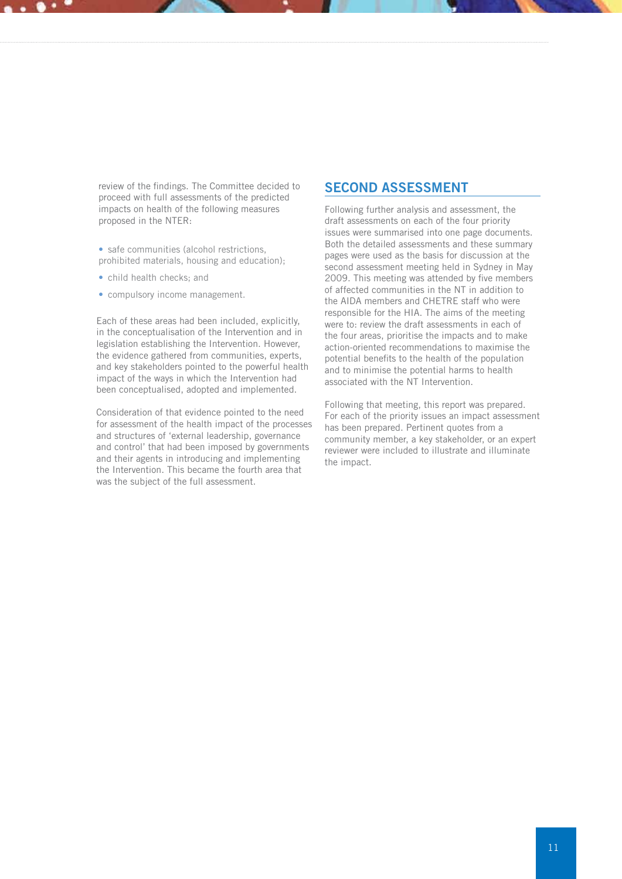review of the findings. The Committee decided to proceed with full assessments of the predicted impacts on health of the following measures proposed in the NTER:

• safe communities (alcohol restrictions, prohibited materials, housing and education);

- • child health checks; and
- compulsory income management.

Each of these areas had been included, explicitly, in the conceptualisation of the Intervention and in legislation establishing the Intervention. However, the evidence gathered from communities, experts, and key stakeholders pointed to the powerful health impact of the ways in which the Intervention had been conceptualised, adopted and implemented.

Consideration of that evidence pointed to the need for assessment of the health impact of the processes and structures of 'external leadership, governance and control' that had been imposed by governments and their agents in introducing and implementing the Intervention. This became the fourth area that was the subject of the full assessment.

### Second Assessment

Following further analysis and assessment, the draft assessments on each of the four priority issues were summarised into one page documents. Both the detailed assessments and these summary pages were used as the basis for discussion at the second assessment meeting held in Sydney in May 2009. This meeting was attended by five members of affected communities in the NT in addition to the AIDA members and CHETRE staff who were responsible for the HIA. The aims of the meeting were to: review the draft assessments in each of the four areas, prioritise the impacts and to make action-oriented recommendations to maximise the potential benefits to the health of the population and to minimise the potential harms to health associated with the NT Intervention.

Following that meeting, this report was prepared. For each of the priority issues an impact assessment has been prepared. Pertinent quotes from a community member, a key stakeholder, or an expert reviewer were included to illustrate and illuminate the impact.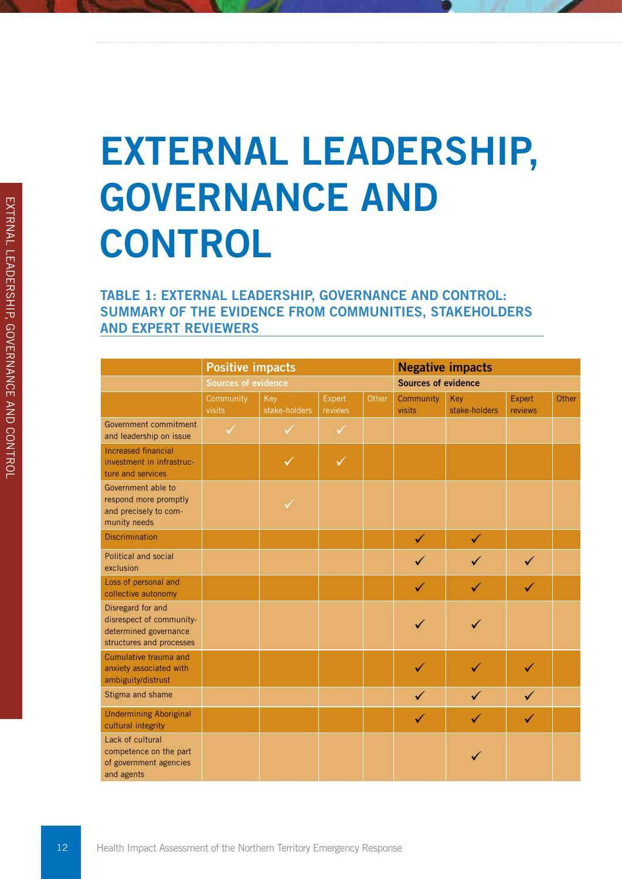## External leadership, governance and CONTROL

Table 1: external leadership, governance and control: summary of the evidence from communities, stakeholders and expert reviewers

|                                                                                                    | <b>Positive impacts</b>    |                      |                   |       | <b>Negative impacts</b>    |                      |                   |       |
|----------------------------------------------------------------------------------------------------|----------------------------|----------------------|-------------------|-------|----------------------------|----------------------|-------------------|-------|
|                                                                                                    | <b>Sources of evidence</b> |                      |                   |       | <b>Sources of evidence</b> |                      |                   |       |
|                                                                                                    | Community<br>visits        | Key<br>stake-holders | Expert<br>reviews | Other | Community<br>visits        | Key<br>stake-holders | Expert<br>reviews | Other |
| Government commitment<br>and leadership on issue                                                   | $\sqrt{}$                  |                      | $\checkmark$      |       |                            |                      |                   |       |
| <b>Increased financial</b><br>investment in infrastruc-<br>ture and services                       |                            | $\checkmark$         | Ø                 |       |                            |                      |                   |       |
| Government able to<br>respond more promptly<br>and precisely to com-<br>munity needs               |                            |                      |                   |       |                            |                      |                   |       |
| <b>Discrimination</b>                                                                              |                            |                      |                   |       | $\checkmark$               | $\checkmark$         |                   |       |
| Political and social<br>exclusion                                                                  |                            |                      |                   |       |                            |                      |                   |       |
| Loss of personal and<br>collective autonomy                                                        |                            |                      |                   |       |                            | ✓                    |                   |       |
| Disregard for and<br>disrespect of community-<br>determined governance<br>structures and processes |                            |                      |                   |       |                            |                      |                   |       |
| Cumulative trauma and<br>anxiety associated with<br>ambiguity/distrust                             |                            |                      |                   |       |                            |                      |                   |       |
| Stigma and shame                                                                                   |                            |                      |                   |       | $\checkmark$               | $\checkmark$         | $\checkmark$      |       |
| <b>Undermining Aboriginal</b><br>cultural integrity                                                |                            |                      |                   |       | $\checkmark$               | $\checkmark$         |                   |       |
| Lack of cultural<br>competence on the part<br>of government agencies<br>and agents                 |                            |                      |                   |       |                            |                      |                   |       |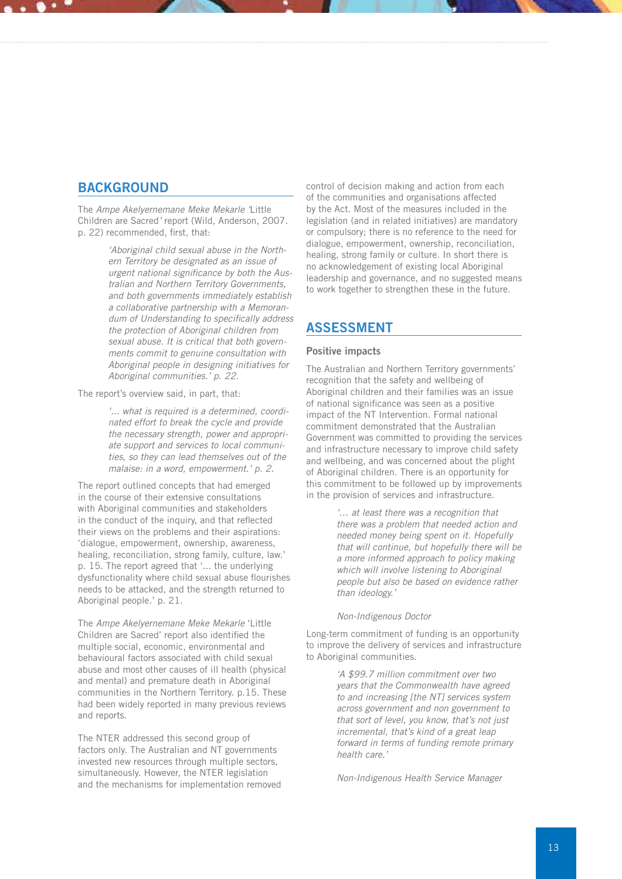## **BACKGROUND**

The *Ampe Akelyernemane Meke Mekarle '*Little Children are Sacred*'* report (Wild, Anderson, 2007. p. 22) recommended, first, that:

> *'Aboriginal child sexual abuse in the Northern Territory be designated as an issue of*  urgent national significance by both the Aus*tralian and Northern Territory Governments, and both governments immediately establish a collaborative partnership with a Memoran*dum of Understanding to specifically address *the protection of Aboriginal children from sexual abuse. It is critical that both governments commit to genuine consultation with Aboriginal people in designing initiatives for Aboriginal communities.' p. 22.*

The report's overview said, in part, that:

*'... what is required is a determined, coordinated effort to break the cycle and provide the necessary strength, power and appropriate support and services to local communities, so they can lead themselves out of the malaise: in a word, empowerment.' p. 2.*

The report outlined concepts that had emerged in the course of their extensive consultations with Aboriginal communities and stakeholders in the conduct of the inquiry, and that reflected their views on the problems and their aspirations: 'dialogue, empowerment, ownership, awareness, healing, reconciliation, strong family, culture, law.' p. 15. The report agreed that '... the underlying dysfunctionality where child sexual abuse flourishes needs to be attacked, and the strength returned to Aboriginal people.' p. 21.

The *Ampe Akelyernemane Meke Mekarle* 'Little Children are Sacred' report also identified the multiple social, economic, environmental and behavioural factors associated with child sexual abuse and most other causes of ill health (physical and mental) and premature death in Aboriginal communities in the Northern Territory. p.15. These had been widely reported in many previous reviews and reports.

The NTER addressed this second group of factors only. The Australian and NT governments invested new resources through multiple sectors, simultaneously. However, the NTER legislation and the mechanisms for implementation removed

control of decision making and action from each of the communities and organisations affected by the Act. Most of the measures included in the legislation (and in related initiatives) are mandatory or compulsory; there is no reference to the need for dialogue, empowerment, ownership, reconciliation, healing, strong family or culture. In short there is no acknowledgement of existing local Aboriginal leadership and governance, and no suggested means to work together to strengthen these in the future.

## Assessment

#### Positive impacts

The Australian and Northern Territory governments' recognition that the safety and wellbeing of Aboriginal children and their families was an issue of national significance was seen as a positive impact of the NT Intervention. Formal national commitment demonstrated that the Australian Government was committed to providing the services and infrastructure necessary to improve child safety and wellbeing, and was concerned about the plight of Aboriginal children. There is an opportunity for this commitment to be followed up by improvements in the provision of services and infrastructure.

> *'… at least there was a recognition that there was a problem that needed action and needed money being spent on it. Hopefully that will continue, but hopefully there will be a more informed approach to policy making which will involve listening to Aboriginal people but also be based on evidence rather than ideology.'*

#### *Non-Indigenous Doctor*

Long-term commitment of funding is an opportunity to improve the delivery of services and infrastructure to Aboriginal communities.

> *'A \$99.7 million commitment over two years that the Commonwealth have agreed to and increasing [the NT] services system across government and non government to that sort of level, you know, that's not just incremental, that's kind of a great leap forward in terms of funding remote primary health care.'*

*Non-Indigenous Health Service Manager*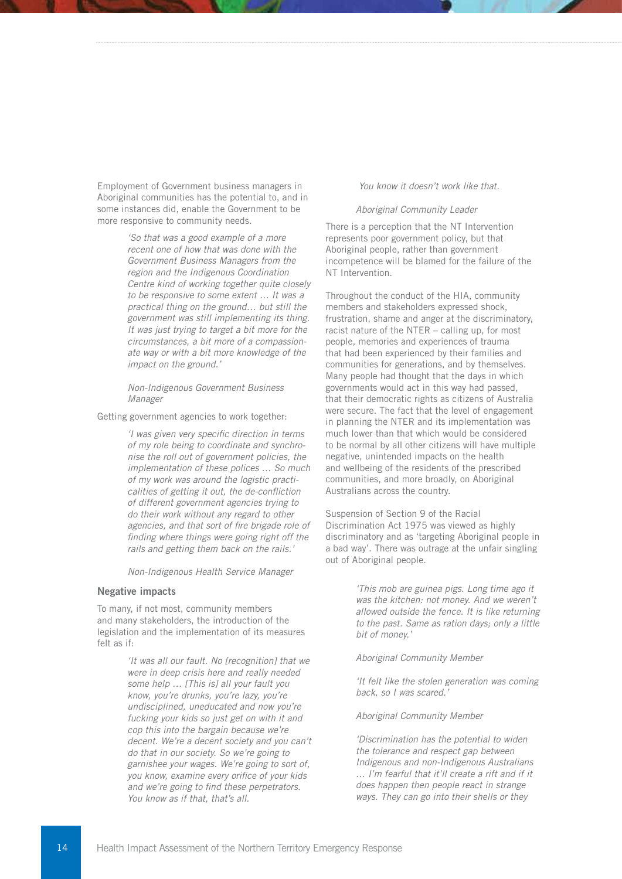Employment of Government business managers in Aboriginal communities has the potential to, and in some instances did, enable the Government to be more responsive to community needs.

> *'So that was a good example of a more recent one of how that was done with the Government Business Managers from the region and the Indigenous Coordination Centre kind of working together quite closely to be responsive to some extent … It was a practical thing on the ground… but still the government was still implementing its thing. It was just trying to target a bit more for the circumstances, a bit more of a compassionate way or with a bit more knowledge of the impact on the ground.'*

*Non-Indigenous Government Business Manager*

Getting government agencies to work together:

'I was given very specific direction in terms *of my role being to coordinate and synchronise the roll out of government policies, the implementation of these polices … So much of my work was around the logistic practi*calities of getting it out, the de-confliction *of different government agencies trying to do their work without any regard to other*  agencies, and that sort of fire brigade role of finding where things were going right off the *rails and getting them back on the rails.'*

*Non-Indigenous Health Service Manager*

#### Negative impacts

To many, if not most, community members and many stakeholders, the introduction of the legislation and the implementation of its measures felt as if:

> *'It was all our fault. No [recognition] that we were in deep crisis here and really needed some help … [This is] all your fault you know, you're drunks, you're lazy, you're undisciplined, uneducated and now you're fucking your kids so just get on with it and cop this into the bargain because we're decent. We're a decent society and you can't do that in our society. So we're going to garnishee your wages. We're going to sort of,*  you know, examine every orifice of your kids and we're going to find these perpetrators. *You know as if that, that's all.*

#### *You know it doesn't work like that.*

#### *Aboriginal Community Leader*

There is a perception that the NT Intervention represents poor government policy, but that Aboriginal people, rather than government incompetence will be blamed for the failure of the NT Intervention.

Throughout the conduct of the HIA, community members and stakeholders expressed shock, frustration, shame and anger at the discriminatory, racist nature of the NTER – calling up, for most people, memories and experiences of trauma that had been experienced by their families and communities for generations, and by themselves. Many people had thought that the days in which governments would act in this way had passed, that their democratic rights as citizens of Australia were secure. The fact that the level of engagement in planning the NTER and its implementation was much lower than that which would be considered to be normal by all other citizens will have multiple negative, unintended impacts on the health and wellbeing of the residents of the prescribed communities, and more broadly, on Aboriginal Australians across the country.

Suspension of Section 9 of the Racial Discrimination Act 1975 was viewed as highly discriminatory and as 'targeting Aboriginal people in a bad way'. There was outrage at the unfair singling out of Aboriginal people.

> *'This mob are guinea pigs. Long time ago it was the kitchen: not money. And we weren't allowed outside the fence. It is like returning to the past. Same as ration days; only a little bit of money.'*

*Aboriginal Community Member*

*'It felt like the stolen generation was coming back, so I was scared.'*

#### *Aboriginal Community Member*

*'Discrimination has the potential to widen the tolerance and respect gap between Indigenous and non-Indigenous Australians … I'm fearful that it'll create a rift and if it does happen then people react in strange ways. They can go into their shells or they*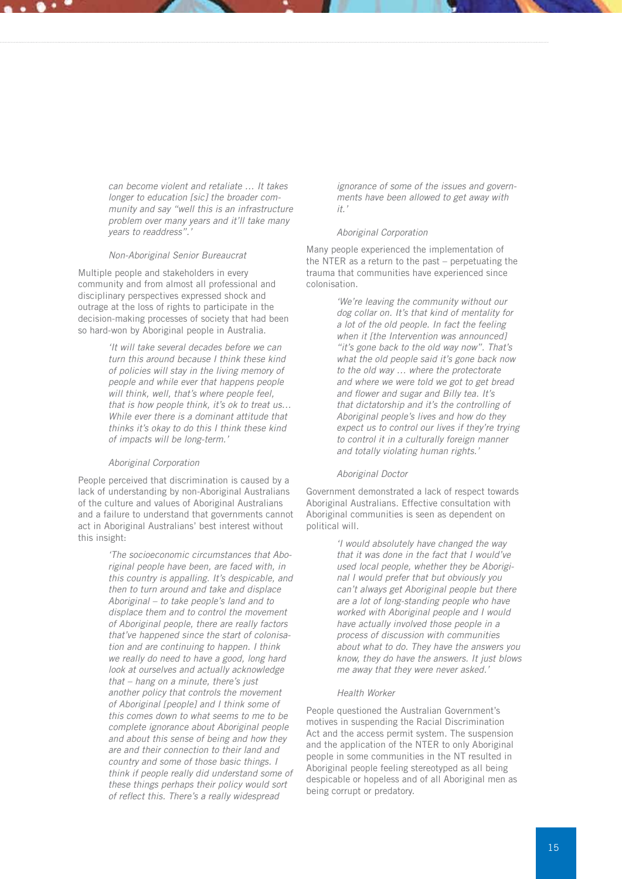*can become violent and retaliate … It takes longer to education [sic] the broader community and say "well this is an infrastructure problem over many years and it'll take many years to readdress".'*

#### *Non-Aboriginal Senior Bureaucrat*

Multiple people and stakeholders in every community and from almost all professional and disciplinary perspectives expressed shock and outrage at the loss of rights to participate in the decision-making processes of society that had been so hard-won by Aboriginal people in Australia.

> *'It will take several decades before we can turn this around because I think these kind of policies will stay in the living memory of people and while ever that happens people will think, well, that's where people feel, that is how people think, it's ok to treat us… While ever there is a dominant attitude that thinks it's okay to do this I think these kind of impacts will be long-term.'*

#### *Aboriginal Corporation*

People perceived that discrimination is caused by a lack of understanding by non-Aboriginal Australians of the culture and values of Aboriginal Australians and a failure to understand that governments cannot act in Aboriginal Australians' best interest without this insight:

> *'The socioeconomic circumstances that Aboriginal people have been, are faced with, in this country is appalling. It's despicable, and then to turn around and take and displace Aboriginal – to take people's land and to displace them and to control the movement of Aboriginal people, there are really factors that've happened since the start of colonisation and are continuing to happen. I think we really do need to have a good, long hard look at ourselves and actually acknowledge that – hang on a minute, there's just another policy that controls the movement of Aboriginal [people] and I think some of this comes down to what seems to me to be complete ignorance about Aboriginal people and about this sense of being and how they are and their connection to their land and country and some of those basic things. I think if people really did understand some of these things perhaps their policy would sort*  of reflect this. There's a really widespread

*ignorance of some of the issues and governments have been allowed to get away with it.'*

#### *Aboriginal Corporation*

Many people experienced the implementation of the NTER as a return to the past – perpetuating the trauma that communities have experienced since colonisation.

> *'We're leaving the community without our dog collar on. It's that kind of mentality for a lot of the old people. In fact the feeling when it [the Intervention was announced] "it's gone back to the old way now". That's what the old people said it's gone back now to the old way … where the protectorate and where we were told we got to get bread*  and flower and sugar and Billy tea. It's *that dictatorship and it's the controlling of Aboriginal people's lives and how do they expect us to control our lives if they're trying to control it in a culturally foreign manner and totally violating human rights.'*

#### *Aboriginal Doctor*

Government demonstrated a lack of respect towards Aboriginal Australians. Effective consultation with Aboriginal communities is seen as dependent on political will.

> *'I would absolutely have changed the way that it was done in the fact that I would've used local people, whether they be Aboriginal I would prefer that but obviously you can't always get Aboriginal people but there are a lot of long-standing people who have worked with Aboriginal people and I would have actually involved those people in a process of discussion with communities about what to do. They have the answers you know, they do have the answers. It just blows me away that they were never asked.'*

#### *Health Worker*

People questioned the Australian Government's motives in suspending the Racial Discrimination Act and the access permit system. The suspension and the application of the NTER to only Aboriginal people in some communities in the NT resulted in Aboriginal people feeling stereotyped as all being despicable or hopeless and of all Aboriginal men as being corrupt or predatory.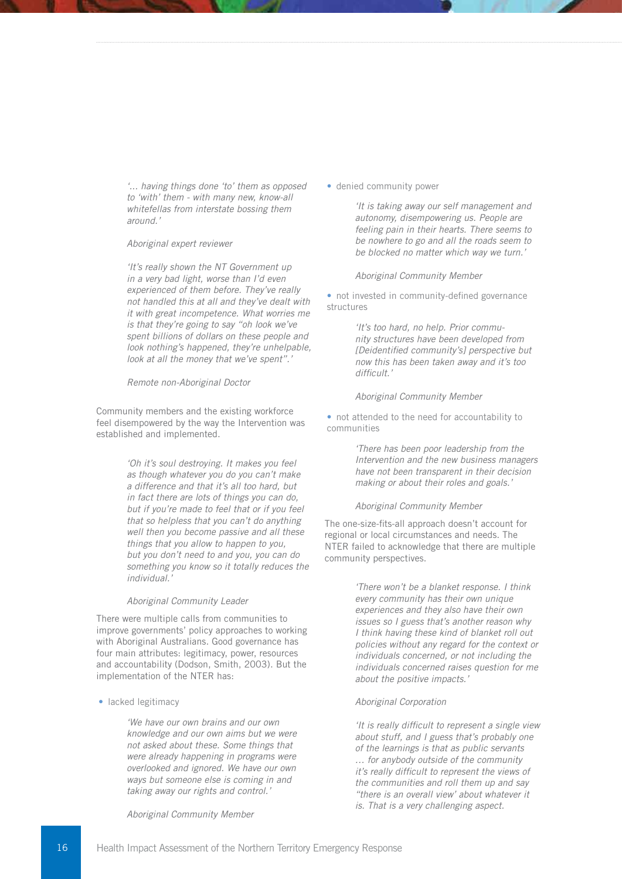*'... having things done 'to' them as opposed to 'with' them - with many new, know-all whitefellas from interstate bossing them around.'*

#### *Aboriginal expert reviewer*

*'It's really shown the NT Government up in a very bad light, worse than I'd even experienced of them before. They've really not handled this at all and they've dealt with it with great incompetence. What worries me is that they're going to say "oh look we've spent billions of dollars on these people and look nothing's happened, they're unhelpable, look at all the money that we've spent".'*

#### *Remote non-Aboriginal Doctor*

Community members and the existing workforce feel disempowered by the way the Intervention was established and implemented.

> *'Oh it's soul destroying. It makes you feel as though whatever you do you can't make a difference and that it's all too hard, but in fact there are lots of things you can do, but if you're made to feel that or if you feel that so helpless that you can't do anything well then you become passive and all these things that you allow to happen to you, but you don't need to and you, you can do something you know so it totally reduces the individual.'*

#### *Aboriginal Community Leader*

There were multiple calls from communities to improve governments' policy approaches to working with Aboriginal Australians. Good governance has four main attributes: legitimacy, power, resources and accountability (Dodson, Smith, 2003). But the implementation of the NTER has:

#### • lacked legitimacy

*'We have our own brains and our own knowledge and our own aims but we were not asked about these. Some things that were already happening in programs were overlooked and ignored. We have our own ways but someone else is coming in and taking away our rights and control.'*

#### *Aboriginal Community Member*

#### • denied community power

*'It is taking away our self management and autonomy, disempowering us. People are feeling pain in their hearts. There seems to be nowhere to go and all the roads seem to be blocked no matter which way we turn.'*

#### *Aboriginal Community Member*

• not invested in community-defined governance structures

> *'It's too hard, no help. Prior community structures have been developed from*  [Deidentified community's] perspective but *now this has been taken away and it's too*  difficult.'

#### *Aboriginal Community Member*

• not attended to the need for accountability to communities

> *'There has been poor leadership from the Intervention and the new business managers have not been transparent in their decision making or about their roles and goals.'*

#### *Aboriginal Community Member*

The one-size-fits-all approach doesn't account for regional or local circumstances and needs. The NTER failed to acknowledge that there are multiple community perspectives.

> *'There won't be a blanket response. I think every community has their own unique experiences and they also have their own issues so I guess that's another reason why I think having these kind of blanket roll out policies without any regard for the context or individuals concerned, or not including the individuals concerned raises question for me about the positive impacts.'*

#### *Aboriginal Corporation*

'It is really difficult to represent a single view *about stuff, and I guess that's probably one of the learnings is that as public servants … for anybody outside of the community*  it's really difficult to represent the views of *the communities and roll them up and say "there is an overall view' about whatever it is. That is a very challenging aspect.*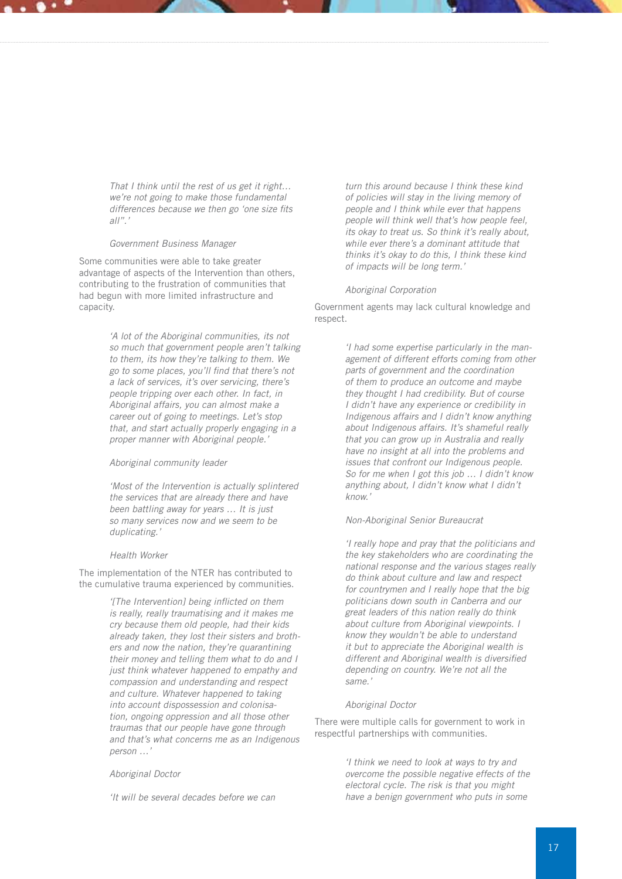*That I think until the rest of us get it right… we're not going to make those fundamental*  differences because we then go 'one size fits *all".'*

#### *Government Business Manager*

Some communities were able to take greater advantage of aspects of the Intervention than others, contributing to the frustration of communities that had begun with more limited infrastructure and capacity.

> *'A lot of the Aboriginal communities, its not so much that government people aren't talking to them, its how they're talking to them. We*  go to some places, you'll find that there's not *a lack of services, it's over servicing, there's people tripping over each other. In fact, in Aboriginal affairs, you can almost make a career out of going to meetings. Let's stop that, and start actually properly engaging in a proper manner with Aboriginal people.'*

#### *Aboriginal community leader*

*'Most of the Intervention is actually splintered the services that are already there and have been battling away for years … It is just so many services now and we seem to be duplicating.'*

#### *Health Worker*

The implementation of the NTER has contributed to the cumulative trauma experienced by communities.

> '[The Intervention] being inflicted on them *is really, really traumatising and it makes me cry because them old people, had their kids already taken, they lost their sisters and brothers and now the nation, they're quarantining their money and telling them what to do and I just think whatever happened to empathy and compassion and understanding and respect and culture. Whatever happened to taking into account dispossession and colonisation, ongoing oppression and all those other traumas that our people have gone through and that's what concerns me as an Indigenous person …'*

#### *Aboriginal Doctor*

*'It will be several decades before we can* 

*turn this around because I think these kind of policies will stay in the living memory of people and I think while ever that happens people will think well that's how people feel, its okay to treat us. So think it's really about, while ever there's a dominant attitude that thinks it's okay to do this, I think these kind of impacts will be long term.'*

#### *Aboriginal Corporation*

Government agents may lack cultural knowledge and respect.

> *'I had some expertise particularly in the management of different efforts coming from other parts of government and the coordination of them to produce an outcome and maybe they thought I had credibility. But of course I didn't have any experience or credibility in Indigenous affairs and I didn't know anything about Indigenous affairs. It's shameful really that you can grow up in Australia and really have no insight at all into the problems and issues that confront our Indigenous people. So for me when I got this job … I didn't know anything about, I didn't know what I didn't know.'*

#### *Non-Aboriginal Senior Bureaucrat*

*'I really hope and pray that the politicians and the key stakeholders who are coordinating the national response and the various stages really do think about culture and law and respect for countrymen and I really hope that the big politicians down south in Canberra and our great leaders of this nation really do think about culture from Aboriginal viewpoints. I know they wouldn't be able to understand it but to appreciate the Aboriginal wealth is*  different and Aboriginal wealth is diversified *depending on country. We're not all the same.'*

#### *Aboriginal Doctor*

There were multiple calls for government to work in respectful partnerships with communities.

> *'I think we need to look at ways to try and overcome the possible negative effects of the electoral cycle. The risk is that you might have a benign government who puts in some*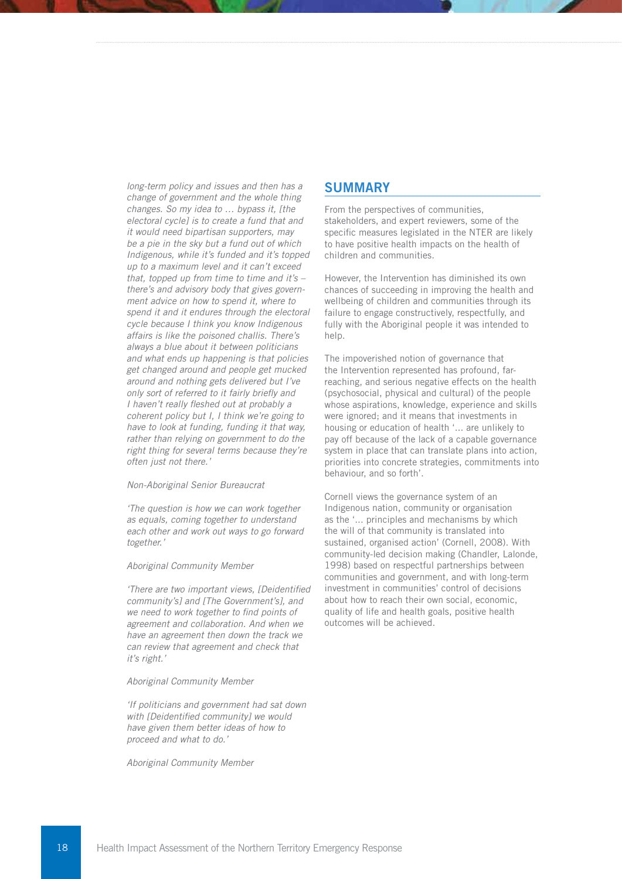*long-term policy and issues and then has a change of government and the whole thing changes. So my idea to … bypass it, [the electoral cycle] is to create a fund that and it would need bipartisan supporters, may be a pie in the sky but a fund out of which Indigenous, while it's funded and it's topped up to a maximum level and it can't exceed that, topped up from time to time and it's – there's and advisory body that gives government advice on how to spend it, where to spend it and it endures through the electoral cycle because I think you know Indigenous affairs is like the poisoned challis. There's always a blue about it between politicians and what ends up happening is that policies get changed around and people get mucked around and nothing gets delivered but I've*  only sort of referred to it fairly briefly and I haven't really fleshed out at probably a *coherent policy but I, I think we're going to have to look at funding, funding it that way, rather than relying on government to do the right thing for several terms because they're often just not there.'*

#### *Non-Aboriginal Senior Bureaucrat*

*'The question is how we can work together as equals, coming together to understand each other and work out ways to go forward together.'*

*Aboriginal Community Member*

'There are two important views, [Deidentified *community's] and [The Government's], and*  we need to work together to find points of *agreement and collaboration. And when we have an agreement then down the track we can review that agreement and check that it's right.'*

*Aboriginal Community Member*

*'If politicians and government had sat down*  with [Deidentified community] we would *have given them better ideas of how to proceed and what to do.'*

*Aboriginal Community Member* 

### **SUMMARY**

From the perspectives of communities, stakeholders, and expert reviewers, some of the specific measures legislated in the NTER are likely to have positive health impacts on the health of children and communities.

However, the Intervention has diminished its own chances of succeeding in improving the health and wellbeing of children and communities through its failure to engage constructively, respectfully, and fully with the Aboriginal people it was intended to help.

The impoverished notion of governance that the Intervention represented has profound, farreaching, and serious negative effects on the health (psychosocial, physical and cultural) of the people whose aspirations, knowledge, experience and skills were ignored; and it means that investments in housing or education of health '... are unlikely to pay off because of the lack of a capable governance system in place that can translate plans into action, priorities into concrete strategies, commitments into behaviour, and so forth'.

Cornell views the governance system of an Indigenous nation, community or organisation as the '... principles and mechanisms by which the will of that community is translated into sustained, organised action' (Cornell, 2008). With community-led decision making (Chandler, Lalonde, 1998) based on respectful partnerships between communities and government, and with long-term investment in communities' control of decisions about how to reach their own social, economic, quality of life and health goals, positive health outcomes will be achieved.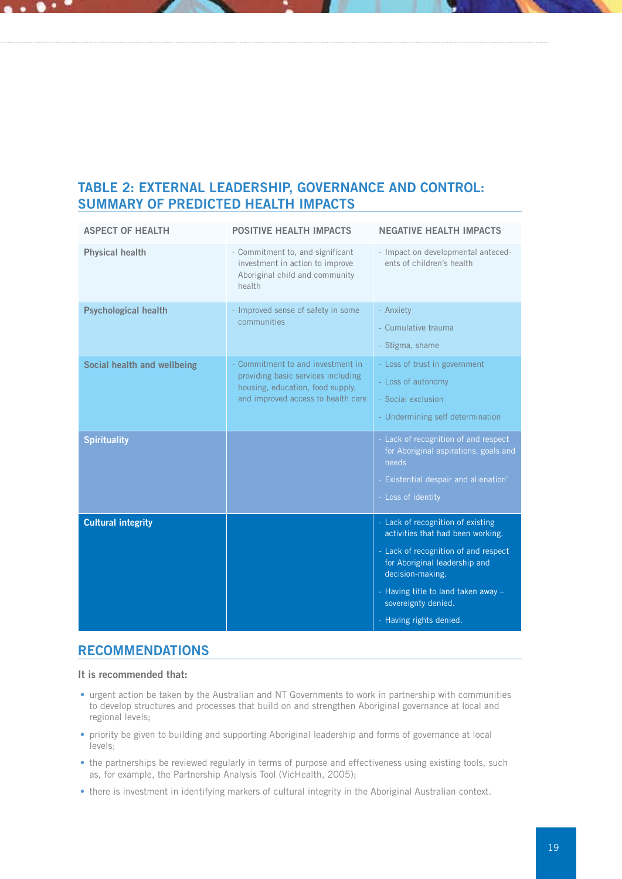#### ٠

## Table 2: External leadership, governance and control: summary of predicted health impacts

| <b>ASPECT OF HEALTH</b>     | <b>POSITIVE HEALTH IMPACTS</b>                                                                                                                    | <b>NEGATIVE HEALTH IMPACTS</b>                                                                                                                                                                                                                               |
|-----------------------------|---------------------------------------------------------------------------------------------------------------------------------------------------|--------------------------------------------------------------------------------------------------------------------------------------------------------------------------------------------------------------------------------------------------------------|
| <b>Physical health</b>      | - Commitment to, and significant<br>investment in action to improve<br>Aboriginal child and community<br>health                                   | - Impact on developmental anteced-<br>ents of children's health                                                                                                                                                                                              |
| <b>Psychological health</b> | - Improved sense of safety in some<br>communities                                                                                                 | - Anxiety<br>- Cumulative trauma<br>- Stigma, shame                                                                                                                                                                                                          |
| Social health and wellbeing | - Commitment to and investment in<br>providing basic services including<br>housing, education, food supply,<br>and improved access to health care | - Loss of trust in government<br>- Loss of autonomy<br>- Social exclusion<br>- Undermining self determination                                                                                                                                                |
| <b>Spirituality</b>         |                                                                                                                                                   | - Lack of recognition of and respect<br>for Aboriginal aspirations, goals and<br>needs<br>- Existential despair and alienation'<br>- Loss of identity                                                                                                        |
| <b>Cultural integrity</b>   |                                                                                                                                                   | - Lack of recognition of existing<br>activities that had been working.<br>- Lack of recognition of and respect<br>for Aboriginal leadership and<br>decision-making.<br>- Having title to land taken away -<br>sovereignty denied.<br>- Having rights denied. |

## **RECOMMENDATIONS**

#### It is recommended that:

- urgent action be taken by the Australian and NT Governments to work in partnership with communities to develop structures and processes that build on and strengthen Aboriginal governance at local and regional levels;
- priority be given to building and supporting Aboriginal leadership and forms of governance at local levels;
- the partnerships be reviewed regularly in terms of purpose and effectiveness using existing tools, such as, for example, the Partnership Analysis Tool (VicHealth, 2005);
- there is investment in identifying markers of cultural integrity in the Aboriginal Australian context.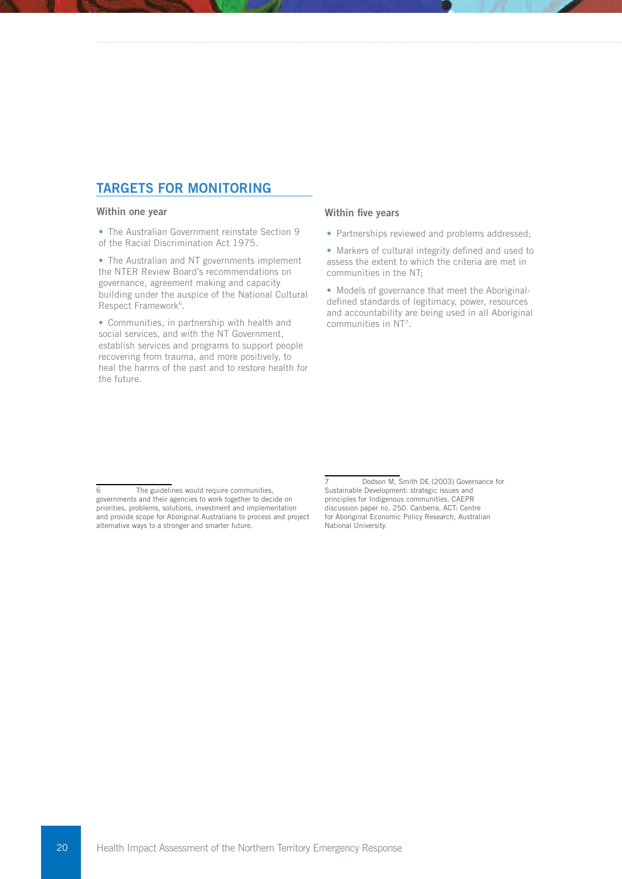## Targets for monitoring

#### Within one year

• The Australian Government reinstate Section 9 of the Racial Discrimination Act 1975.

• The Australian and NT governments implement the NTER Review Board's recommendations on governance, agreement making and capacity building under the auspice of the National Cultural Respect Framework<sup>6</sup>.

• Communities, in partnership with health and social services, and with the NT Government, establish services and programs to support people recovering from trauma, and more positively, to heal the harms of the past and to restore health for the future.

#### Within five years

- Partnerships reviewed and problems addressed;
- Markers of cultural integrity defined and used to assess the extent to which the criteria are met in communities in the NT;
- Models of governance that meet the Aboriginaldefined standards of legitimacy, power, resources and accountability are being used in all Aboriginal communities in NT7.

<sup>6</sup> The guidelines would require communities, governments and their agencies to work together to decide on priorities, problems, solutions, investment and implementation and provide scope for Aboriginal Australians to process and project alternative ways to a stronger and smarter future.

Dodson M, Smith DE (2003) Governance for Sustainable Development: strategic issues and principles for Indigenous communities. CAEPR discussion paper no. 250. Canberra, ACT: Centre for Aboriginal Economic Policy Research, Australian National University.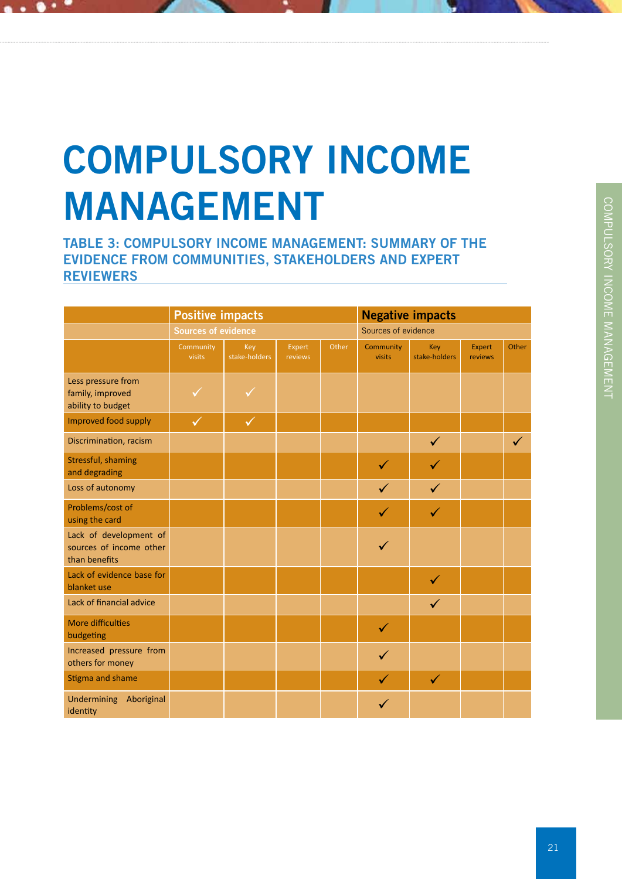## Compulsory Income **MANAGEMENT**

Table 3: Compulsory income management: summary of the evidence from communities, stakeholders and expert **REVIEWERS** 

|                                                                    | <b>Positive impacts</b>    |                      |                   |       |                     | <b>Negative impacts</b> |                          |       |
|--------------------------------------------------------------------|----------------------------|----------------------|-------------------|-------|---------------------|-------------------------|--------------------------|-------|
|                                                                    | <b>Sources of evidence</b> |                      |                   |       | Sources of evidence |                         |                          |       |
|                                                                    | Community<br>visits        | Key<br>stake-holders | Expert<br>reviews | Other | Community<br>visits | Key<br>stake-holders    | Expert<br><b>reviews</b> | Other |
| Less pressure from<br>family, improved<br>ability to budget        | $\checkmark$               |                      |                   |       |                     |                         |                          |       |
| Improved food supply                                               |                            |                      |                   |       |                     |                         |                          |       |
| Discrimination, racism                                             |                            |                      |                   |       |                     | $\checkmark$            |                          |       |
| <b>Stressful, shaming</b><br>and degrading                         |                            |                      |                   |       |                     |                         |                          |       |
| Loss of autonomy                                                   |                            |                      |                   |       |                     |                         |                          |       |
| Problems/cost of<br>using the card                                 |                            |                      |                   |       | $\checkmark$        | ✓                       |                          |       |
| Lack of development of<br>sources of income other<br>than benefits |                            |                      |                   |       |                     |                         |                          |       |
| Lack of evidence base for<br>blanket use                           |                            |                      |                   |       |                     | ✓                       |                          |       |
| Lack of financial advice                                           |                            |                      |                   |       |                     |                         |                          |       |
| <b>More difficulties</b><br>budgeting                              |                            |                      |                   |       | $\checkmark$        |                         |                          |       |
| Increased pressure from<br>others for money                        |                            |                      |                   |       | $\checkmark$        |                         |                          |       |
| Stigma and shame                                                   |                            |                      |                   |       |                     | ✓                       |                          |       |
| <b>Undermining</b><br>Aboriginal<br>identity                       |                            |                      |                   |       |                     |                         |                          |       |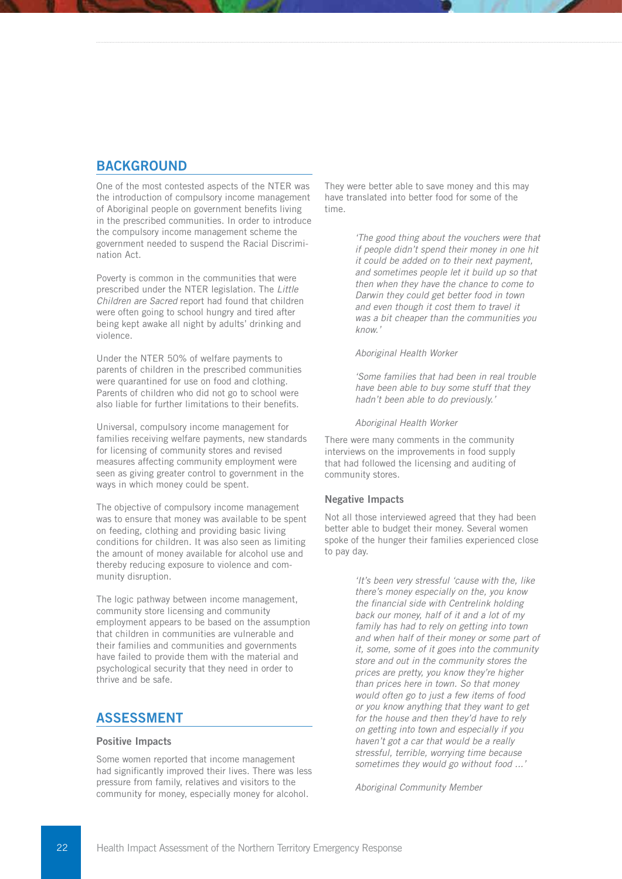## **BACKGROUND**

One of the most contested aspects of the NTER was the introduction of compulsory income management of Aboriginal people on government benefits living in the prescribed communities. In order to introduce the compulsory income management scheme the government needed to suspend the Racial Discrimination Act.

Poverty is common in the communities that were prescribed under the NTER legislation. The *Little Children are Sacred* report had found that children were often going to school hungry and tired after being kept awake all night by adults' drinking and violence.

Under the NTER 50% of welfare payments to parents of children in the prescribed communities were quarantined for use on food and clothing. Parents of children who did not go to school were also liable for further limitations to their benefits.

Universal, compulsory income management for families receiving welfare payments, new standards for licensing of community stores and revised measures affecting community employment were seen as giving greater control to government in the ways in which money could be spent.

The objective of compulsory income management was to ensure that money was available to be spent on feeding, clothing and providing basic living conditions for children. It was also seen as limiting the amount of money available for alcohol use and thereby reducing exposure to violence and community disruption.

The logic pathway between income management, community store licensing and community employment appears to be based on the assumption that children in communities are vulnerable and their families and communities and governments have failed to provide them with the material and psychological security that they need in order to thrive and be safe.

## Assessment

#### Positive Impacts

Some women reported that income management had significantly improved their lives. There was less pressure from family, relatives and visitors to the community for money, especially money for alcohol.

They were better able to save money and this may have translated into better food for some of the time.

> *'The good thing about the vouchers were that if people didn't spend their money in one hit it could be added on to their next payment, and sometimes people let it build up so that then when they have the chance to come to Darwin they could get better food in town and even though it cost them to travel it was a bit cheaper than the communities you know.'*

#### *Aboriginal Health Worker*

*'Some families that had been in real trouble have been able to buy some stuff that they hadn't been able to do previously.'*

*Aboriginal Health Worker*

There were many comments in the community interviews on the improvements in food supply that had followed the licensing and auditing of community stores.

#### Negative Impacts

Not all those interviewed agreed that they had been better able to budget their money. Several women spoke of the hunger their families experienced close to pay day.

> *'It's been very stressful 'cause with the, like there's money especially on the, you know*  the financial side with Centrelink holding *back our money, half of it and a lot of my family has had to rely on getting into town and when half of their money or some part of it, some, some of it goes into the community store and out in the community stores the prices are pretty, you know they're higher than prices here in town. So that money would often go to just a few items of food or you know anything that they want to get for the house and then they'd have to rely on getting into town and especially if you haven't got a car that would be a really stressful, terrible, worrying time because sometimes they would go without food ...'*

*Aboriginal Community Member*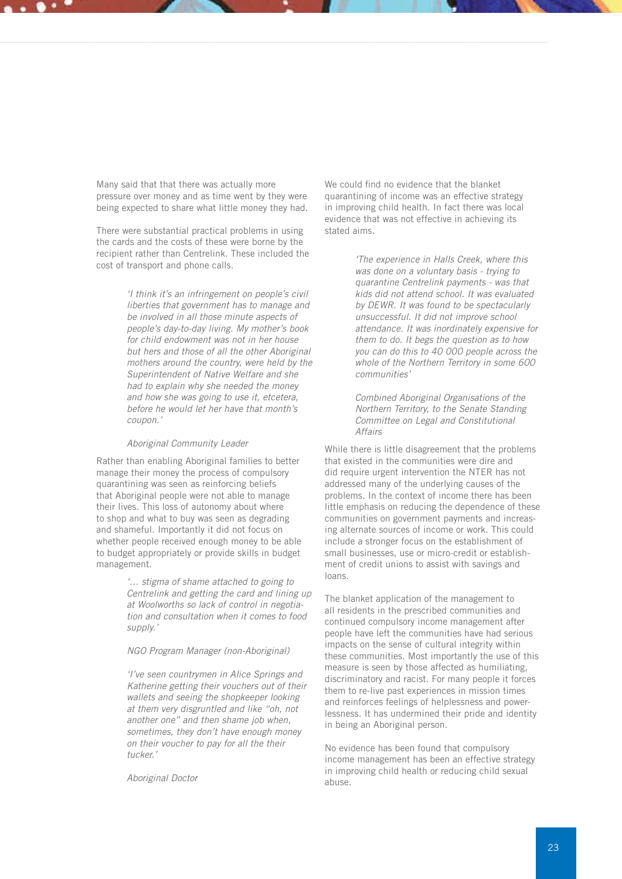Many said that that there was actually more pressure over money and as time went by they were being expected to share what little money they had.

There were substantial practical problems in using the cards and the costs of these were borne by the recipient rather than Centrelink. These included the cost of transport and phone calls.

> *'I think it's an infringement on people's civil liberties that government has to manage and be involved in all those minute aspects of people's day-to-day living. My mother's book for child endowment was not in her house but hers and those of all the other Aboriginal mothers around the country, were held by the Superintendent of Native Welfare and she had to explain why she needed the money and how she was going to use it, etcetera, before he would let her have that month's coupon.'*

#### *Aboriginal Community Leader*

Rather than enabling Aboriginal families to better manage their money the process of compulsory quarantining was seen as reinforcing beliefs that Aboriginal people were not able to manage their lives. This loss of autonomy about where to shop and what to buy was seen as degrading and shameful. Importantly it did not focus on whether people received enough money to be able to budget appropriately or provide skills in budget management.

> *'… stigma of shame attached to going to Centrelink and getting the card and lining up at Woolworths so lack of control in negotiation and consultation when it comes to food supply.'*

#### *NGO Program Manager (non-Aboriginal)*

*'I've seen countrymen in Alice Springs and Katherine getting their vouchers out of their wallets and seeing the shopkeeper looking at them very disgruntled and like "oh, not another one" and then shame job when, sometimes, they don't have enough money on their voucher to pay for all the their tucker.'*

#### *Aboriginal Doctor*

We could find no evidence that the blanket quarantining of income was an effective strategy in improving child health. In fact there was local evidence that was not effective in achieving its stated aims.

> *'The experience in Halls Creek, where this was done on a voluntary basis - trying to quarantine Centrelink payments - was that kids did not attend school. It was evaluated by DEWR. It was found to be spectacularly unsuccessful. It did not improve school attendance. It was inordinately expensive for them to do. It begs the question as to how you can do this to 40 000 people across the whole of the Northern Territory in some 600 communities'*

*Combined Aboriginal Organisations of the Northern Territory, to the Senate Standing Committee on Legal and Constitutional Affairs*

While there is little disagreement that the problems that existed in the communities were dire and did require urgent intervention the NTER has not addressed many of the underlying causes of the problems. In the context of income there has been little emphasis on reducing the dependence of these communities on government payments and increasing alternate sources of income or work. This could include a stronger focus on the establishment of small businesses, use or micro-credit or establishment of credit unions to assist with savings and loans.

The blanket application of the management to all residents in the prescribed communities and continued compulsory income management after people have left the communities have had serious impacts on the sense of cultural integrity within these communities. Most importantly the use of this measure is seen by those affected as humiliating, discriminatory and racist. For many people it forces them to re-live past experiences in mission times and reinforces feelings of helplessness and powerlessness. It has undermined their pride and identity in being an Aboriginal person.

No evidence has been found that compulsory income management has been an effective strategy in improving child health or reducing child sexual abuse.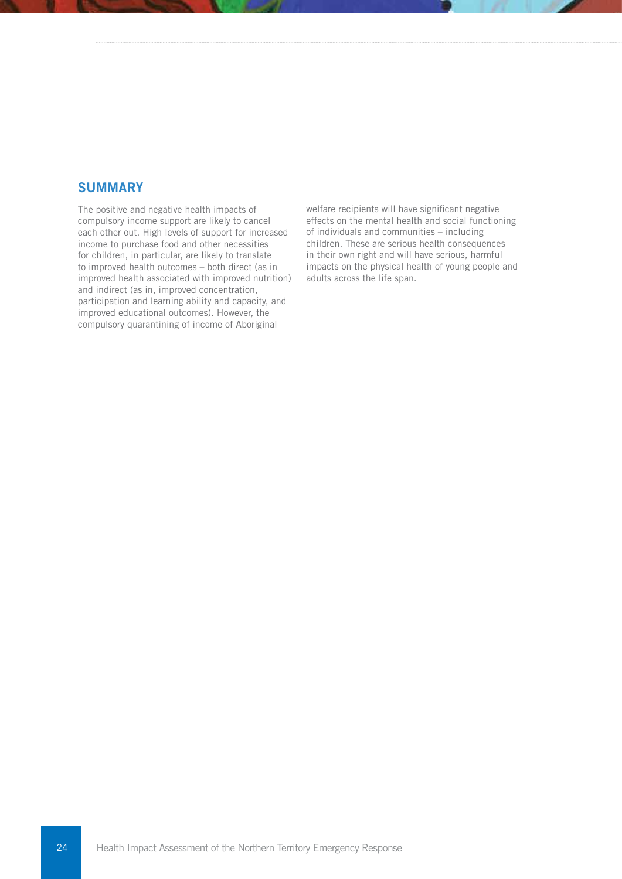## **SUMMARY**

The positive and negative health impacts of compulsory income support are likely to cancel each other out. High levels of support for increased income to purchase food and other necessities for children, in particular, are likely to translate to improved health outcomes – both direct (as in improved health associated with improved nutrition) and indirect (as in, improved concentration, participation and learning ability and capacity, and improved educational outcomes). However, the compulsory quarantining of income of Aboriginal

welfare recipients will have significant negative effects on the mental health and social functioning of individuals and communities – including children. These are serious health consequences in their own right and will have serious, harmful impacts on the physical health of young people and adults across the life span.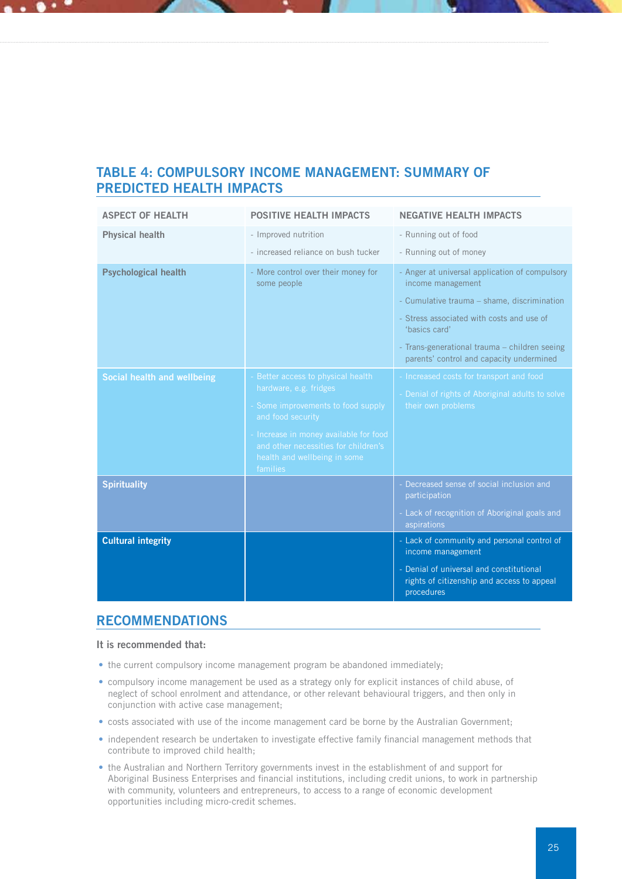## Table 4: Compulsory income management: summary of predicted health impacts

| <b>ASPECT OF HEALTH</b>     | <b>POSITIVE HEALTH IMPACTS</b>                                                                                                                                                                                                                  | <b>NEGATIVE HEALTH IMPACTS</b>                                                                                                                                                                                                                                                |
|-----------------------------|-------------------------------------------------------------------------------------------------------------------------------------------------------------------------------------------------------------------------------------------------|-------------------------------------------------------------------------------------------------------------------------------------------------------------------------------------------------------------------------------------------------------------------------------|
| <b>Physical health</b>      | - Improved nutrition<br>- increased reliance on bush tucker                                                                                                                                                                                     | - Running out of food<br>- Running out of money                                                                                                                                                                                                                               |
| <b>Psychological health</b> | - More control over their money for<br>some people                                                                                                                                                                                              | - Anger at universal application of compulsory<br>income management<br>- Cumulative trauma - shame, discrimination<br>- Stress associated with costs and use of<br>'basics card'<br>- Trans-generational trauma - children seeing<br>parents' control and capacity undermined |
| Social health and wellbeing | Better access to physical health<br>hardware, e.g. fridges<br>Some improvements to food supply<br>and food security<br>Increase in money available for food<br>and other necessities for children's<br>health and wellbeing in some<br>families | Increased costs for transport and food<br>Denial of rights of Aboriginal adults to solve<br>their own problems                                                                                                                                                                |
| <b>Spirituality</b>         |                                                                                                                                                                                                                                                 | - Decreased sense of social inclusion and<br>participation<br>- Lack of recognition of Aboriginal goals and<br>aspirations                                                                                                                                                    |
| <b>Cultural integrity</b>   |                                                                                                                                                                                                                                                 | - Lack of community and personal control of<br>income management<br>- Denial of universal and constitutional<br>rights of citizenship and access to appeal<br>procedures                                                                                                      |

## **RECOMMENDATIONS**

### It is recommended that:

- the current compulsory income management program be abandoned immediately;
- • compulsory income management be used as a strategy only for explicit instances of child abuse, of neglect of school enrolment and attendance, or other relevant behavioural triggers, and then only in conjunction with active case management;
- costs associated with use of the income management card be borne by the Australian Government;
- independent research be undertaken to investigate effective family financial management methods that contribute to improved child health;
- the Australian and Northern Territory governments invest in the establishment of and support for Aboriginal Business Enterprises and financial institutions, including credit unions, to work in partnership with community, volunteers and entrepreneurs, to access to a range of economic development opportunities including micro-credit schemes.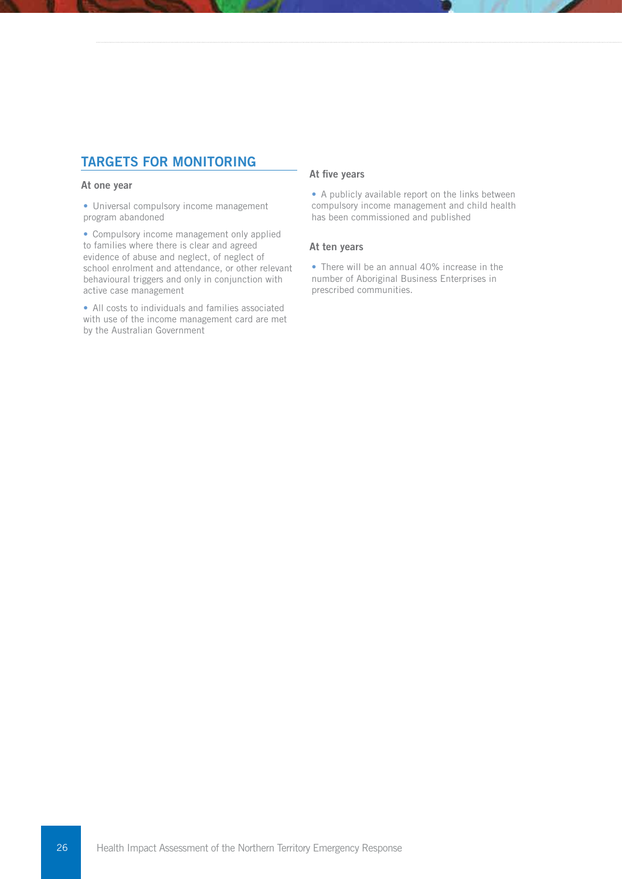## **TARGETS FOR MONITORING**

#### At one year

• Universal compulsory income management program abandoned

• Compulsory income management only applied to families where there is clear and agreed evidence of abuse and neglect, of neglect of school enrolment and attendance, or other relevant behavioural triggers and only in conjunction with active case management

• All costs to individuals and families associated with use of the income management card are met by the Australian Government

#### At five years

• A publicly available report on the links between compulsory income management and child health has been commissioned and published

#### At ten years

• There will be an annual 40% increase in the number of Aboriginal Business Enterprises in prescribed communities.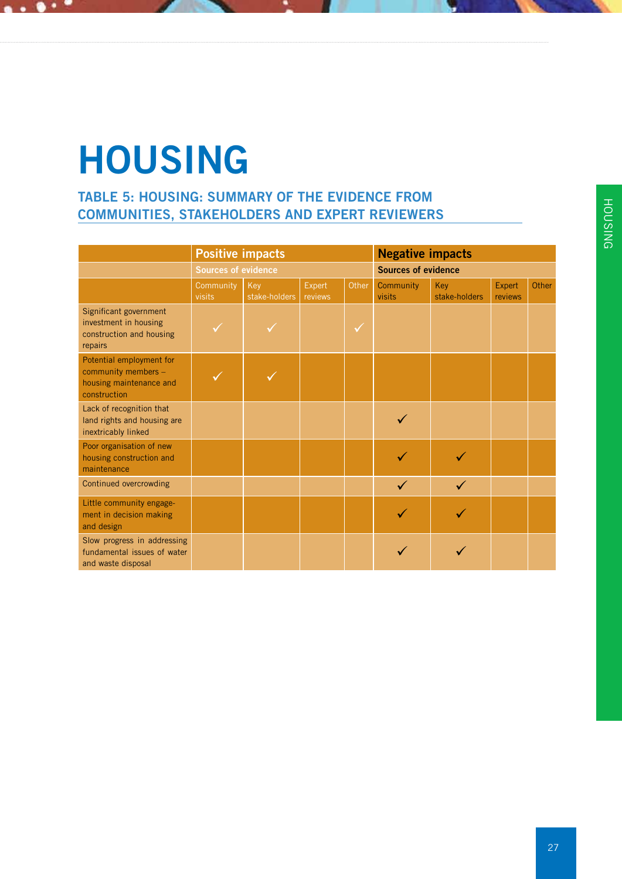### $\bullet$ .

# **HOUSING**

# Table 5: Housing: summary of the evidence from communities, stakeholders and expert reviewers

|                                                                                            | <b>Positive impacts</b>    |                      |                   |       | <b>Negative impacts</b>    |                      |                          |       |
|--------------------------------------------------------------------------------------------|----------------------------|----------------------|-------------------|-------|----------------------------|----------------------|--------------------------|-------|
|                                                                                            | <b>Sources of evidence</b> |                      |                   |       | <b>Sources of evidence</b> |                      |                          |       |
|                                                                                            | Community<br>visits        | Key<br>stake-holders | Expert<br>reviews | Other | Community<br>visits        | Key<br>stake-holders | Expert<br><b>reviews</b> | Other |
| Significant government<br>investment in housing<br>construction and housing<br>repairs     |                            |                      |                   |       |                            |                      |                          |       |
| Potential employment for<br>community members -<br>housing maintenance and<br>construction |                            |                      |                   |       |                            |                      |                          |       |
| Lack of recognition that<br>land rights and housing are<br>inextricably linked             |                            |                      |                   |       |                            |                      |                          |       |
| Poor organisation of new<br>housing construction and<br>maintenance                        |                            |                      |                   |       |                            |                      |                          |       |
| Continued overcrowding                                                                     |                            |                      |                   |       |                            |                      |                          |       |
| Little community engage-<br>ment in decision making<br>and design                          |                            |                      |                   |       |                            |                      |                          |       |
| Slow progress in addressing<br>fundamental issues of water<br>and waste disposal           |                            |                      |                   |       |                            |                      |                          |       |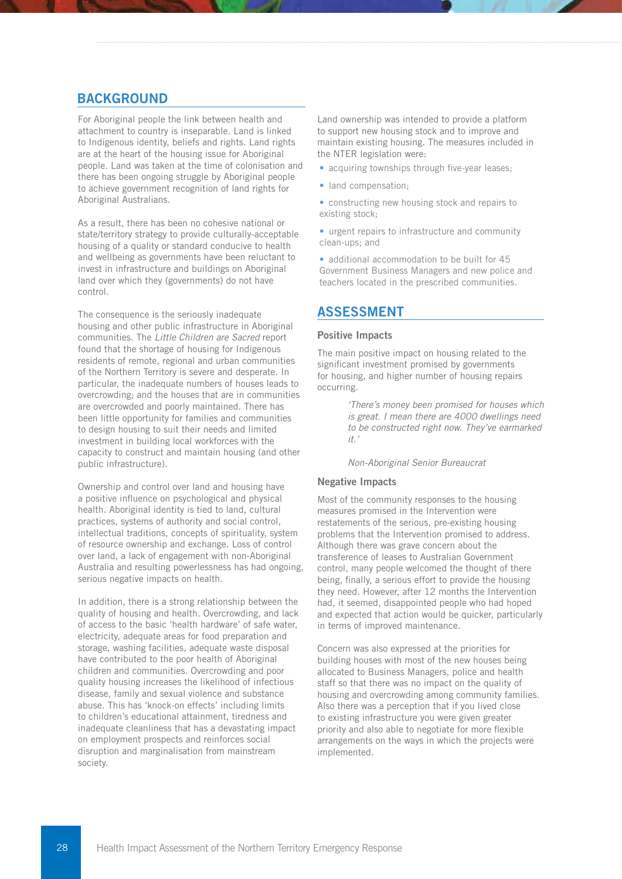## **BACKGROUND**

For Aboriginal people the link between health and attachment to country is inseparable. Land is linked to Indigenous identity, beliefs and rights. Land rights are at the heart of the housing issue for Aboriginal people. Land was taken at the time of colonisation and there has been ongoing struggle by Aboriginal people to achieve government recognition of land rights for Aboriginal Australians.

As a result, there has been no cohesive national or state/territory strategy to provide culturally-acceptable housing of a quality or standard conducive to health and wellbeing as governments have been reluctant to invest in infrastructure and buildings on Aboriginal land over which they (governments) do not have control.

The consequence is the seriously inadequate housing and other public infrastructure in Aboriginal communities. The *Little Children are Sacred* report found that the shortage of housing for Indigenous residents of remote, regional and urban communities of the Northern Territory is severe and desperate. In particular, the inadequate numbers of houses leads to overcrowding; and the houses that are in communities are overcrowded and poorly maintained. There has been little opportunity for families and communities to design housing to suit their needs and limited investment in building local workforces with the capacity to construct and maintain housing (and other public infrastructure).

Ownership and control over land and housing have a positive influence on psychological and physical health. Aboriginal identity is tied to land, cultural practices, systems of authority and social control, intellectual traditions, concepts of spirituality, system of resource ownership and exchange. Loss of control over land, a lack of engagement with non-Aboriginal Australia and resulting powerlessness has had ongoing, serious negative impacts on health.

In addition, there is a strong relationship between the quality of housing and health. Overcrowding, and lack of access to the basic 'health hardware' of safe water, electricity, adequate areas for food preparation and storage, washing facilities, adequate waste disposal have contributed to the poor health of Aboriginal children and communities. Overcrowding and poor quality housing increases the likelihood of infectious disease, family and sexual violence and substance abuse. This has 'knock-on effects' including limits to children's educational attainment, tiredness and inadequate cleanliness that has a devastating impact on employment prospects and reinforces social disruption and marginalisation from mainstream society.

Land ownership was intended to provide a platform to support new housing stock and to improve and maintain existing housing. The measures included in the NTER legislation were:

- acquiring townships through five-year leases;
- land compensation;
- constructing new housing stock and repairs to existing stock;
- urgent repairs to infrastructure and community clean-ups; and

• additional accommodation to be built for 45 Government Business Managers and new police and teachers located in the prescribed communities.

### **ASSESSMENT**

#### Positive Impacts

The main positive impact on housing related to the significant investment promised by governments for housing, and higher number of housing repairs occurring.

> *'There's money been promised for houses which is great. I mean there are 4000 dwellings need to be constructed right now. They've earmarked it.'*

#### *Non-Aboriginal Senior Bureaucrat*

#### Negative Impacts

Most of the community responses to the housing measures promised in the Intervention were restatements of the serious, pre-existing housing problems that the Intervention promised to address. Although there was grave concern about the transference of leases to Australian Government control, many people welcomed the thought of there being, finally, a serious effort to provide the housing they need. However, after 12 months the Intervention had, it seemed, disappointed people who had hoped and expected that action would be quicker, particularly in terms of improved maintenance.

Concern was also expressed at the priorities for building houses with most of the new houses being allocated to Business Managers, police and health staff so that there was no impact on the quality of housing and overcrowding among community families. Also there was a perception that if you lived close to existing infrastructure you were given greater priority and also able to negotiate for more flexible arrangements on the ways in which the projects were implemented.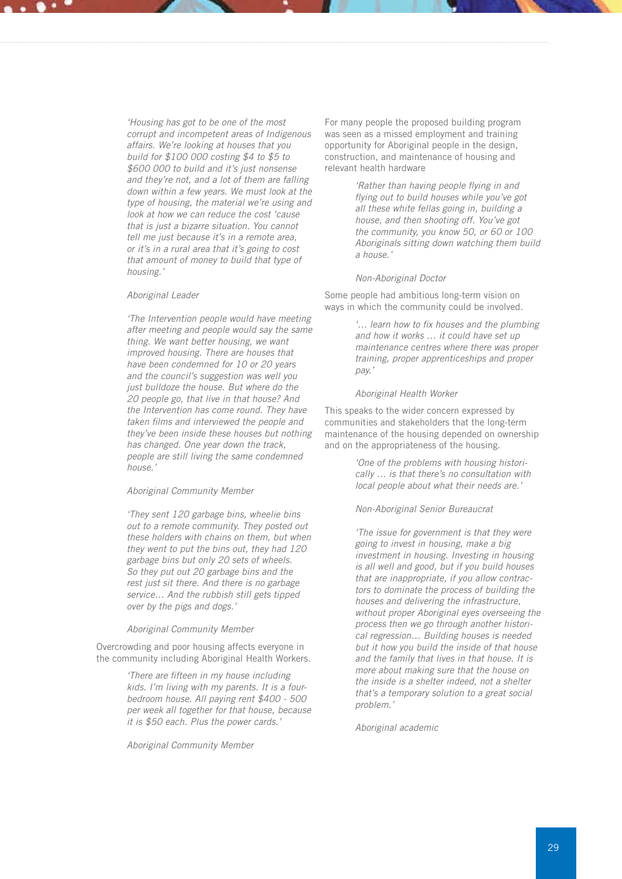*'Housing has got to be one of the most corrupt and incompetent areas of Indigenous affairs. We're looking at houses that you build for \$100 000 costing \$4 to \$5 to \$600 000 to build and it's just nonsense and they're not, and a lot of them are falling down within a few years. We must look at the type of housing, the material we're using and look at how we can reduce the cost 'cause that is just a bizarre situation. You cannot tell me just because it's in a remote area, or it's in a rural area that it's going to cost that amount of money to build that type of housing.'*

#### *Aboriginal Leader*

*'The Intervention people would have meeting after meeting and people would say the same thing. We want better housing, we want improved housing. There are houses that have been condemned for 10 or 20 years and the council's suggestion was well you just bulldoze the house. But where do the 20 people go, that live in that house? And the Intervention has come round. They have*  taken films and interviewed the people and *they've been inside these houses but nothing has changed. One year down the track, people are still living the same condemned house.'*

#### *Aboriginal Community Member*

*'They sent 120 garbage bins, wheelie bins out to a remote community. They posted out these holders with chains on them, but when they went to put the bins out, they had 120 garbage bins but only 20 sets of wheels. So they put out 20 garbage bins and the rest just sit there. And there is no garbage service… And the rubbish still gets tipped over by the pigs and dogs.'*

#### *Aboriginal Community Member*

Overcrowding and poor housing affects everyone in the community including Aboriginal Health Workers.

> 'There are fifteen in my house including *kids. I'm living with my parents. It is a fourbedroom house. All paying rent \$400 - 500 per week all together for that house, because it is \$50 each. Plus the power cards.'*

*Aboriginal Community Member*

For many people the proposed building program was seen as a missed employment and training opportunity for Aboriginal people in the design, construction, and maintenance of housing and relevant health hardware

> 'Rather than having people flying in and flying out to build houses while you've got *all these white fellas going in, building a house, and then shooting off. You've got the community, you know 50, or 60 or 100 Aboriginals sitting down watching them build a house.'*

#### *Non-Aboriginal Doctor*

Some people had ambitious long-term vision on ways in which the community could be involved.

> '… learn how to fix houses and the plumbing *and how it works … it could have set up maintenance centres where there was proper training, proper apprenticeships and proper pay.'*

#### *Aboriginal Health Worker*

This speaks to the wider concern expressed by communities and stakeholders that the long-term maintenance of the housing depended on ownership and on the appropriateness of the housing.

> *'One of the problems with housing historically … is that there's no consultation with local people about what their needs are.'*

*Non-Aboriginal Senior Bureaucrat*

*'The issue for government is that they were going to invest in housing, make a big investment in housing. Investing in housing is all well and good, but if you build houses that are inappropriate, if you allow contractors to dominate the process of building the houses and delivering the infrastructure, without proper Aboriginal eyes overseeing the process then we go through another historical regression… Building houses is needed but it how you build the inside of that house and the family that lives in that house. It is more about making sure that the house on the inside is a shelter indeed, not a shelter that's a temporary solution to a great social problem.'*

*Aboriginal academic*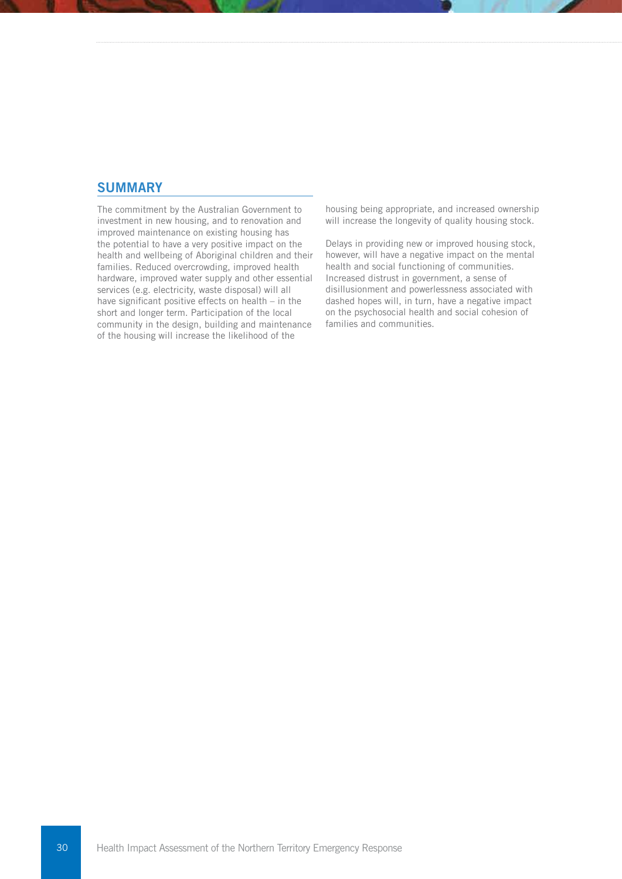### **SUMMARY**

The commitment by the Australian Government to investment in new housing, and to renovation and improved maintenance on existing housing has the potential to have a very positive impact on the health and wellbeing of Aboriginal children and their families. Reduced overcrowding, improved health hardware, improved water supply and other essential services (e.g. electricity, waste disposal) will all have significant positive effects on health – in the short and longer term. Participation of the local community in the design, building and maintenance of the housing will increase the likelihood of the

housing being appropriate, and increased ownership will increase the longevity of quality housing stock.

Delays in providing new or improved housing stock, however, will have a negative impact on the mental health and social functioning of communities. Increased distrust in government, a sense of disillusionment and powerlessness associated with dashed hopes will, in turn, have a negative impact on the psychosocial health and social cohesion of families and communities.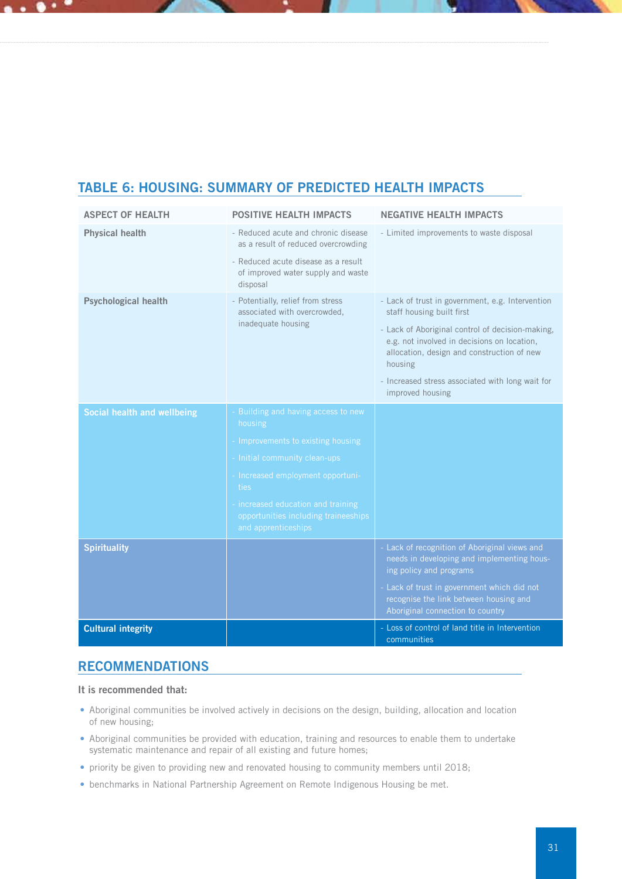### $\bullet$ .

# Table 6: Housing: summary of predicted health impacts

| <b>ASPECT OF HEALTH</b>     | <b>POSITIVE HEALTH IMPACTS</b>                                                                  | <b>NEGATIVE HEALTH IMPACTS</b>                                                                                                                           |
|-----------------------------|-------------------------------------------------------------------------------------------------|----------------------------------------------------------------------------------------------------------------------------------------------------------|
| <b>Physical health</b>      | - Reduced acute and chronic disease<br>as a result of reduced overcrowding                      | - Limited improvements to waste disposal                                                                                                                 |
|                             | - Reduced acute disease as a result<br>of improved water supply and waste<br>disposal           |                                                                                                                                                          |
| <b>Psychological health</b> | - Potentially, relief from stress<br>associated with overcrowded,                               | - Lack of trust in government, e.g. Intervention<br>staff housing built first                                                                            |
|                             | inadequate housing                                                                              | - Lack of Aboriginal control of decision-making,<br>e.g. not involved in decisions on location,<br>allocation, design and construction of new<br>housing |
|                             |                                                                                                 | - Increased stress associated with long wait for<br>improved housing                                                                                     |
| Social health and wellbeing | Building and having access to new<br>housing                                                    |                                                                                                                                                          |
|                             | - Improvements to existing housing                                                              |                                                                                                                                                          |
|                             | - Initial community clean-ups                                                                   |                                                                                                                                                          |
|                             | - Increased employment opportuni-<br>ties                                                       |                                                                                                                                                          |
|                             | increased education and training<br>opportunities including traineeships<br>and apprenticeships |                                                                                                                                                          |
| <b>Spirituality</b>         |                                                                                                 | - Lack of recognition of Aboriginal views and<br>needs in developing and implementing hous-<br>ing policy and programs                                   |
|                             |                                                                                                 | - Lack of trust in government which did not<br>recognise the link between housing and<br>Aboriginal connection to country                                |
| <b>Cultural integrity</b>   |                                                                                                 | - Loss of control of land title in Intervention<br>communities                                                                                           |

# **RECOMMENDATIONS**

#### It is recommended that:

- Aboriginal communities be involved actively in decisions on the design, building, allocation and location of new housing;
- Aboriginal communities be provided with education, training and resources to enable them to undertake systematic maintenance and repair of all existing and future homes;
- priority be given to providing new and renovated housing to community members until 2018;
- benchmarks in National Partnership Agreement on Remote Indigenous Housing be met.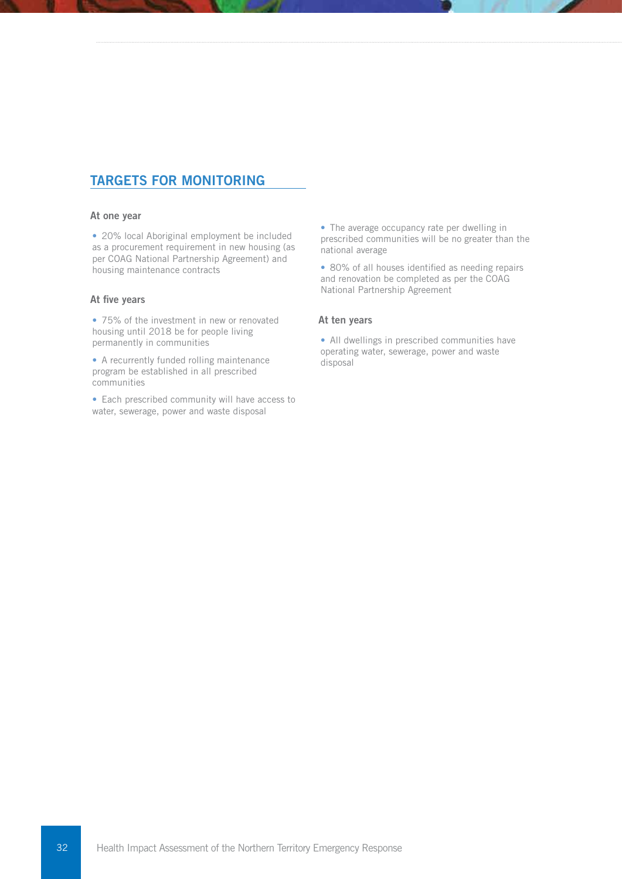# TARGETS FOR MONITORING

#### At one year

• 20% local Aboriginal employment be included as a procurement requirement in new housing (as per COAG National Partnership Agreement) and housing maintenance contracts

#### At five years

• 75% of the investment in new or renovated housing until 2018 be for people living permanently in communities

• A recurrently funded rolling maintenance program be established in all prescribed communities

• Each prescribed community will have access to water, sewerage, power and waste disposal

• The average occupancy rate per dwelling in prescribed communities will be no greater than the national average

• 80% of all houses identified as needing repairs and renovation be completed as per the COAG National Partnership Agreement

#### At ten years

• All dwellings in prescribed communities have operating water, sewerage, power and waste disposal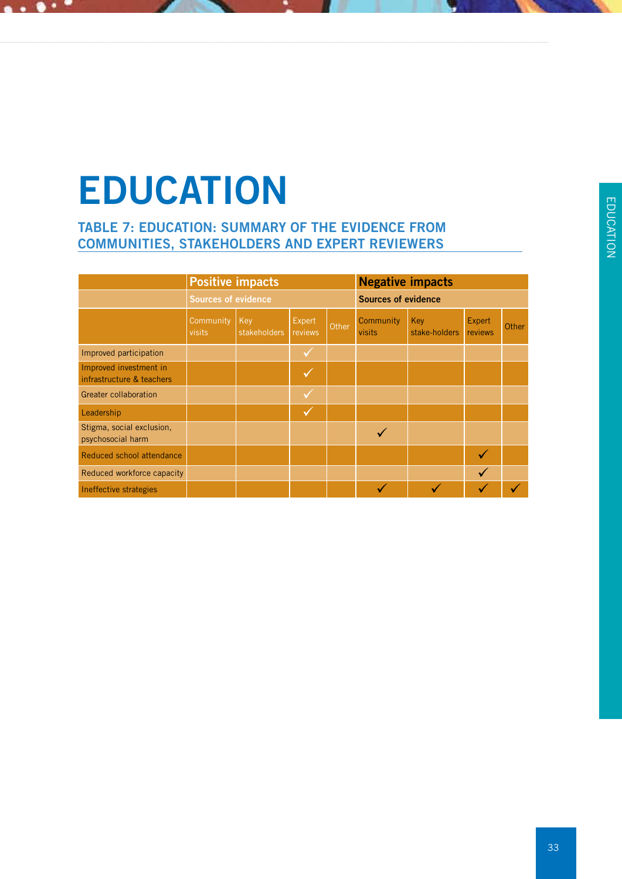### $\bullet$  .

# **EDUCATION**

Table 7: Education: summary of the evidence from communities, stakeholders and expert reviewers

|                                                     | <b>Positive impacts</b>    |                            |                          |       | <b>Negative impacts</b>    |                      |                          |       |
|-----------------------------------------------------|----------------------------|----------------------------|--------------------------|-------|----------------------------|----------------------|--------------------------|-------|
|                                                     | <b>Sources of evidence</b> |                            |                          |       | <b>Sources of evidence</b> |                      |                          |       |
|                                                     | Community<br><b>visits</b> | Key<br><b>stakeholders</b> | <b>Expert</b><br>reviews | Other | Community<br><b>visits</b> | Key<br>stake-holders | <b>Expert</b><br>reviews | Other |
| Improved participation                              |                            |                            |                          |       |                            |                      |                          |       |
| Improved investment in<br>infrastructure & teachers |                            |                            |                          |       |                            |                      |                          |       |
| <b>Greater collaboration</b>                        |                            |                            |                          |       |                            |                      |                          |       |
| Leadership                                          |                            |                            |                          |       |                            |                      |                          |       |
| Stigma, social exclusion,<br>psychosocial harm      |                            |                            |                          |       |                            |                      |                          |       |
| Reduced school attendance                           |                            |                            |                          |       |                            |                      |                          |       |
| Reduced workforce capacity                          |                            |                            |                          |       |                            |                      |                          |       |
| Ineffective strategies                              |                            |                            |                          |       |                            |                      |                          |       |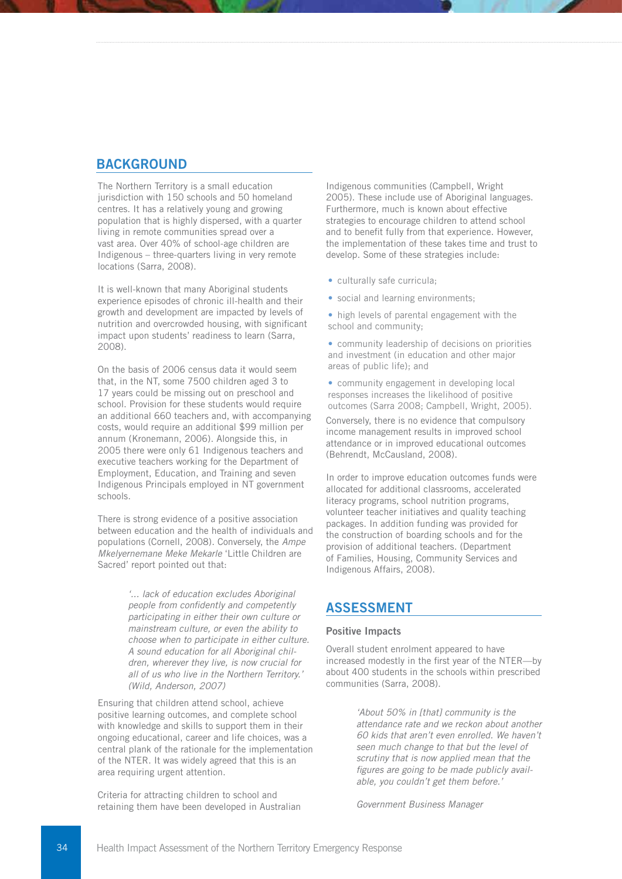# **BACKGROUND**

The Northern Territory is a small education jurisdiction with 150 schools and 50 homeland centres. It has a relatively young and growing population that is highly dispersed, with a quarter living in remote communities spread over a vast area. Over 40% of school-age children are Indigenous – three-quarters living in very remote locations (Sarra, 2008).

It is well-known that many Aboriginal students experience episodes of chronic ill-health and their growth and development are impacted by levels of nutrition and overcrowded housing, with significant impact upon students' readiness to learn (Sarra, 2008).

On the basis of 2006 census data it would seem that, in the NT, some 7500 children aged 3 to 17 years could be missing out on preschool and school. Provision for these students would require an additional 660 teachers and, with accompanying costs, would require an additional \$99 million per annum (Kronemann, 2006). Alongside this, in 2005 there were only 61 Indigenous teachers and executive teachers working for the Department of Employment, Education, and Training and seven Indigenous Principals employed in NT government schools.

There is strong evidence of a positive association between education and the health of individuals and populations (Cornell, 2008). Conversely, the *Ampe Mkelyernemane Meke Mekarle* 'Little Children are Sacred' report pointed out that:

> *'... lack of education excludes Aboriginal*  people from confidently and competently *participating in either their own culture or mainstream culture, or even the ability to choose when to participate in either culture. A sound education for all Aboriginal children, wherever they live, is now crucial for all of us who live in the Northern Territory.' (Wild, Anderson, 2007)*

Ensuring that children attend school, achieve positive learning outcomes, and complete school with knowledge and skills to support them in their ongoing educational, career and life choices, was a central plank of the rationale for the implementation of the NTER. It was widely agreed that this is an area requiring urgent attention.

Criteria for attracting children to school and retaining them have been developed in Australian

Indigenous communities (Campbell, Wright 2005). These include use of Aboriginal languages. Furthermore, much is known about effective strategies to encourage children to attend school and to benefit fully from that experience. However, the implementation of these takes time and trust to develop. Some of these strategies include:

- culturally safe curricula;
- social and learning environments;

• high levels of parental engagement with the school and community;

• community leadership of decisions on priorities and investment (in education and other major areas of public life); and

• community engagement in developing local responses increases the likelihood of positive outcomes (Sarra 2008; Campbell, Wright, 2005).

Conversely, there is no evidence that compulsory income management results in improved school attendance or in improved educational outcomes (Behrendt, McCausland, 2008).

In order to improve education outcomes funds were allocated for additional classrooms, accelerated literacy programs, school nutrition programs, volunteer teacher initiatives and quality teaching packages. In addition funding was provided for the construction of boarding schools and for the provision of additional teachers. (Department of Families, Housing, Community Services and Indigenous Affairs, 2008).

# **ASSESSMENT**

#### Positive Impacts

Overall student enrolment appeared to have increased modestly in the first year of the NTER—by about 400 students in the schools within prescribed communities (Sarra, 2008).

> *'About 50% in [that] community is the attendance rate and we reckon about another 60 kids that aren't even enrolled. We haven't seen much change to that but the level of scrutiny that is now applied mean that the*  figures are going to be made publicly avail*able, you couldn't get them before.'*

*Government Business Manager*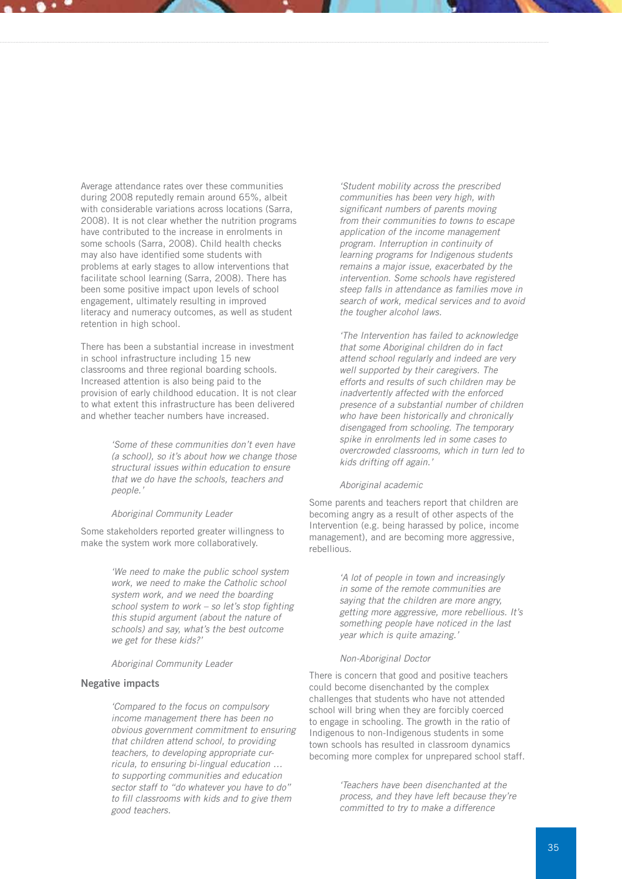Average attendance rates over these communities during 2008 reputedly remain around 65%, albeit with considerable variations across locations (Sarra, 2008). It is not clear whether the nutrition programs have contributed to the increase in enrolments in some schools (Sarra, 2008). Child health checks may also have identified some students with problems at early stages to allow interventions that facilitate school learning (Sarra, 2008). There has been some positive impact upon levels of school engagement, ultimately resulting in improved literacy and numeracy outcomes, as well as student retention in high school.

There has been a substantial increase in investment in school infrastructure including 15 new classrooms and three regional boarding schools. Increased attention is also being paid to the provision of early childhood education. It is not clear to what extent this infrastructure has been delivered and whether teacher numbers have increased.

> *'Some of these communities don't even have (a school), so it's about how we change those structural issues within education to ensure that we do have the schools, teachers and people.'*

#### *Aboriginal Community Leader*

Some stakeholders reported greater willingness to make the system work more collaboratively.

> *'We need to make the public school system work, we need to make the Catholic school system work, and we need the boarding*  school system to work – so let's stop fighting *this stupid argument (about the nature of schools) and say, what's the best outcome we get for these kids?'*

#### *Aboriginal Community Leader*

#### Negative impacts

*'Compared to the focus on compulsory income management there has been no obvious government commitment to ensuring that children attend school, to providing teachers, to developing appropriate curricula, to ensuring bi-lingual education … to supporting communities and education sector staff to "do whatever you have to do"*  to fill classrooms with kids and to give them *good teachers.*

*'Student mobility across the prescribed communities has been very high, with*  significant numbers of parents moving *from their communities to towns to escape application of the income management program. Interruption in continuity of learning programs for Indigenous students remains a major issue, exacerbated by the intervention. Some schools have registered steep falls in attendance as families move in search of work, medical services and to avoid the tougher alcohol laws.*

*'The Intervention has failed to acknowledge that some Aboriginal children do in fact attend school regularly and indeed are very well supported by their caregivers. The efforts and results of such children may be inadvertently affected with the enforced presence of a substantial number of children who have been historically and chronically disengaged from schooling. The temporary spike in enrolments led in some cases to overcrowded classrooms, which in turn led to kids drifting off again.'*

#### *Aboriginal academic*

Some parents and teachers report that children are becoming angry as a result of other aspects of the Intervention (e.g. being harassed by police, income management), and are becoming more aggressive, rebellious.

> *'A lot of people in town and increasingly in some of the remote communities are saying that the children are more angry, getting more aggressive, more rebellious. It's something people have noticed in the last year which is quite amazing.'*

#### *Non-Aboriginal Doctor*

There is concern that good and positive teachers could become disenchanted by the complex challenges that students who have not attended school will bring when they are forcibly coerced to engage in schooling. The growth in the ratio of Indigenous to non-Indigenous students in some town schools has resulted in classroom dynamics becoming more complex for unprepared school staff.

> *'Teachers have been disenchanted at the process, and they have left because they're committed to try to make a difference*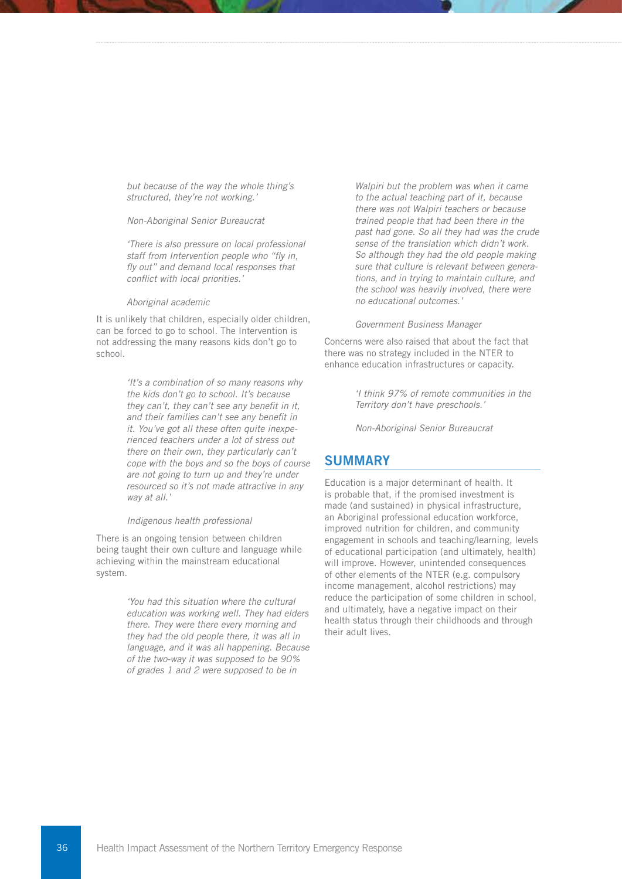*but because of the way the whole thing's structured, they're not working.'*

#### *Non-Aboriginal Senior Bureaucrat*

*'There is also pressure on local professional*  staff from Intervention people who "fly in, fly out" and demand local responses that conflict with local priorities.'

#### *Aboriginal academic*

It is unlikely that children, especially older children, can be forced to go to school. The Intervention is not addressing the many reasons kids don't go to school.

> *'It's a combination of so many reasons why the kids don't go to school. It's because*  they can't, they can't see any benefit in it, and their families can't see any benefit in *it. You've got all these often quite inexperienced teachers under a lot of stress out there on their own, they particularly can't cope with the boys and so the boys of course are not going to turn up and they're under resourced so it's not made attractive in any way at all.'*

#### *Indigenous health professional*

There is an ongoing tension between children being taught their own culture and language while achieving within the mainstream educational system.

> *'You had this situation where the cultural education was working well. They had elders there. They were there every morning and they had the old people there, it was all in language, and it was all happening. Because of the two-way it was supposed to be 90% of grades 1 and 2 were supposed to be in*

*Walpiri but the problem was when it came to the actual teaching part of it, because there was not Walpiri teachers or because trained people that had been there in the past had gone. So all they had was the crude sense of the translation which didn't work. So although they had the old people making sure that culture is relevant between generations, and in trying to maintain culture, and the school was heavily involved, there were no educational outcomes.'*

#### *Government Business Manager*

Concerns were also raised that about the fact that there was no strategy included in the NTER to enhance education infrastructures or capacity.

> *'I think 97% of remote communities in the Territory don't have preschools.'*

*Non-Aboriginal Senior Bureaucrat*

### **SUMMARY**

Education is a major determinant of health. It is probable that, if the promised investment is made (and sustained) in physical infrastructure, an Aboriginal professional education workforce, improved nutrition for children, and community engagement in schools and teaching/learning, levels of educational participation (and ultimately, health) will improve. However, unintended consequences of other elements of the NTER (e.g. compulsory income management, alcohol restrictions) may reduce the participation of some children in school, and ultimately, have a negative impact on their health status through their childhoods and through their adult lives.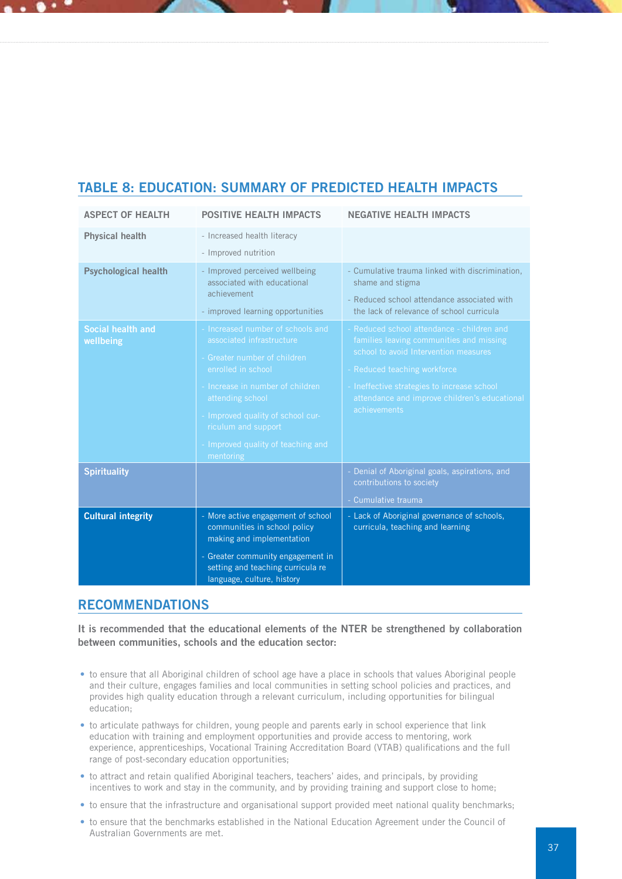# Table 8: Education: summary of predicted health impacts

| <b>ASPECT OF HEALTH</b>        | <b>POSITIVE HEALTH IMPACTS</b>                                                                                                                                                                                                                                                              | <b>NEGATIVE HEALTH IMPACTS</b>                                                                                                                                                                                                                                              |
|--------------------------------|---------------------------------------------------------------------------------------------------------------------------------------------------------------------------------------------------------------------------------------------------------------------------------------------|-----------------------------------------------------------------------------------------------------------------------------------------------------------------------------------------------------------------------------------------------------------------------------|
| <b>Physical health</b>         | - Increased health literacy<br>- Improved nutrition                                                                                                                                                                                                                                         |                                                                                                                                                                                                                                                                             |
| <b>Psychological health</b>    | - Improved perceived wellbeing<br>associated with educational<br>achievement<br>- improved learning opportunities                                                                                                                                                                           | - Cumulative trauma linked with discrimination,<br>shame and stigma<br>- Reduced school attendance associated with<br>the lack of relevance of school curricula                                                                                                             |
| Social health and<br>wellbeing | - Increased number of schools and<br>associated infrastructure<br>- Greater number of children<br>enrolled in school<br>- Increase in number of children<br>attending school<br>- Improved quality of school cur-<br>riculum and support<br>- Improved quality of teaching and<br>mentoring | Reduced school attendance - children and<br>families leaving communities and missing<br>school to avoid Intervention measures<br>- Reduced teaching workforce<br>Ineffective strategies to increase school<br>attendance and improve children's educational<br>achievements |
| <b>Spirituality</b>            |                                                                                                                                                                                                                                                                                             | - Denial of Aboriginal goals, aspirations, and<br>contributions to society<br>- Cumulative trauma                                                                                                                                                                           |
| <b>Cultural integrity</b>      | - More active engagement of school<br>communities in school policy<br>making and implementation<br>- Greater community engagement in<br>setting and teaching curricula re<br>language, culture, history                                                                                     | - Lack of Aboriginal governance of schools,<br>curricula, teaching and learning                                                                                                                                                                                             |

# **RECOMMENDATIONS**

It is recommended that the educational elements of the NTER be strengthened by collaboration between communities, schools and the education sector:

- to ensure that all Aboriginal children of school age have a place in schools that values Aboriginal people and their culture, engages families and local communities in setting school policies and practices, and provides high quality education through a relevant curriculum, including opportunities for bilingual education;
- to articulate pathways for children, young people and parents early in school experience that link education with training and employment opportunities and provide access to mentoring, work experience, apprenticeships, Vocational Training Accreditation Board (VTAB) qualifications and the full range of post-secondary education opportunities;
- to attract and retain qualified Aboriginal teachers, teachers' aides, and principals, by providing incentives to work and stay in the community, and by providing training and support close to home;
- to ensure that the infrastructure and organisational support provided meet national quality benchmarks;
- to ensure that the benchmarks established in the National Education Agreement under the Council of Australian Governments are met.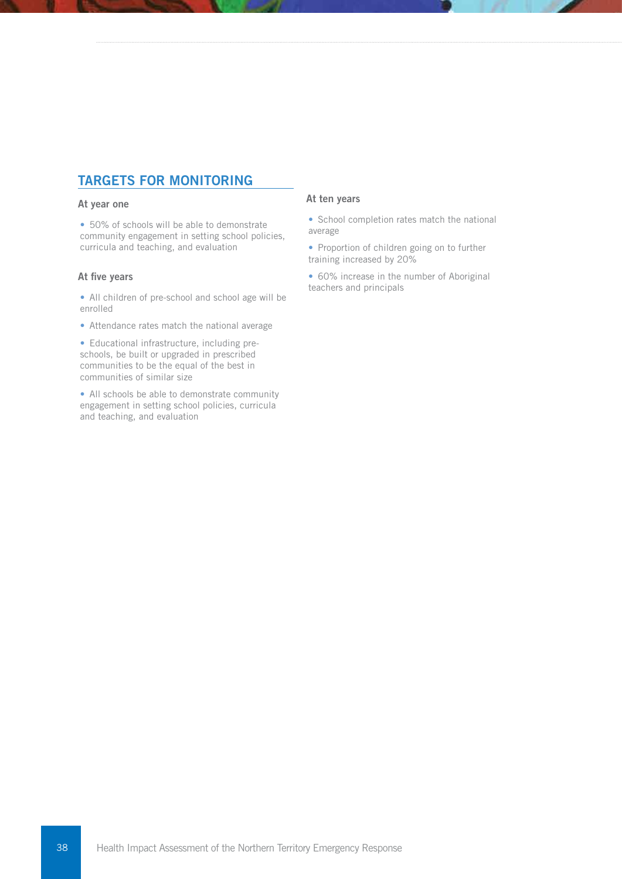# TARGETS FOR MONITORING

#### At year one

• 50% of schools will be able to demonstrate community engagement in setting school policies, curricula and teaching, and evaluation

#### At five years

• All children of pre-school and school age will be enrolled

• Attendance rates match the national average

• Educational infrastructure, including preschools, be built or upgraded in prescribed communities to be the equal of the best in communities of similar size

• All schools be able to demonstrate community engagement in setting school policies, curricula and teaching, and evaluation

#### At ten years

• School completion rates match the national average

• Proportion of children going on to further training increased by 20%

• 60% increase in the number of Aboriginal teachers and principals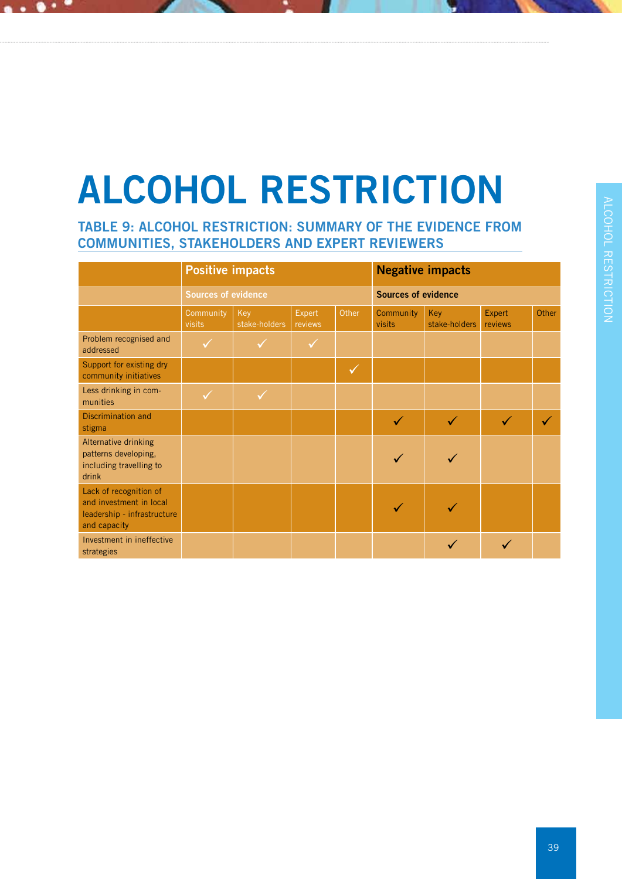# Alcohol Restriction

Table 9: Alcohol restriction: summary of the evidence from communities, stakeholders and expert reviewers

|                                                                                                  | <b>Positive impacts</b>    |                      |                   |              | <b>Negative impacts</b>    |                      |                          |       |
|--------------------------------------------------------------------------------------------------|----------------------------|----------------------|-------------------|--------------|----------------------------|----------------------|--------------------------|-------|
|                                                                                                  | <b>Sources of evidence</b> |                      |                   |              | <b>Sources of evidence</b> |                      |                          |       |
|                                                                                                  | Community<br><b>visits</b> | Key<br>stake-holders | Expert<br>reviews | Other        | Community<br>visits        | Key<br>stake-holders | <b>Expert</b><br>reviews | Other |
| Problem recognised and<br>addressed                                                              |                            |                      | $\checkmark$      |              |                            |                      |                          |       |
| Support for existing dry<br>community initiatives                                                |                            |                      |                   | $\checkmark$ |                            |                      |                          |       |
| Less drinking in com-<br>munities                                                                | $\checkmark$               | $\checkmark$         |                   |              |                            |                      |                          |       |
| Discrimination and<br>stigma                                                                     |                            |                      |                   |              | ✓                          | ✓                    | ✓                        |       |
| Alternative drinking<br>patterns developing,<br>including travelling to<br>drink                 |                            |                      |                   |              |                            |                      |                          |       |
| Lack of recognition of<br>and investment in local<br>leadership - infrastructure<br>and capacity |                            |                      |                   |              |                            |                      |                          |       |
| Investment in ineffective<br>strategies                                                          |                            |                      |                   |              |                            |                      |                          |       |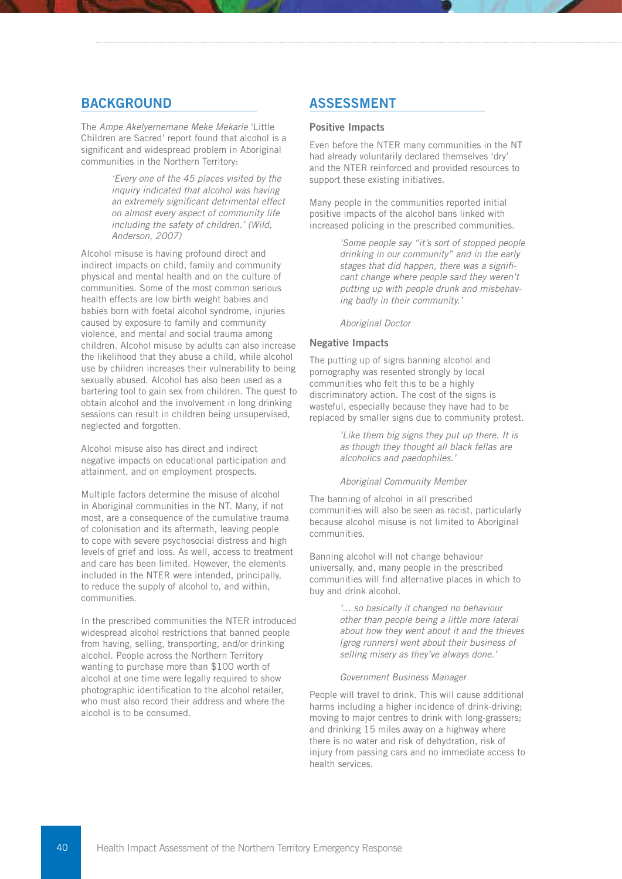## BACKGROUND ASSESSMENT

The *Ampe Akelyernemane Meke Mekarle* 'Little Children are Sacred' report found that alcohol is a significant and widespread problem in Aboriginal communities in the Northern Territory:

> *'Every one of the 45 places visited by the inquiry indicated that alcohol was having*  an extremely significant detrimental effect *on almost every aspect of community life including the safety of children.' (Wild, Anderson, 2007)*

Alcohol misuse is having profound direct and indirect impacts on child, family and community physical and mental health and on the culture of communities. Some of the most common serious health effects are low birth weight babies and babies born with foetal alcohol syndrome, injuries caused by exposure to family and community violence, and mental and social trauma among children. Alcohol misuse by adults can also increase the likelihood that they abuse a child, while alcohol use by children increases their vulnerability to being sexually abused. Alcohol has also been used as a bartering tool to gain sex from children. The quest to obtain alcohol and the involvement in long drinking sessions can result in children being unsupervised, neglected and forgotten.

Alcohol misuse also has direct and indirect negative impacts on educational participation and attainment, and on employment prospects.

Multiple factors determine the misuse of alcohol in Aboriginal communities in the NT. Many, if not most, are a consequence of the cumulative trauma of colonisation and its aftermath, leaving people to cope with severe psychosocial distress and high levels of grief and loss. As well, access to treatment and care has been limited. However, the elements included in the NTER were intended, principally, to reduce the supply of alcohol to, and within, communities.

In the prescribed communities the NTER introduced widespread alcohol restrictions that banned people from having, selling, transporting, and/or drinking alcohol. People across the Northern Territory wanting to purchase more than \$100 worth of alcohol at one time were legally required to show photographic identification to the alcohol retailer, who must also record their address and where the alcohol is to be consumed.

#### Positive Impacts

Even before the NTER many communities in the NT had already voluntarily declared themselves 'dry' and the NTER reinforced and provided resources to support these existing initiatives.

Many people in the communities reported initial positive impacts of the alcohol bans linked with increased policing in the prescribed communities.

> *'Some people say "it's sort of stopped people drinking in our community" and in the early*  stages that did happen, there was a signifi*cant change where people said they weren't putting up with people drunk and misbehaving badly in their community.'*

#### *Aboriginal Doctor*

#### Negative Impacts

The putting up of signs banning alcohol and pornography was resented strongly by local communities who felt this to be a highly discriminatory action. The cost of the signs is wasteful, especially because they have had to be replaced by smaller signs due to community protest.

> *'Like them big signs they put up there. It is as though they thought all black fellas are alcoholics and paedophiles.'*

#### *Aboriginal Community Member*

The banning of alcohol in all prescribed communities will also be seen as racist, particularly because alcohol misuse is not limited to Aboriginal communities.

Banning alcohol will not change behaviour universally, and, many people in the prescribed communities will find alternative places in which to buy and drink alcohol.

> *'... so basically it changed no behaviour other than people being a little more lateral about how they went about it and the thieves [grog runners] went about their business of selling misery as they've always done.'*

#### *Government Business Manager*

People will travel to drink. This will cause additional harms including a higher incidence of drink-driving; moving to major centres to drink with long-grassers; and drinking 15 miles away on a highway where there is no water and risk of dehydration, risk of injury from passing cars and no immediate access to health services.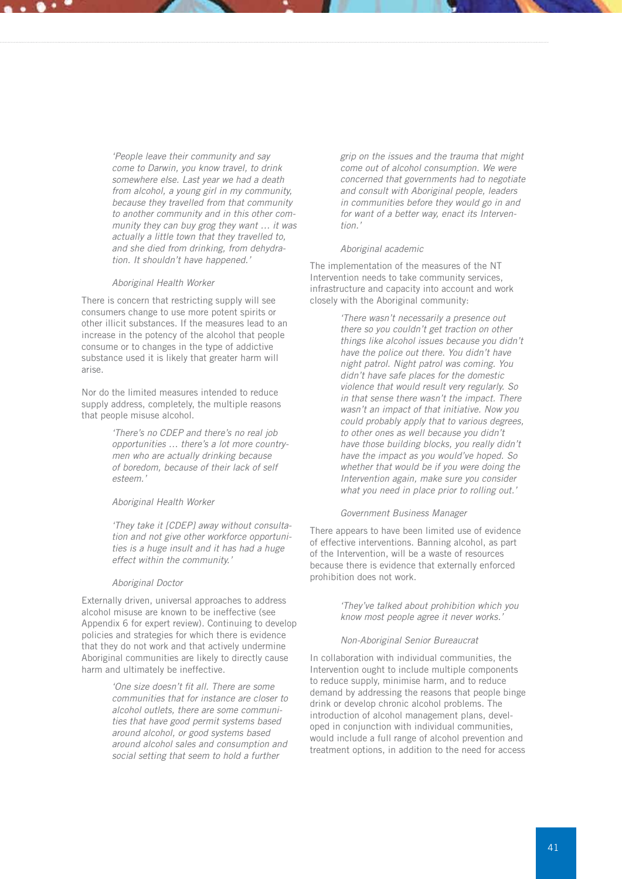*'People leave their community and say come to Darwin, you know travel, to drink somewhere else. Last year we had a death from alcohol, a young girl in my community, because they travelled from that community to another community and in this other community they can buy grog they want … it was actually a little town that they travelled to, and she died from drinking, from dehydration. It shouldn't have happened.'*

#### *Aboriginal Health Worker*

There is concern that restricting supply will see consumers change to use more potent spirits or other illicit substances. If the measures lead to an increase in the potency of the alcohol that people consume or to changes in the type of addictive substance used it is likely that greater harm will arise.

Nor do the limited measures intended to reduce supply address, completely, the multiple reasons that people misuse alcohol.

> *'There's no CDEP and there's no real job opportunities … there's a lot more countrymen who are actually drinking because of boredom, because of their lack of self esteem.'*

#### *Aboriginal Health Worker*

*'They take it [CDEP] away without consultation and not give other workforce opportunities is a huge insult and it has had a huge effect within the community.'*

#### *Aboriginal Doctor*

Externally driven, universal approaches to address alcohol misuse are known to be ineffective (see Appendix 6 for expert review). Continuing to develop policies and strategies for which there is evidence that they do not work and that actively undermine Aboriginal communities are likely to directly cause harm and ultimately be ineffective.

> 'One size doesn't fit all. There are some *communities that for instance are closer to alcohol outlets, there are some communities that have good permit systems based around alcohol, or good systems based around alcohol sales and consumption and social setting that seem to hold a further*

*grip on the issues and the trauma that might come out of alcohol consumption. We were concerned that governments had to negotiate and consult with Aboriginal people, leaders in communities before they would go in and for want of a better way, enact its Intervention.'*

#### *Aboriginal academic*

The implementation of the measures of the NT Intervention needs to take community services, infrastructure and capacity into account and work closely with the Aboriginal community:

> *'There wasn't necessarily a presence out there so you couldn't get traction on other things like alcohol issues because you didn't have the police out there. You didn't have night patrol. Night patrol was coming. You didn't have safe places for the domestic violence that would result very regularly. So in that sense there wasn't the impact. There wasn't an impact of that initiative. Now you could probably apply that to various degrees, to other ones as well because you didn't have those building blocks, you really didn't have the impact as you would've hoped. So whether that would be if you were doing the Intervention again, make sure you consider what you need in place prior to rolling out.'*

#### *Government Business Manager*

There appears to have been limited use of evidence of effective interventions. Banning alcohol, as part of the Intervention, will be a waste of resources because there is evidence that externally enforced prohibition does not work.

> *'They've talked about prohibition which you know most people agree it never works.'*

#### *Non-Aboriginal Senior Bureaucrat*

In collaboration with individual communities, the Intervention ought to include multiple components to reduce supply, minimise harm, and to reduce demand by addressing the reasons that people binge drink or develop chronic alcohol problems. The introduction of alcohol management plans, developed in conjunction with individual communities, would include a full range of alcohol prevention and treatment options, in addition to the need for access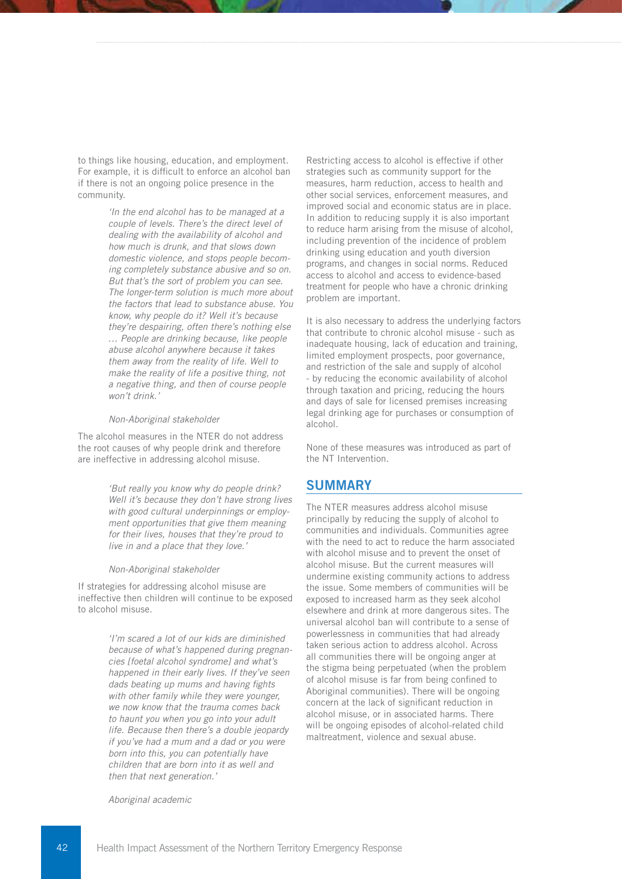to things like housing, education, and employment. For example, it is difficult to enforce an alcohol ban if there is not an ongoing police presence in the community.

> *'In the end alcohol has to be managed at a couple of levels. There's the direct level of dealing with the availability of alcohol and how much is drunk, and that slows down domestic violence, and stops people becoming completely substance abusive and so on. But that's the sort of problem you can see. The longer-term solution is much more about the factors that lead to substance abuse. You know, why people do it? Well it's because they're despairing, often there's nothing else … People are drinking because, like people abuse alcohol anywhere because it takes them away from the reality of life. Well to make the reality of life a positive thing, not a negative thing, and then of course people won't drink.'*

#### *Non-Aboriginal stakeholder*

The alcohol measures in the NTER do not address the root causes of why people drink and therefore are ineffective in addressing alcohol misuse.

> *'But really you know why do people drink? Well it's because they don't have strong lives with good cultural underpinnings or employment opportunities that give them meaning for their lives, houses that they're proud to live in and a place that they love.'*

#### *Non-Aboriginal stakeholder*

If strategies for addressing alcohol misuse are ineffective then children will continue to be exposed to alcohol misuse.

> *'I'm scared a lot of our kids are diminished because of what's happened during pregnancies [foetal alcohol syndrome] and what's happened in their early lives. If they've seen*  dads beating up mums and having fights *with other family while they were younger, we now know that the trauma comes back to haunt you when you go into your adult life. Because then there's a double jeopardy if you've had a mum and a dad or you were born into this, you can potentially have children that are born into it as well and then that next generation.'*

*Aboriginal academic*

Restricting access to alcohol is effective if other strategies such as community support for the measures, harm reduction, access to health and other social services, enforcement measures, and improved social and economic status are in place. In addition to reducing supply it is also important to reduce harm arising from the misuse of alcohol, including prevention of the incidence of problem drinking using education and youth diversion programs, and changes in social norms. Reduced access to alcohol and access to evidence-based treatment for people who have a chronic drinking problem are important.

It is also necessary to address the underlying factors that contribute to chronic alcohol misuse - such as inadequate housing, lack of education and training, limited employment prospects, poor governance, and restriction of the sale and supply of alcohol - by reducing the economic availability of alcohol through taxation and pricing, reducing the hours and days of sale for licensed premises increasing legal drinking age for purchases or consumption of alcohol.

None of these measures was introduced as part of the NT Intervention.

#### **SUMMARY**

The NTER measures address alcohol misuse principally by reducing the supply of alcohol to communities and individuals. Communities agree with the need to act to reduce the harm associated with alcohol misuse and to prevent the onset of alcohol misuse. But the current measures will undermine existing community actions to address the issue. Some members of communities will be exposed to increased harm as they seek alcohol elsewhere and drink at more dangerous sites. The universal alcohol ban will contribute to a sense of powerlessness in communities that had already taken serious action to address alcohol. Across all communities there will be ongoing anger at the stigma being perpetuated (when the problem of alcohol misuse is far from being confined to Aboriginal communities). There will be ongoing concern at the lack of significant reduction in alcohol misuse, or in associated harms. There will be ongoing episodes of alcohol-related child maltreatment, violence and sexual abuse.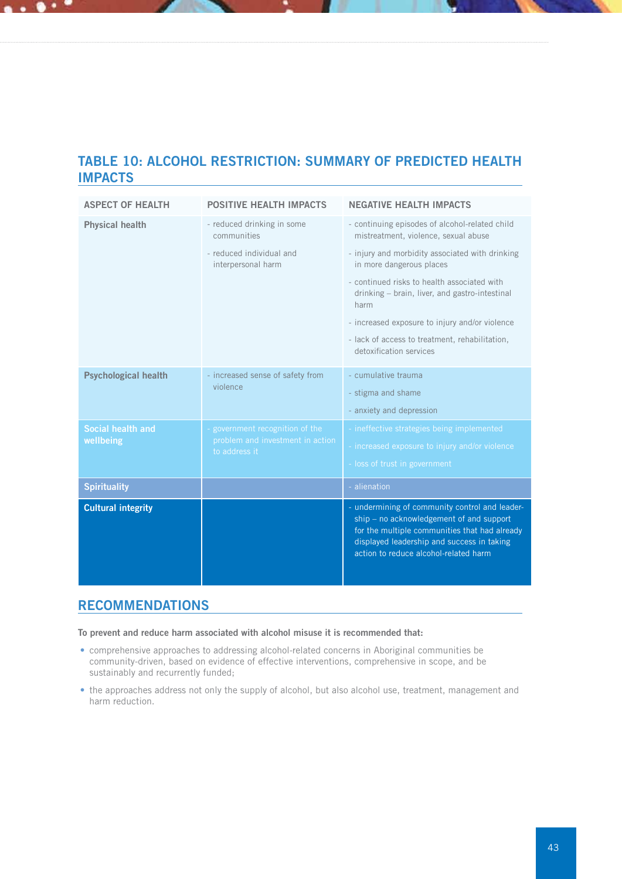# Table 10: Alcohol restriction: summary of predicted health **IMPACTS**

| <b>ASPECT OF HEALTH</b>               | <b>POSITIVE HEALTH IMPACTS</b>                                                              | <b>NEGATIVE HEALTH IMPACTS</b>                                                                                                                                                                                                                                                                                                                                                                                |
|---------------------------------------|---------------------------------------------------------------------------------------------|---------------------------------------------------------------------------------------------------------------------------------------------------------------------------------------------------------------------------------------------------------------------------------------------------------------------------------------------------------------------------------------------------------------|
| <b>Physical health</b>                | - reduced drinking in some<br>communities<br>- reduced individual and<br>interpersonal harm | - continuing episodes of alcohol-related child<br>mistreatment, violence, sexual abuse<br>- injury and morbidity associated with drinking<br>in more dangerous places<br>- continued risks to health associated with<br>drinking – brain, liver, and gastro-intestinal<br>harm<br>- increased exposure to injury and/or violence<br>- lack of access to treatment, rehabilitation,<br>detoxification services |
| <b>Psychological health</b>           | - increased sense of safety from<br>violence                                                | - cumulative trauma<br>- stigma and shame<br>- anxiety and depression                                                                                                                                                                                                                                                                                                                                         |
| <b>Social health and</b><br>wellbeing | government recognition of the<br>problem and investment in action<br>to address it          | - ineffective strategies being implemented<br>- increased exposure to injury and/or violence<br>- loss of trust in government                                                                                                                                                                                                                                                                                 |
| <b>Spirituality</b>                   |                                                                                             | - alienation                                                                                                                                                                                                                                                                                                                                                                                                  |
| <b>Cultural integrity</b>             |                                                                                             | - undermining of community control and leader-<br>ship - no acknowledgement of and support<br>for the multiple communities that had already<br>displayed leadership and success in taking<br>action to reduce alcohol-related harm                                                                                                                                                                            |

# **RECOMMENDATIONS**

 $\bullet$ .

#### **To prevent and reduce harm associated with alcohol misuse it is recommended that:**

- • comprehensive approaches to addressing alcohol-related concerns in Aboriginal communities be community-driven, based on evidence of effective interventions, comprehensive in scope, and be sustainably and recurrently funded;
- the approaches address not only the supply of alcohol, but also alcohol use, treatment, management and harm reduction.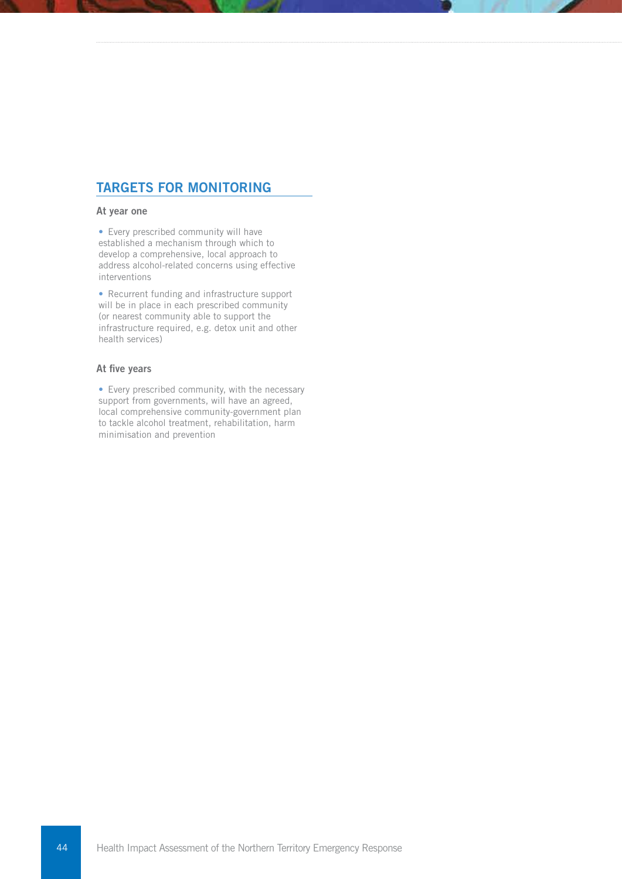# **TARGETS FOR MONITORING**

#### At year one

• Every prescribed community will have established a mechanism through which to develop a comprehensive, local approach to address alcohol-related concerns using effective interventions

• Recurrent funding and infrastructure support will be in place in each prescribed community (or nearest community able to support the infrastructure required, e.g. detox unit and other health services)

#### At five years

• Every prescribed community, with the necessary support from governments, will have an agreed, local comprehensive community-government plan to tackle alcohol treatment, rehabilitation, harm minimisation and prevention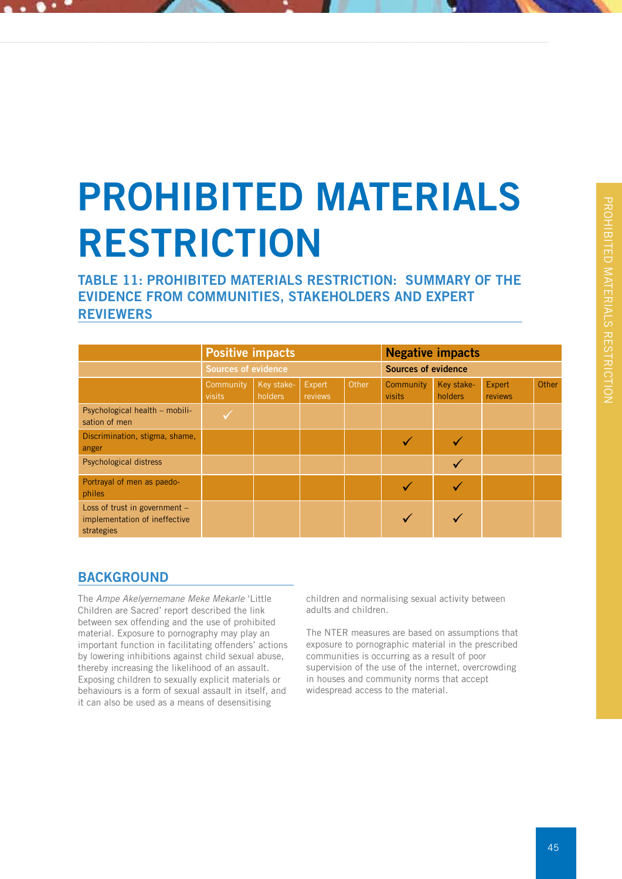# Prohibited Materials **RESTRICTION**

Table 11: Prohibited materials restriction: summary of the evidence from communities, stakeholders and expert **REVIEWERS** 

|                                                                              | <b>Positive impacts</b>    |                       |                          |       | <b>Negative impacts</b>    |                       |                          |       |
|------------------------------------------------------------------------------|----------------------------|-----------------------|--------------------------|-------|----------------------------|-----------------------|--------------------------|-------|
|                                                                              | <b>Sources of evidence</b> |                       |                          |       | <b>Sources of evidence</b> |                       |                          |       |
|                                                                              | Community<br><b>visits</b> | Key stake-<br>holders | Expert<br><b>reviews</b> | Other | Community<br>visits        | Key stake-<br>holders | Expert<br><b>reviews</b> | Other |
| Psychological health - mobili-<br>sation of men                              |                            |                       |                          |       |                            |                       |                          |       |
| Discrimination, stigma, shame,<br>anger                                      |                            |                       |                          |       |                            |                       |                          |       |
| <b>Psychological distress</b>                                                |                            |                       |                          |       |                            |                       |                          |       |
| Portrayal of men as paedo-<br>philes                                         |                            |                       |                          |       |                            |                       |                          |       |
| Loss of trust in government -<br>implementation of ineffective<br>strategies |                            |                       |                          |       |                            |                       |                          |       |

# **BACKGROUND**

The *Ampe Akelyernemane Meke Mekarle* 'Little Children are Sacred' report described the link between sex offending and the use of prohibited material. Exposure to pornography may play an important function in facilitating offenders' actions by lowering inhibitions against child sexual abuse, thereby increasing the likelihood of an assault. Exposing children to sexually explicit materials or behaviours is a form of sexual assault in itself, and it can also be used as a means of desensitising

children and normalising sexual activity between adults and children.

The NTER measures are based on assumptions that exposure to pornographic material in the prescribed communities is occurring as a result of poor supervision of the use of the internet, overcrowding in houses and community norms that accept widespread access to the material.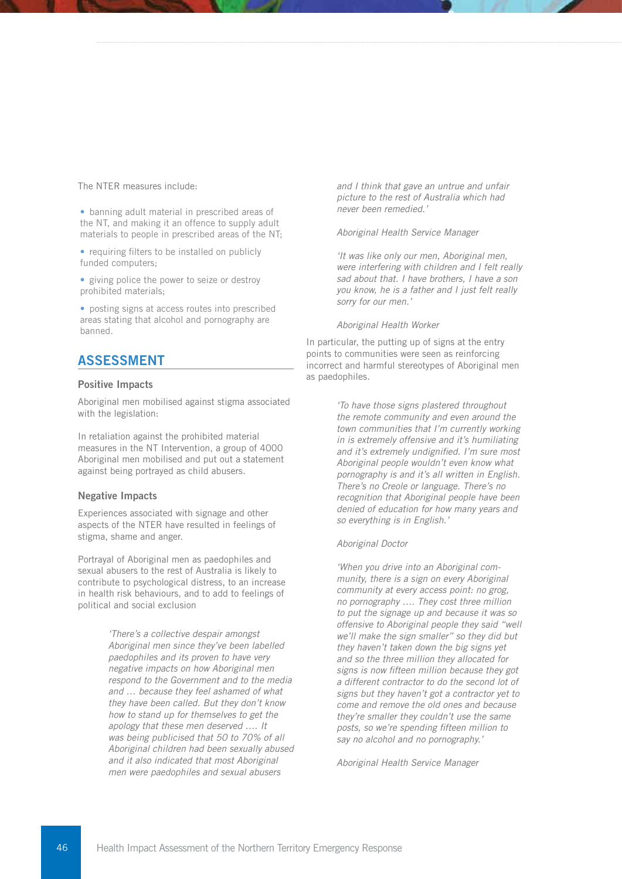The NTER measures include:

• banning adult material in prescribed areas of the NT, and making it an offence to supply adult materials to people in prescribed areas of the NT;

• requiring filters to be installed on publicly funded computers;

• giving police the power to seize or destroy prohibited materials;

• posting signs at access routes into prescribed areas stating that alcohol and pornography are banned.

# Assessment

#### Positive Impacts

Aboriginal men mobilised against stigma associated with the legislation:

In retaliation against the prohibited material measures in the NT Intervention, a group of 4000 Aboriginal men mobilised and put out a statement against being portrayed as child abusers.

#### Negative Impacts

Experiences associated with signage and other aspects of the NTER have resulted in feelings of stigma, shame and anger.

Portrayal of Aboriginal men as paedophiles and sexual abusers to the rest of Australia is likely to contribute to psychological distress, to an increase in health risk behaviours, and to add to feelings of political and social exclusion

> *'There's a collective despair amongst Aboriginal men since they've been labelled paedophiles and its proven to have very negative impacts on how Aboriginal men respond to the Government and to the media and … because they feel ashamed of what they have been called. But they don't know how to stand up for themselves to get the apology that these men deserved …. It was being publicised that 50 to 70% of all Aboriginal children had been sexually abused and it also indicated that most Aboriginal men were paedophiles and sexual abusers*

*and I think that gave an untrue and unfair picture to the rest of Australia which had never been remedied.'*

#### *Aboriginal Health Service Manager*

*'It was like only our men, Aboriginal men, were interfering with children and I felt really sad about that. I have brothers, I have a son you know, he is a father and I just felt really sorry for our men.'*

#### *Aboriginal Health Worker*

In particular, the putting up of signs at the entry points to communities were seen as reinforcing incorrect and harmful stereotypes of Aboriginal men as paedophiles.

> *'To have those signs plastered throughout the remote community and even around the town communities that I'm currently working in is extremely offensive and it's humiliating*  and it's extremely undignified. I'm sure most *Aboriginal people wouldn't even know what pornography is and it's all written in English. There's no Creole or language. There's no recognition that Aboriginal people have been denied of education for how many years and so everything is in English.'*

#### *Aboriginal Doctor*

*'When you drive into an Aboriginal community, there is a sign on every Aboriginal community at every access point: no grog, no pornography …. They cost three million to put the signage up and because it was so offensive to Aboriginal people they said "well we'll make the sign smaller" so they did but they haven't taken down the big signs yet and so the three million they allocated for*  signs is now fifteen million because they got *a different contractor to do the second lot of signs but they haven't got a contractor yet to come and remove the old ones and because they're smaller they couldn't use the same*  posts, so we're spending fifteen million to *say no alcohol and no pornography.'*

*Aboriginal Health Service Manager*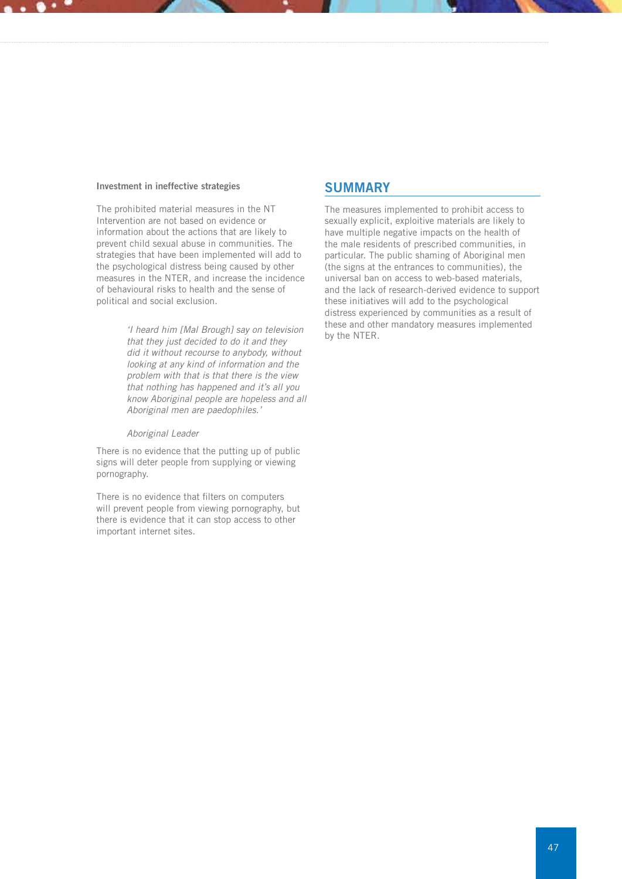#### **Investment in ineffective strategies**

The prohibited material measures in the NT Intervention are not based on evidence or information about the actions that are likely to prevent child sexual abuse in communities. The strategies that have been implemented will add to the psychological distress being caused by other measures in the NTER, and increase the incidence of behavioural risks to health and the sense of political and social exclusion.

> *'I heard him [Mal Brough] say on television that they just decided to do it and they did it without recourse to anybody, without looking at any kind of information and the problem with that is that there is the view that nothing has happened and it's all you know Aboriginal people are hopeless and all Aboriginal men are paedophiles.'*

#### *Aboriginal Leader*

There is no evidence that the putting up of public signs will deter people from supplying or viewing pornography.

There is no evidence that filters on computers will prevent people from viewing pornography, but there is evidence that it can stop access to other important internet sites.

#### **SUMMARY**

The measures implemented to prohibit access to sexually explicit, exploitive materials are likely to have multiple negative impacts on the health of the male residents of prescribed communities, in particular. The public shaming of Aboriginal men (the signs at the entrances to communities), the universal ban on access to web-based materials, and the lack of research-derived evidence to support these initiatives will add to the psychological distress experienced by communities as a result of these and other mandatory measures implemented by the NTER.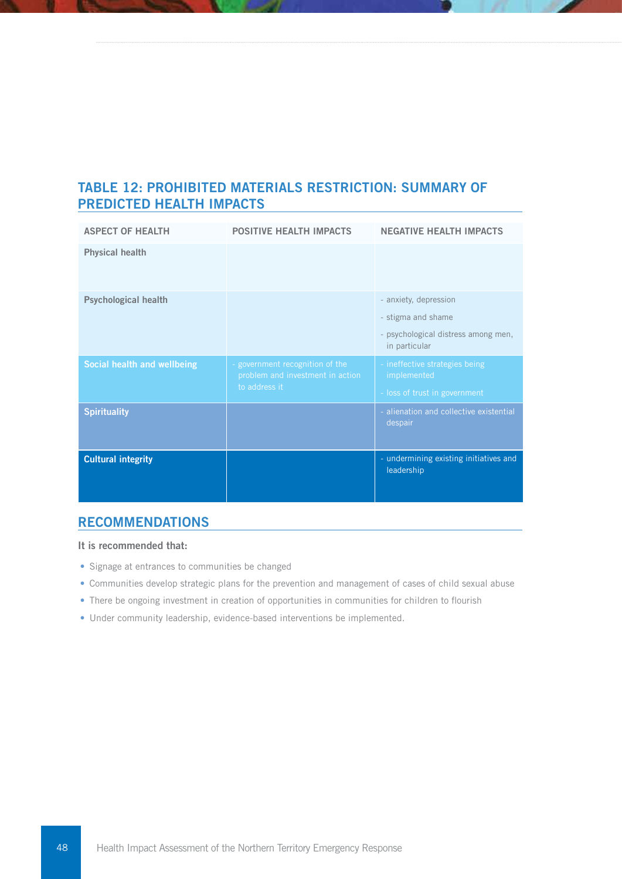# Table 12: Prohibited materials restriction: summary of predicted health impacts

| <b>ASPECT OF HEALTH</b>     | <b>POSITIVE HEALTH IMPACTS</b>                                    | <b>NEGATIVE HEALTH IMPACTS</b>                       |
|-----------------------------|-------------------------------------------------------------------|------------------------------------------------------|
| <b>Physical health</b>      |                                                                   |                                                      |
| <b>Psychological health</b> |                                                                   | - anxiety, depression                                |
|                             |                                                                   | - stigma and shame                                   |
|                             |                                                                   | - psychological distress among men,<br>in particular |
| Social health and wellbeing | government recognition of the<br>problem and investment in action | - ineffective strategies being<br>implemented        |
|                             | to address it                                                     | - loss of trust in government                        |
| <b>Spirituality</b>         |                                                                   | - alienation and collective existential<br>despair   |
| <b>Cultural integrity</b>   |                                                                   | - undermining existing initiatives and<br>leadership |

# **RECOMMENDATIONS**

It is recommended that:

- Signage at entrances to communities be changed
- • Communities develop strategic plans for the prevention and management of cases of child sexual abuse
- There be ongoing investment in creation of opportunities in communities for children to flourish
- Under community leadership, evidence-based interventions be implemented.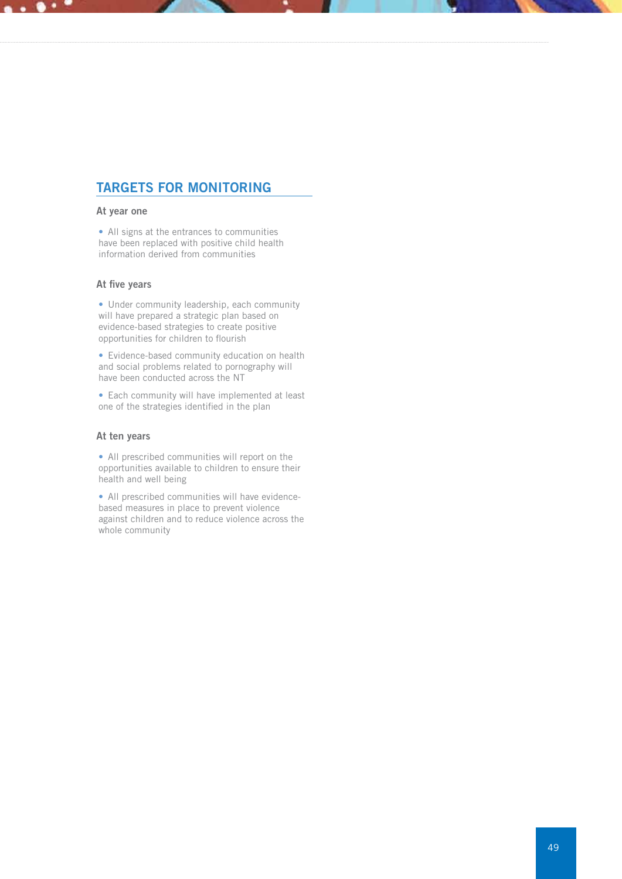# **TARGETS FOR MONITORING**

#### At year one

 $\bullet$  .

• All signs at the entrances to communities have been replaced with positive child health information derived from communities

#### At five years

• Under community leadership, each community will have prepared a strategic plan based on evidence-based strategies to create positive opportunities for children to flourish

• Evidence-based community education on health and social problems related to pornography will have been conducted across the NT

• Each community will have implemented at least one of the strategies identified in the plan

#### At ten years

• All prescribed communities will report on the opportunities available to children to ensure their health and well being

• All prescribed communities will have evidencebased measures in place to prevent violence against children and to reduce violence across the whole community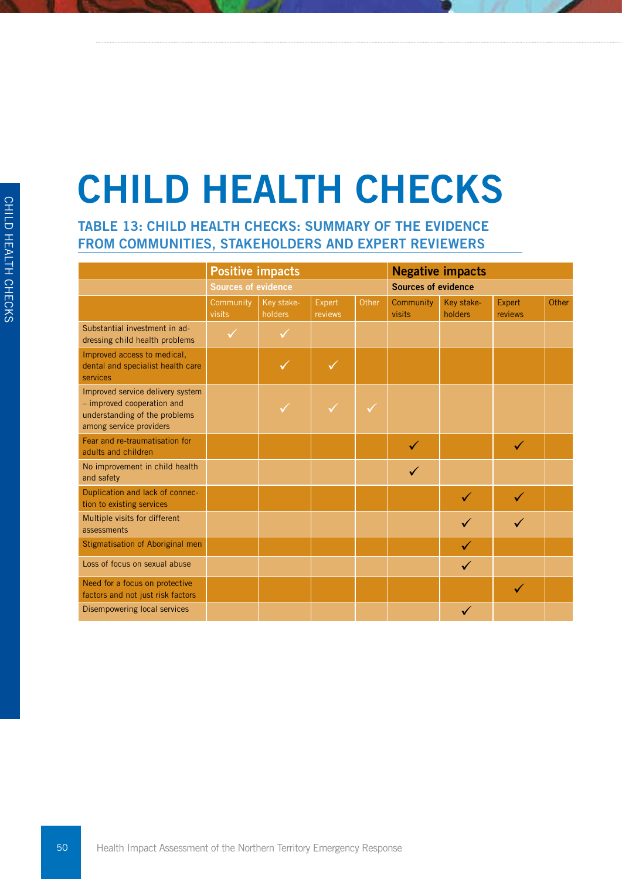# Child Health Checks

# Table 13: Child health checks: summary of the evidence from communities, stakeholders and expert reviewers

|                                                                                                                            | <b>Positive impacts</b>    |                       |                   |              | <b>Negative impacts</b>    |                       |                          |       |
|----------------------------------------------------------------------------------------------------------------------------|----------------------------|-----------------------|-------------------|--------------|----------------------------|-----------------------|--------------------------|-------|
|                                                                                                                            | <b>Sources of evidence</b> |                       |                   |              | <b>Sources of evidence</b> |                       |                          |       |
|                                                                                                                            | Community<br>visits        | Key stake-<br>holders | Expert<br>reviews | Other        | Community<br>visits        | Key stake-<br>holders | <b>Expert</b><br>reviews | Other |
| Substantial investment in ad-<br>dressing child health problems                                                            |                            |                       |                   |              |                            |                       |                          |       |
| Improved access to medical,<br>dental and specialist health care<br>services                                               |                            |                       |                   |              |                            |                       |                          |       |
| Improved service delivery system<br>- improved cooperation and<br>understanding of the problems<br>among service providers |                            |                       |                   | $\checkmark$ |                            |                       |                          |       |
| Fear and re-traumatisation for<br>adults and children                                                                      |                            |                       |                   |              | ✓                          |                       | ✓                        |       |
| No improvement in child health<br>and safety                                                                               |                            |                       |                   |              |                            |                       |                          |       |
| Duplication and lack of connec-<br>tion to existing services                                                               |                            |                       |                   |              |                            |                       |                          |       |
| Multiple visits for different<br>assessments                                                                               |                            |                       |                   |              |                            | $\checkmark$          |                          |       |
| Stigmatisation of Aboriginal men                                                                                           |                            |                       |                   |              |                            |                       |                          |       |
| Loss of focus on sexual abuse                                                                                              |                            |                       |                   |              |                            | $\checkmark$          |                          |       |
| Need for a focus on protective<br>factors and not just risk factors                                                        |                            |                       |                   |              |                            |                       | ✓                        |       |
| Disempowering local services                                                                                               |                            |                       |                   |              |                            | $\checkmark$          |                          |       |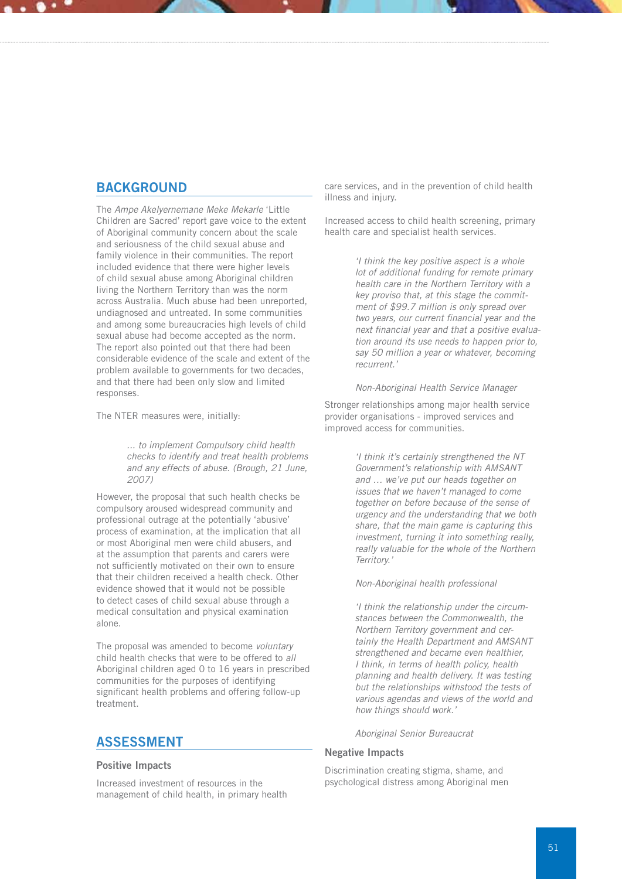# **BACKGROUND**

The *Ampe Akelyernemane Meke Mekarle* 'Little Children are Sacred' report gave voice to the extent of Aboriginal community concern about the scale and seriousness of the child sexual abuse and family violence in their communities. The report included evidence that there were higher levels of child sexual abuse among Aboriginal children living the Northern Territory than was the norm across Australia. Much abuse had been unreported, undiagnosed and untreated. In some communities and among some bureaucracies high levels of child sexual abuse had become accepted as the norm. The report also pointed out that there had been considerable evidence of the scale and extent of the problem available to governments for two decades, and that there had been only slow and limited responses.

The NTER measures were, initially:

*... to implement Compulsory child health checks to identify and treat health problems and any effects of abuse. (Brough, 21 June, 2007)*

However, the proposal that such health checks be compulsory aroused widespread community and professional outrage at the potentially 'abusive' process of examination, at the implication that all or most Aboriginal men were child abusers, and at the assumption that parents and carers were not sufficiently motivated on their own to ensure that their children received a health check. Other evidence showed that it would not be possible to detect cases of child sexual abuse through a medical consultation and physical examination alone.

The proposal was amended to become *voluntary* child health checks that were to be offered to *all* Aboriginal children aged 0 to 16 years in prescribed communities for the purposes of identifying significant health problems and offering follow-up treatment.

# **ASSESSMENT**

#### Positive Impacts

Increased investment of resources in the management of child health, in primary health care services, and in the prevention of child health illness and injury.

Increased access to child health screening, primary health care and specialist health services.

> *'I think the key positive aspect is a whole lot of additional funding for remote primary health care in the Northern Territory with a key proviso that, at this stage the commitment of \$99.7 million is only spread over*  two years, our current financial year and the next financial year and that a positive evalua*tion around its use needs to happen prior to, say 50 million a year or whatever, becoming recurrent.'*

*Non-Aboriginal Health Service Manager*

Stronger relationships among major health service provider organisations - improved services and improved access for communities.

> *'I think it's certainly strengthened the NT Government's relationship with AMSANT and … we've put our heads together on issues that we haven't managed to come together on before because of the sense of urgency and the understanding that we both share, that the main game is capturing this investment, turning it into something really, really valuable for the whole of the Northern Territory.'*

*Non-Aboriginal health professional*

*'I think the relationship under the circumstances between the Commonwealth, the Northern Territory government and certainly the Health Department and AMSANT strengthened and became even healthier, I think, in terms of health policy, health planning and health delivery. It was testing but the relationships withstood the tests of various agendas and views of the world and how things should work.'*

#### *Aboriginal Senior Bureaucrat*

#### Negative Impacts

Discrimination creating stigma, shame, and psychological distress among Aboriginal men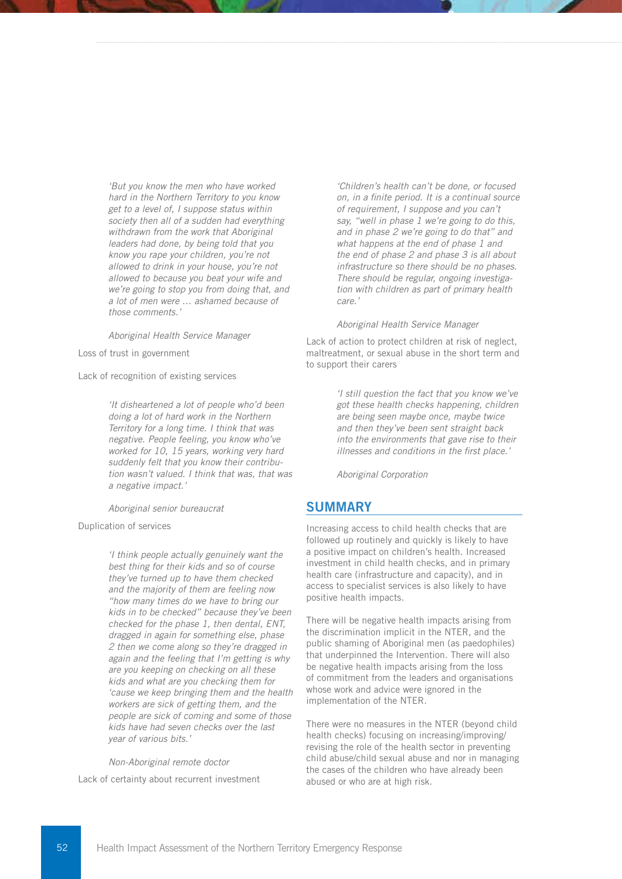*'But you know the men who have worked hard in the Northern Territory to you know get to a level of, I suppose status within society then all of a sudden had everything withdrawn from the work that Aboriginal leaders had done, by being told that you know you rape your children, you're not allowed to drink in your house, you're not allowed to because you beat your wife and we're going to stop you from doing that, and a lot of men were … ashamed because of those comments.'*

*Aboriginal Health Service Manager*

Loss of trust in government

Lack of recognition of existing services

*'It disheartened a lot of people who'd been doing a lot of hard work in the Northern Territory for a long time. I think that was negative. People feeling, you know who've worked for 10, 15 years, working very hard suddenly felt that you know their contribution wasn't valued. I think that was, that was a negative impact.'*

*Aboriginal senior bureaucrat*

#### Duplication of services

*'I think people actually genuinely want the best thing for their kids and so of course they've turned up to have them checked and the majority of them are feeling now "how many times do we have to bring our kids in to be checked" because they've been checked for the phase 1, then dental, ENT, dragged in again for something else, phase 2 then we come along so they're dragged in again and the feeling that I'm getting is why are you keeping on checking on all these kids and what are you checking them for 'cause we keep bringing them and the health workers are sick of getting them, and the people are sick of coming and some of those kids have had seven checks over the last year of various bits.'*

*Non-Aboriginal remote doctor*

Lack of certainty about recurrent investment

*'Children's health can't be done, or focused*  on, in a finite period. It is a continual source *of requirement, I suppose and you can't say, "well in phase 1 we're going to do this, and in phase 2 we're going to do that" and what happens at the end of phase 1 and the end of phase 2 and phase 3 is all about infrastructure so there should be no phases. There should be regular, ongoing investigation with children as part of primary health care.'*

#### *Aboriginal Health Service Manager*

Lack of action to protect children at risk of neglect, maltreatment, or sexual abuse in the short term and to support their carers

> *'I still question the fact that you know we've got these health checks happening, children are being seen maybe once, maybe twice and then they've been sent straight back into the environments that gave rise to their*  illnesses and conditions in the first place.'

*Aboriginal Corporation*

#### **SUMMARY**

Increasing access to child health checks that are followed up routinely and quickly is likely to have a positive impact on children's health. Increased investment in child health checks, and in primary health care (infrastructure and capacity), and in access to specialist services is also likely to have positive health impacts.

There will be negative health impacts arising from the discrimination implicit in the NTER, and the public shaming of Aboriginal men (as paedophiles) that underpinned the Intervention. There will also be negative health impacts arising from the loss of commitment from the leaders and organisations whose work and advice were ignored in the implementation of the NTER.

There were no measures in the NTER (beyond child health checks) focusing on increasing/improving/ revising the role of the health sector in preventing child abuse/child sexual abuse and nor in managing the cases of the children who have already been abused or who are at high risk.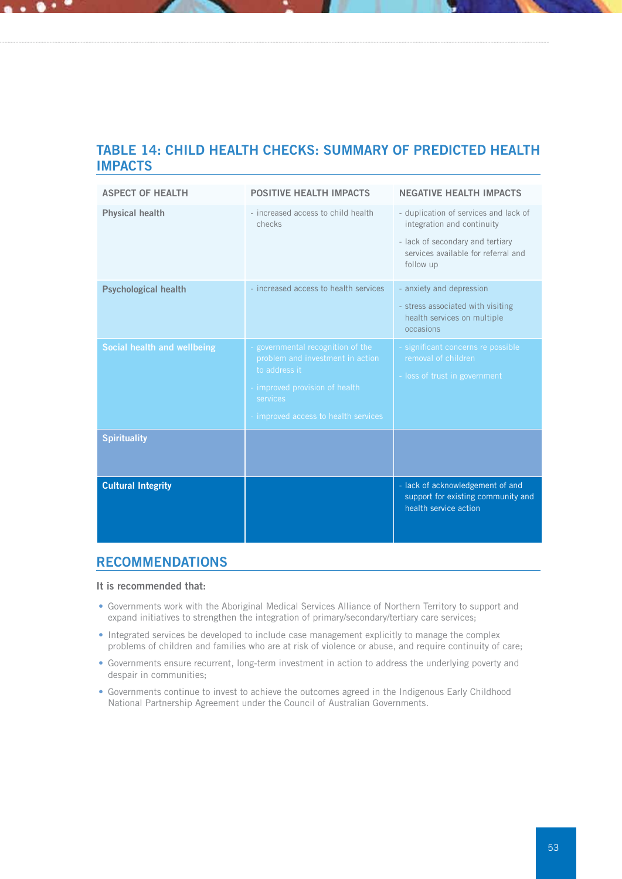### ×

# Table 14: Child health checks: summary of predicted health **IMPACTS**

| <b>ASPECT OF HEALTH</b>     | <b>POSITIVE HEALTH IMPACTS</b>                                                                                                                                             | <b>NEGATIVE HEALTH IMPACTS</b>                                                                                                                              |
|-----------------------------|----------------------------------------------------------------------------------------------------------------------------------------------------------------------------|-------------------------------------------------------------------------------------------------------------------------------------------------------------|
| <b>Physical health</b>      | - increased access to child health<br>checks                                                                                                                               | - duplication of services and lack of<br>integration and continuity<br>- lack of secondary and tertiary<br>services available for referral and<br>follow up |
| <b>Psychological health</b> | - increased access to health services                                                                                                                                      | - anxiety and depression<br>- stress associated with visiting<br>health services on multiple<br>occasions                                                   |
| Social health and wellbeing | governmental recognition of the<br>problem and investment in action<br>to address it<br>- improved provision of health<br>services<br>- improved access to health services | - significant concerns re possible<br>removal of children<br>- loss of trust in government                                                                  |
| <b>Spirituality</b>         |                                                                                                                                                                            |                                                                                                                                                             |
| <b>Cultural Integrity</b>   |                                                                                                                                                                            | - lack of acknowledgement of and<br>support for existing community and<br>health service action                                                             |

# **RECOMMENDATIONS**

#### It is recommended that:

- • Governments work with the Aboriginal Medical Services Alliance of Northern Territory to support and expand initiatives to strengthen the integration of primary/secondary/tertiary care services;
- Integrated services be developed to include case management explicitly to manage the complex problems of children and families who are at risk of violence or abuse, and require continuity of care;
- • Governments ensure recurrent, long-term investment in action to address the underlying poverty and despair in communities;
- Governments continue to invest to achieve the outcomes agreed in the Indigenous Early Childhood National Partnership Agreement under the Council of Australian Governments.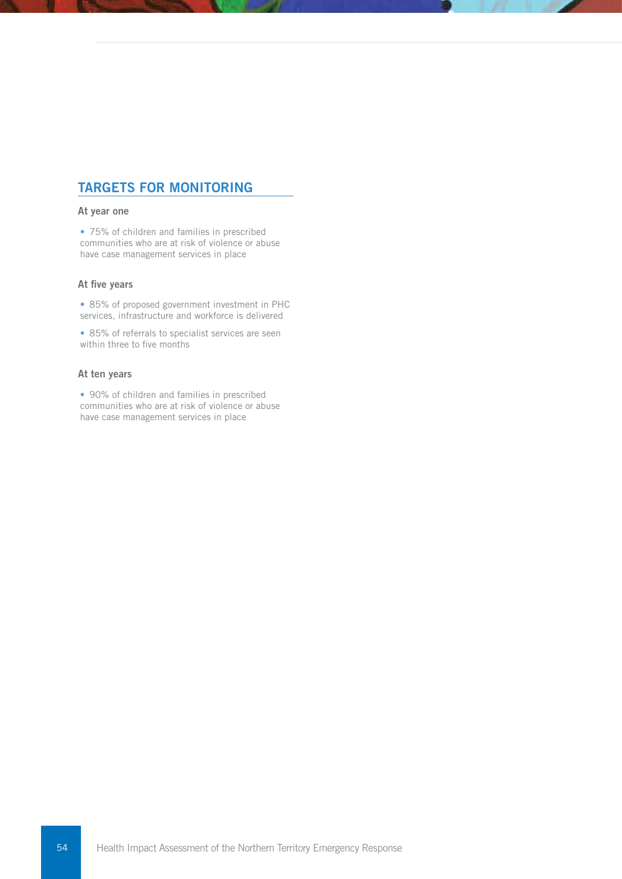# **TARGETS FOR MONITORING**

#### At year one

• 75% of children and families in prescribed communities who are at risk of violence or abuse have case management services in place

#### At five years

• 85% of proposed government investment in PHC services, infrastructure and workforce is delivered

• 85% of referrals to specialist services are seen within three to five months

#### At ten years

• 90% of children and families in prescribed communities who are at risk of violence or abuse have case management services in place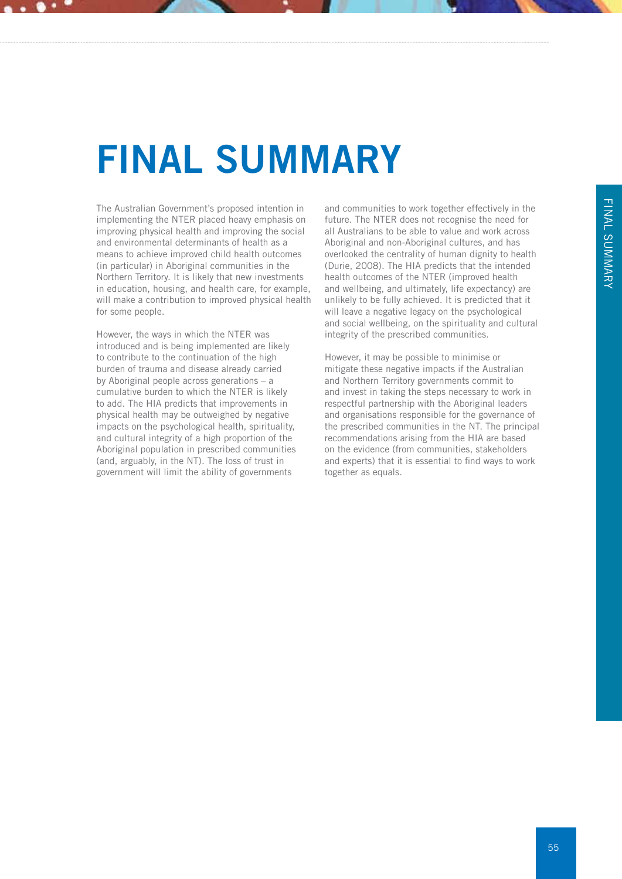# Final Summary

The Australian Government's proposed intention in implementing the NTER placed heavy emphasis on improving physical health and improving the social and environmental determinants of health as a means to achieve improved child health outcomes (in particular) in Aboriginal communities in the Northern Territory. It is likely that new investments in education, housing, and health care, for example, will make a contribution to improved physical health for some people.

However, the ways in which the NTER was introduced and is being implemented are likely to contribute to the continuation of the high burden of trauma and disease already carried by Aboriginal people across generations – a cumulative burden to which the NTER is likely to add. The HIA predicts that improvements in physical health may be outweighed by negative impacts on the psychological health, spirituality, and cultural integrity of a high proportion of the Aboriginal population in prescribed communities (and, arguably, in the NT). The loss of trust in government will limit the ability of governments

and communities to work together effectively in the future. The NTER does not recognise the need for all Australians to be able to value and work across Aboriginal and non-Aboriginal cultures, and has overlooked the centrality of human dignity to health (Durie, 2008). The HIA predicts that the intended health outcomes of the NTER (improved health and wellbeing, and ultimately, life expectancy) are unlikely to be fully achieved. It is predicted that it will leave a negative legacy on the psychological and social wellbeing, on the spirituality and cultural integrity of the prescribed communities.

However, it may be possible to minimise or mitigate these negative impacts if the Australian and Northern Territory governments commit to and invest in taking the steps necessary to work in respectful partnership with the Aboriginal leaders and organisations responsible for the governance of the prescribed communities in the NT. The principal recommendations arising from the HIA are based on the evidence (from communities, stakeholders and experts) that it is essential to find ways to work together as equals.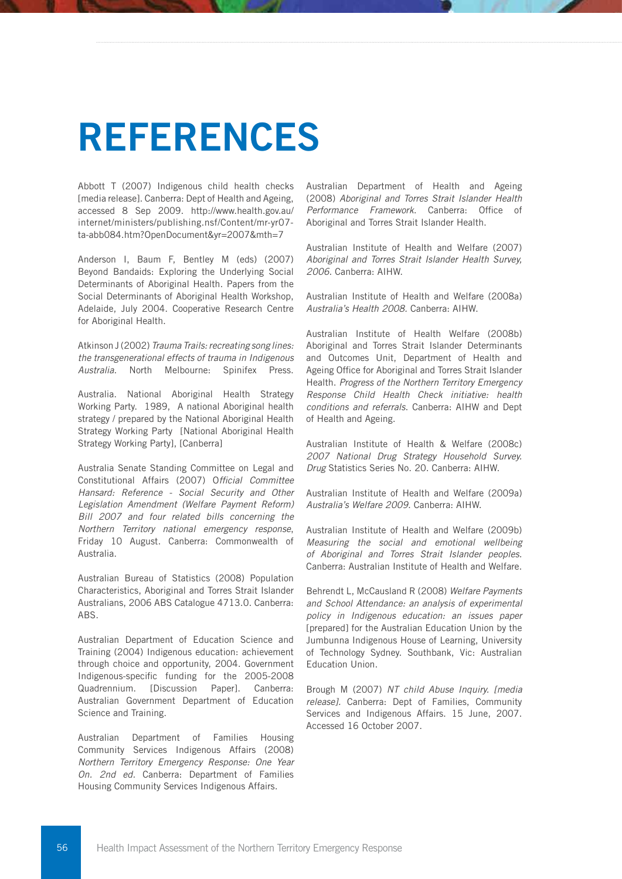# REFERENCES

Abbott T (2007) Indigenous child health checks [media release]. Canberra: Dept of Health and Ageing, accessed 8 Sep 2009. http://www.health.gov.au/ internet/ministers/publishing.nsf/Content/mr-yr07 ta-abb084.htm?OpenDocument&yr=2007&mth=7

Anderson I, Baum F, Bentley M (eds) (2007) Beyond Bandaids: Exploring the Underlying Social Determinants of Aboriginal Health. Papers from the Social Determinants of Aboriginal Health Workshop, Adelaide, July 2004. Cooperative Research Centre for Aboriginal Health.

Atkinson J (2002) *Trauma Trails: recreating song lines: the transgenerational effects of trauma in Indigenous Australia.* North Melbourne: Spinifex Press.

Australia. National Aboriginal Health Strategy Working Party. 1989, A national Aboriginal health strategy / prepared by the National Aboriginal Health Strategy Working Party [National Aboriginal Health Strategy Working Party], [Canberra]

Australia Senate Standing Committee on Legal and Constitutional Affairs (2007) Official Committee *Hansard: Reference - Social Security and Other Legislation Amendment (Welfare Payment Reform) Bill 2007 and four related bills concerning the Northern Territory national emergency response*, Friday 10 August. Canberra: Commonwealth of Australia.

Australian Bureau of Statistics (2008) Population Characteristics, Aboriginal and Torres Strait Islander Australians, 2006 ABS Catalogue 4713.0. Canberra: ABS.

Australian Department of Education Science and Training (2004) Indigenous education: achievement through choice and opportunity, 2004. Government Indigenous-specific funding for the 2005-2008 Quadrennium. [Discussion Paper]. Canberra: Australian Government Department of Education Science and Training.

Australian Department of Families Housing Community Services Indigenous Affairs (2008) *Northern Territory Emergency Response: One Year On. 2nd ed.* Canberra: Department of Families Housing Community Services Indigenous Affairs.

Australian Department of Health and Ageing (2008) *Aboriginal and Torres Strait Islander Health Performance Framework*. Canberra: Office of Aboriginal and Torres Strait Islander Health.

Australian Institute of Health and Welfare (2007) *Aboriginal and Torres Strait Islander Health Survey, 2006*. Canberra: AIHW.

Australian Institute of Health and Welfare (2008a) *Australia's Health 2008.* Canberra: AIHW.

Australian Institute of Health Welfare (2008b) Aboriginal and Torres Strait Islander Determinants and Outcomes Unit, Department of Health and Ageing Office for Aboriginal and Torres Strait Islander Health. *Progress of the Northern Territory Emergency Response Child Health Check initiative: health conditions and referrals*. Canberra: AIHW and Dept of Health and Ageing.

Australian Institute of Health & Welfare (2008c) *2007 National Drug Strategy Household Survey. Drug* Statistics Series No. 20. Canberra: AIHW.

Australian Institute of Health and Welfare (2009a) *Australia's Welfare 2009*. Canberra: AIHW.

Australian Institute of Health and Welfare (2009b) *Measuring the social and emotional wellbeing of Aboriginal and Torres Strait Islander peoples.*  Canberra: Australian Institute of Health and Welfare.

Behrendt L, McCausland R (2008) *Welfare Payments and School Attendance: an analysis of experimental policy in Indigenous education: an issues paper* [prepared] for the Australian Education Union by the Jumbunna Indigenous House of Learning, University of Technology Sydney. Southbank, Vic: Australian Education Union.

Brough M (2007) *NT child Abuse Inquiry. [media release].* Canberra: Dept of Families, Community Services and Indigenous Affairs. 15 June, 2007. Accessed 16 October 2007.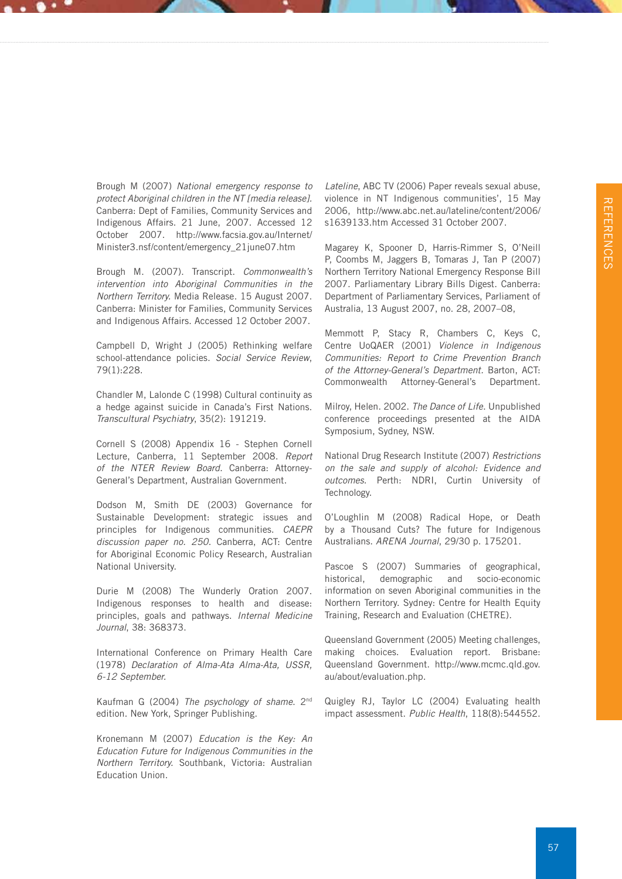

Brough M (2007) *National emergency response to protect Aboriginal children in the NT [media release].*  Canberra: Dept of Families, Community Services and Indigenous Affairs. 21 June, 2007. Accessed 12 October 2007. http://www.facsia.gov.au/Internet/ Minister3.nsf/content/emergency\_21june07.htm

Brough M. (2007). Transcript. *Commonwealth's intervention into Aboriginal Communities in the Northern Territory.* Media Release. 15 August 2007. Canberra: Minister for Families, Community Services and Indigenous Affairs. Accessed 12 October 2007.

Campbell D, Wright J (2005) Rethinking welfare school-attendance policies. *Social Service Review*, 79(1):228.

Chandler M, Lalonde C (1998) Cultural continuity as a hedge against suicide in Canada's First Nations. *Transcultural Psychiatry*, 35(2): 191219.

Cornell S (2008) Appendix 16 - Stephen Cornell Lecture, Canberra, 11 September 2008. *Report of the NTER Review Board*. Canberra: Attorney-General's Department, Australian Government.

Dodson M, Smith DE (2003) Governance for Sustainable Development: strategic issues and principles for Indigenous communities. *CAEPR discussion paper no. 250*. Canberra, ACT: Centre for Aboriginal Economic Policy Research, Australian National University.

Durie M (2008) The Wunderly Oration 2007. Indigenous responses to health and disease: principles, goals and pathways. *Internal Medicine Journal*, 38: 368373.

International Conference on Primary Health Care (1978) *Declaration of Alma-Ata Alma-Ata, USSR, 6-12 September.*

Kaufman G (2004) *The psychology of shame*. 2nd edition. New York, Springer Publishing.

Kronemann M (2007) *Education is the Key: An Education Future for Indigenous Communities in the Northern Territory.* Southbank, Victoria: Australian Education Union.

*Lateline*, ABC TV (2006) Paper reveals sexual abuse, violence in NT Indigenous communities', 15 May 2006, http://www.abc.net.au/lateline/content/2006/ s1639133.htm Accessed 31 October 2007.

Magarey K, Spooner D, Harris-Rimmer S, O'Neill P, Coombs M, Jaggers B, Tomaras J, Tan P (2007) Northern Territory National Emergency Response Bill 2007. Parliamentary Library Bills Digest. Canberra: Department of Parliamentary Services, Parliament of Australia, 13 August 2007, no. 28, 2007–08,

Memmott P, Stacy R, Chambers C, Keys C, Centre UoQAER (2001) *Violence in Indigenous Communities: Report to Crime Prevention Branch of the Attorney-General's Department.* Barton, ACT: Commonwealth Attorney-General's Department.

Milroy, Helen. 2002. *The Dance of Life*. Unpublished conference proceedings presented at the AIDA Symposium, Sydney, NSW.

National Drug Research Institute (2007) *Restrictions on the sale and supply of alcohol: Evidence and outcomes.* Perth: NDRI, Curtin University of Technology.

O'Loughlin M (2008) Radical Hope, or Death by a Thousand Cuts? The future for Indigenous Australians. *ARENA Journal*, 29/30 p. 175201.

Pascoe S (2007) Summaries of geographical, historical, demographic and socio-economic information on seven Aboriginal communities in the Northern Territory. Sydney: Centre for Health Equity Training, Research and Evaluation (CHETRE).

Queensland Government (2005) Meeting challenges, making choices. Evaluation report. Brisbane: Queensland Government. http://www.mcmc.qld.gov. au/about/evaluation.php.

Quigley RJ, Taylor LC (2004) Evaluating health impact assessment. *Public Health*, 118(8):544552.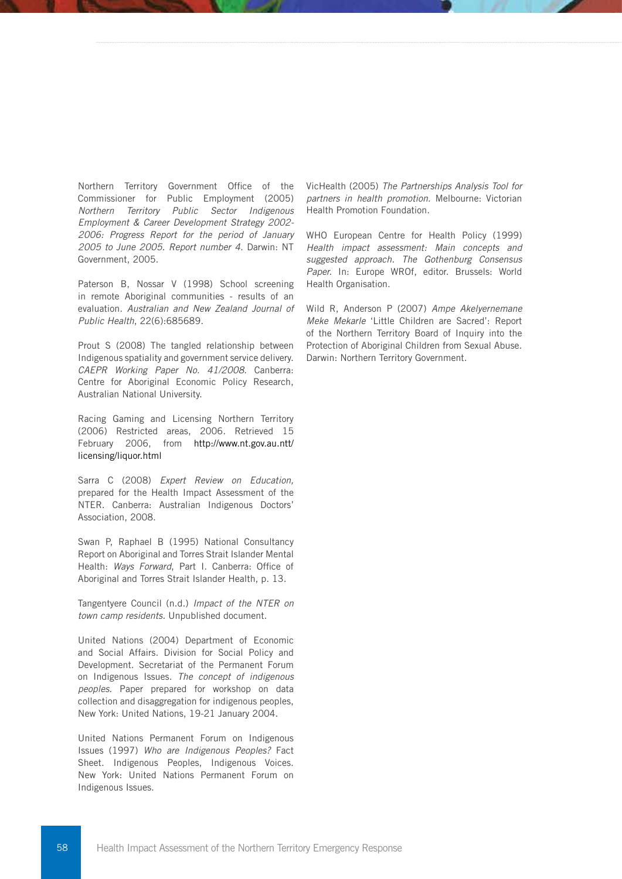Northern Territory Government Office of the Commissioner for Public Employment (2005) *Northern Territory Public Sector Indigenous Employment & Career Development Strategy 2002- 2006: Progress Report for the period of January 2005 to June 2005. Report number 4*. Darwin: NT Government, 2005.

Paterson B, Nossar V (1998) School screening in remote Aboriginal communities - results of an evaluation. *Australian and New Zealand Journal of Public Health*, 22(6):685689.

Prout S (2008) The tangled relationship between Indigenous spatiality and government service delivery. *CAEPR Working Paper No. 41/2008*. Canberra: Centre for Aboriginal Economic Policy Research, Australian National University.

Racing Gaming and Licensing Northern Territory (2006) Restricted areas, 2006. Retrieved 15 February 2006, from http://www.nt.gov.au.ntt/ licensing/liquor.html

Sarra C (2008) *Expert Review on Education,* prepared for the Health Impact Assessment of the NTER. Canberra: Australian Indigenous Doctors' Association, 2008.

Swan P, Raphael B (1995) National Consultancy Report on Aboriginal and Torres Strait Islander Mental Health: *Ways Forward*, Part I. Canberra: Office of Aboriginal and Torres Strait Islander Health, p. 13.

Tangentyere Council (n.d.) *Impact of the NTER on town camp residents.* Unpublished document.

United Nations (2004) Department of Economic and Social Affairs. Division for Social Policy and Development. Secretariat of the Permanent Forum on Indigenous Issues. *The concept of indigenous peoples*. Paper prepared for workshop on data collection and disaggregation for indigenous peoples, New York: United Nations, 19-21 January 2004.

United Nations Permanent Forum on Indigenous Issues (1997) *Who are Indigenous Peoples?* Fact Sheet. Indigenous Peoples, Indigenous Voices. New York: United Nations Permanent Forum on Indigenous Issues.

VicHealth (2005) *The Partnerships Analysis Tool for partners in health promotion.* Melbourne: Victorian Health Promotion Foundation.

WHO European Centre for Health Policy (1999) *Health impact assessment: Main concepts and suggested approach. The Gothenburg Consensus Paper.* In: Europe WROf, editor. Brussels: World Health Organisation.

Wild R, Anderson P (2007) *Ampe Akelyernemane Meke Mekarle* 'Little Children are Sacred': Report of the Northern Territory Board of Inquiry into the Protection of Aboriginal Children from Sexual Abuse. Darwin: Northern Territory Government.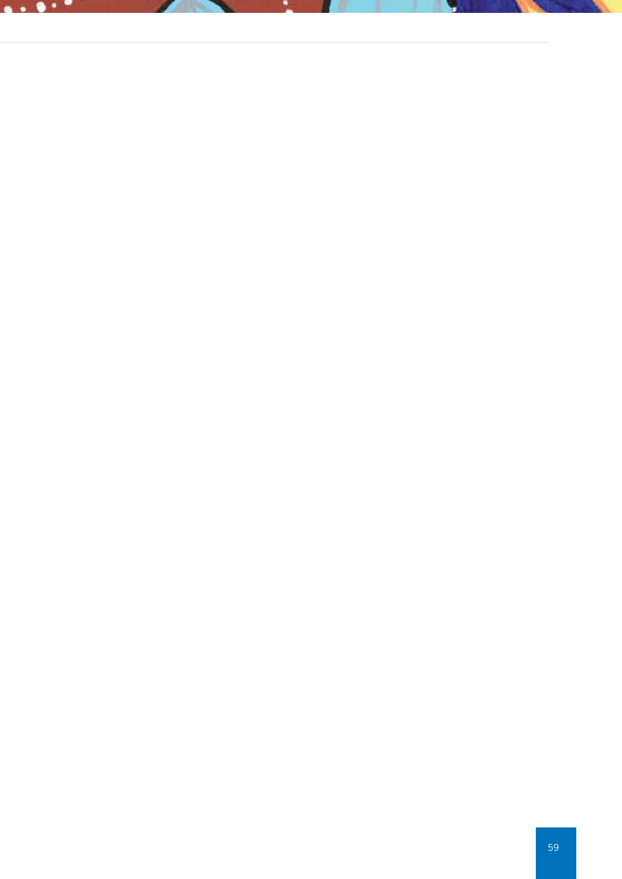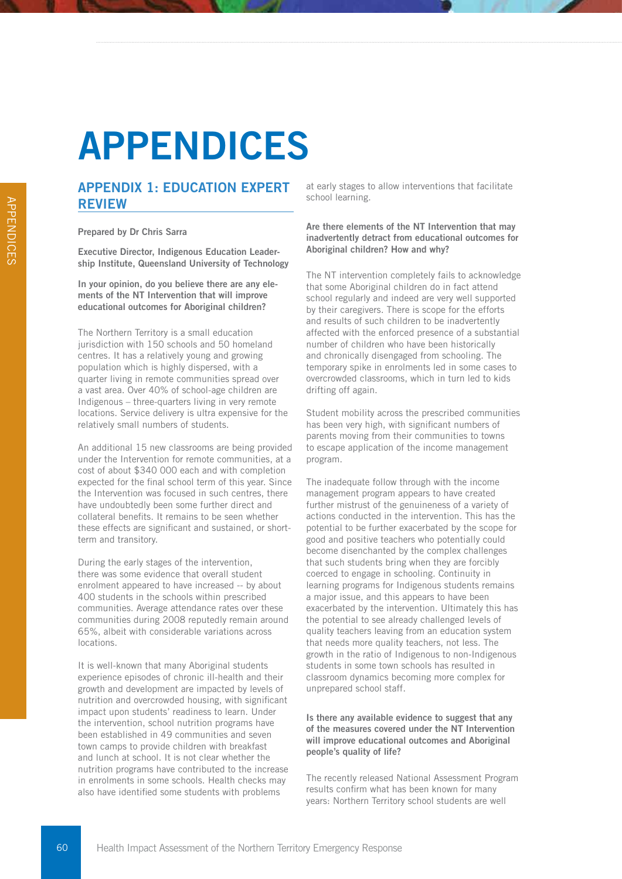# **APPENDICES**

# Appendix 1: Education Expert **REVIEW**

**Prepared by Dr Chris Sarra**

**Executive Director, Indigenous Education Leadership Institute, Queensland University of Technology**

**In your opinion, do you believe there are any elements of the NT Intervention that will improve educational outcomes for Aboriginal children?**

The Northern Territory is a small education jurisdiction with 150 schools and 50 homeland centres. It has a relatively young and growing population which is highly dispersed, with a quarter living in remote communities spread over a vast area. Over 40% of school-age children are Indigenous – three-quarters living in very remote locations. Service delivery is ultra expensive for the relatively small numbers of students.

An additional 15 new classrooms are being provided under the Intervention for remote communities, at a cost of about \$340 000 each and with completion expected for the final school term of this year. Since the Intervention was focused in such centres, there have undoubtedly been some further direct and collateral benefits. It remains to be seen whether these effects are significant and sustained, or shortterm and transitory.

During the early stages of the intervention, there was some evidence that overall student enrolment appeared to have increased -- by about 400 students in the schools within prescribed communities. Average attendance rates over these communities during 2008 reputedly remain around 65%, albeit with considerable variations across locations.

It is well-known that many Aboriginal students experience episodes of chronic ill-health and their growth and development are impacted by levels of nutrition and overcrowded housing, with significant impact upon students' readiness to learn. Under the intervention, school nutrition programs have been established in 49 communities and seven town camps to provide children with breakfast and lunch at school. It is not clear whether the nutrition programs have contributed to the increase in enrolments in some schools. Health checks may also have identified some students with problems

at early stages to allow interventions that facilitate school learning.

#### **Are there elements of the NT Intervention that may inadvertently detract from educational outcomes for Aboriginal children? How and why?**

The NT intervention completely fails to acknowledge that some Aboriginal children do in fact attend school regularly and indeed are very well supported by their caregivers. There is scope for the efforts and results of such children to be inadvertently affected with the enforced presence of a substantial number of children who have been historically and chronically disengaged from schooling. The temporary spike in enrolments led in some cases to overcrowded classrooms, which in turn led to kids drifting off again.

Student mobility across the prescribed communities has been very high, with significant numbers of parents moving from their communities to towns to escape application of the income management program.

The inadequate follow through with the income management program appears to have created further mistrust of the genuineness of a variety of actions conducted in the intervention. This has the potential to be further exacerbated by the scope for good and positive teachers who potentially could become disenchanted by the complex challenges that such students bring when they are forcibly coerced to engage in schooling. Continuity in learning programs for Indigenous students remains a major issue, and this appears to have been exacerbated by the intervention. Ultimately this has the potential to see already challenged levels of quality teachers leaving from an education system that needs more quality teachers, not less. The growth in the ratio of Indigenous to non-Indigenous students in some town schools has resulted in classroom dynamics becoming more complex for unprepared school staff.

#### **Is there any available evidence to suggest that any of the measures covered under the NT Intervention will improve educational outcomes and Aboriginal people's quality of life?**

The recently released National Assessment Program results confirm what has been known for many years: Northern Territory school students are well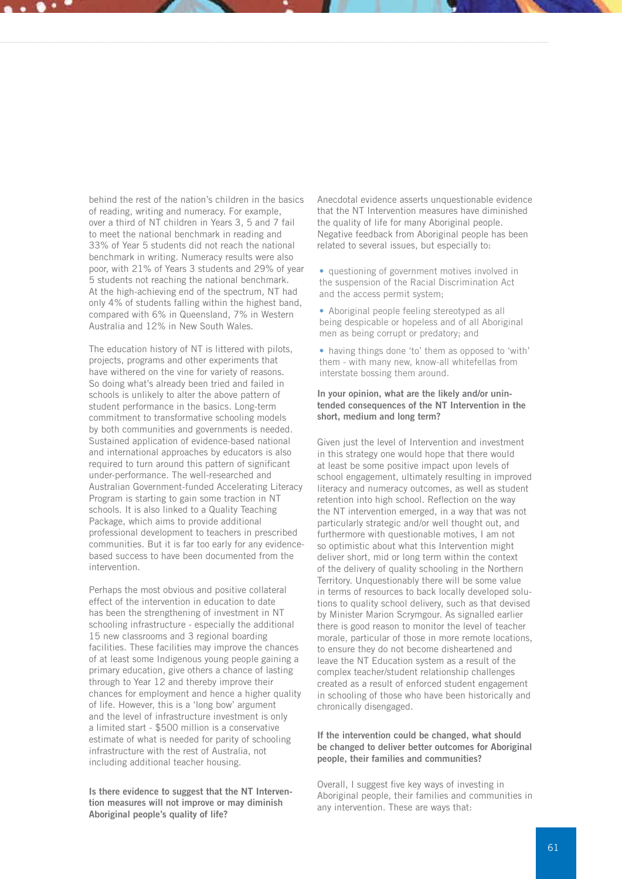behind the rest of the nation's children in the basics of reading, writing and numeracy. For example, over a third of NT children in Years 3, 5 and 7 fail to meet the national benchmark in reading and 33% of Year 5 students did not reach the national benchmark in writing. Numeracy results were also poor, with 21% of Years 3 students and 29% of year 5 students not reaching the national benchmark. At the high-achieving end of the spectrum, NT had only 4% of students falling within the highest band, compared with 6% in Queensland, 7% in Western Australia and 12% in New South Wales.

The education history of NT is littered with pilots, projects, programs and other experiments that have withered on the vine for variety of reasons. So doing what's already been tried and failed in schools is unlikely to alter the above pattern of student performance in the basics. Long-term commitment to transformative schooling models by both communities and governments is needed. Sustained application of evidence-based national and international approaches by educators is also required to turn around this pattern of significant under-performance. The well-researched and Australian Government-funded Accelerating Literacy Program is starting to gain some traction in NT schools. It is also linked to a Quality Teaching Package, which aims to provide additional professional development to teachers in prescribed communities. But it is far too early for any evidencebased success to have been documented from the intervention.

Perhaps the most obvious and positive collateral effect of the intervention in education to date has been the strengthening of investment in NT schooling infrastructure - especially the additional 15 new classrooms and 3 regional boarding facilities. These facilities may improve the chances of at least some Indigenous young people gaining a primary education, give others a chance of lasting through to Year 12 and thereby improve their chances for employment and hence a higher quality of life. However, this is a 'long bow' argument and the level of infrastructure investment is only a limited start - \$500 million is a conservative estimate of what is needed for parity of schooling infrastructure with the rest of Australia, not including additional teacher housing.

**Is there evidence to suggest that the NT Intervention measures will not improve or may diminish Aboriginal people's quality of life?**

Anecdotal evidence asserts unquestionable evidence that the NT Intervention measures have diminished the quality of life for many Aboriginal people. Negative feedback from Aboriginal people has been related to several issues, but especially to:

• questioning of government motives involved in the suspension of the Racial Discrimination Act and the access permit system;

- Aboriginal people feeling stereotyped as all being despicable or hopeless and of all Aboriginal men as being corrupt or predatory; and
- having things done 'to' them as opposed to 'with' them ‑ with many new, know-all whitefellas from interstate bossing them around.

#### **In your opinion, what are the likely and/or unintended consequences of the NT Intervention in the short, medium and long term?**

Given just the level of Intervention and investment in this strategy one would hope that there would at least be some positive impact upon levels of school engagement, ultimately resulting in improved literacy and numeracy outcomes, as well as student retention into high school. Reflection on the way the NT intervention emerged, in a way that was not particularly strategic and/or well thought out, and furthermore with questionable motives, I am not so optimistic about what this Intervention might deliver short, mid or long term within the context of the delivery of quality schooling in the Northern Territory. Unquestionably there will be some value in terms of resources to back locally developed solutions to quality school delivery, such as that devised by Minister Marion Scrymgour. As signalled earlier there is good reason to monitor the level of teacher morale, particular of those in more remote locations, to ensure they do not become disheartened and leave the NT Education system as a result of the complex teacher/student relationship challenges created as a result of enforced student engagement in schooling of those who have been historically and chronically disengaged.

#### **If the intervention could be changed, what should be changed to deliver better outcomes for Aboriginal people, their families and communities?**

Overall, I suggest five key ways of investing in Aboriginal people, their families and communities in any intervention. These are ways that: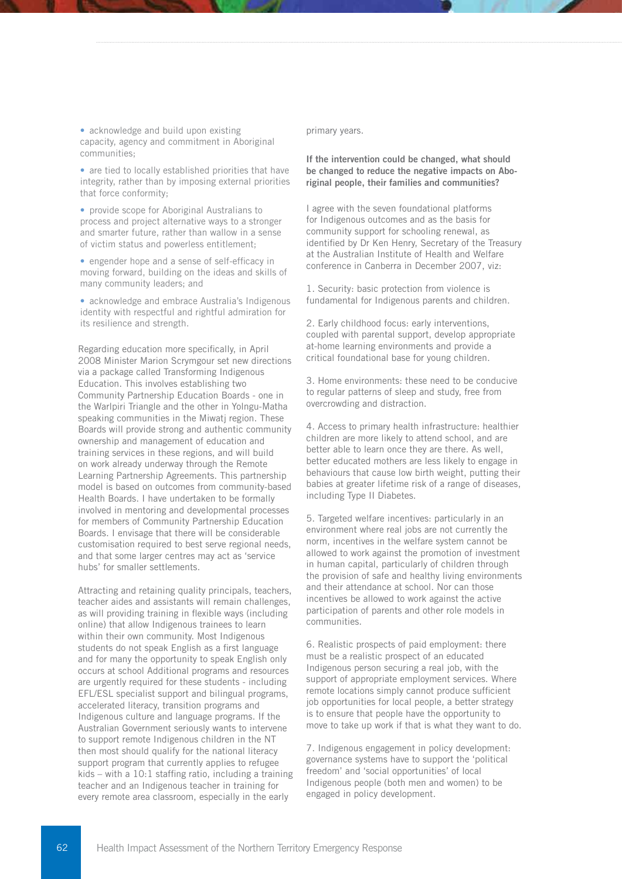• acknowledge and build upon existing capacity, agency and commitment in Aboriginal communities;

• are tied to locally established priorities that have integrity, rather than by imposing external priorities that force conformity;

• provide scope for Aboriginal Australians to process and project alternative ways to a stronger and smarter future, rather than wallow in a sense of victim status and powerless entitlement;

• engender hope and a sense of self-efficacy in moving forward, building on the ideas and skills of many community leaders; and

• acknowledge and embrace Australia's Indigenous identity with respectful and rightful admiration for its resilience and strength. 

Regarding education more specifically, in April 2008 Minister Marion Scrymgour set new directions via a package called Transforming Indigenous Education. This involves establishing two Community Partnership Education Boards - one in the Warlpiri Triangle and the other in Yolngu-Matha speaking communities in the Miwati region. These Boards will provide strong and authentic community ownership and management of education and training services in these regions, and will build on work already underway through the Remote Learning Partnership Agreements. This partnership model is based on outcomes from community-based Health Boards. I have undertaken to be formally involved in mentoring and developmental processes for members of Community Partnership Education Boards. I envisage that there will be considerable customisation required to best serve regional needs, and that some larger centres may act as 'service hubs' for smaller settlements.

Attracting and retaining quality principals, teachers, teacher aides and assistants will remain challenges, as will providing training in flexible ways (including online) that allow Indigenous trainees to learn within their own community. Most Indigenous students do not speak English as a first language and for many the opportunity to speak English only occurs at school Additional programs and resources are urgently required for these students - including EFL/ESL specialist support and bilingual programs, accelerated literacy, transition programs and Indigenous culture and language programs. If the Australian Government seriously wants to intervene to support remote Indigenous children in the NT then most should qualify for the national literacy support program that currently applies to refugee kids – with a 10:1 staffing ratio, including a training teacher and an Indigenous teacher in training for every remote area classroom, especially in the early

primary years.

**If the intervention could be changed, what should be changed to reduce the negative impacts on Aboriginal people, their families and communities?**

I agree with the seven foundational platforms for Indigenous outcomes and as the basis for community support for schooling renewal, as identified by Dr Ken Henry, Secretary of the Treasury at the Australian Institute of Health and Welfare conference in Canberra in December 2007, viz:

1. Security: basic protection from violence is fundamental for Indigenous parents and children.

2. Early childhood focus: early interventions, coupled with parental support, develop appropriate at-home learning environments and provide a critical foundational base for young children.

3. Home environments: these need to be conducive to regular patterns of sleep and study, free from overcrowding and distraction.

4. Access to primary health infrastructure: healthier children are more likely to attend school, and are better able to learn once they are there. As well, better educated mothers are less likely to engage in behaviours that cause low birth weight, putting their babies at greater lifetime risk of a range of diseases, including Type II Diabetes.

5. Targeted welfare incentives: particularly in an environment where real jobs are not currently the norm, incentives in the welfare system cannot be allowed to work against the promotion of investment in human capital, particularly of children through the provision of safe and healthy living environments and their attendance at school. Nor can those incentives be allowed to work against the active participation of parents and other role models in communities.

6. Realistic prospects of paid employment: there must be a realistic prospect of an educated Indigenous person securing a real job, with the support of appropriate employment services. Where remote locations simply cannot produce sufficient job opportunities for local people, a better strategy is to ensure that people have the opportunity to move to take up work if that is what they want to do.

7. Indigenous engagement in policy development: governance systems have to support the 'political freedom' and 'social opportunities' of local Indigenous people (both men and women) to be engaged in policy development.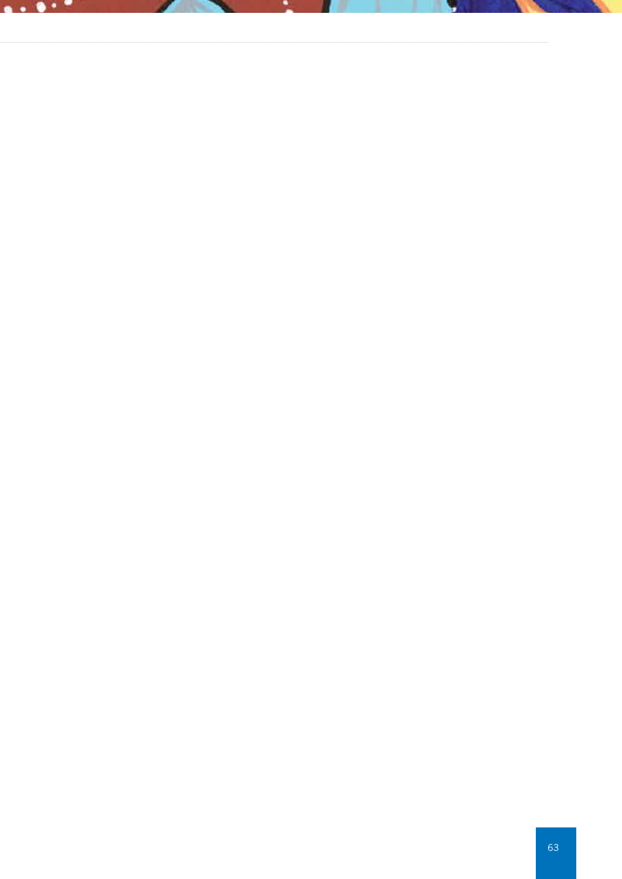

63 Health Impact Assessment of the Northern Territory Emergency Response 623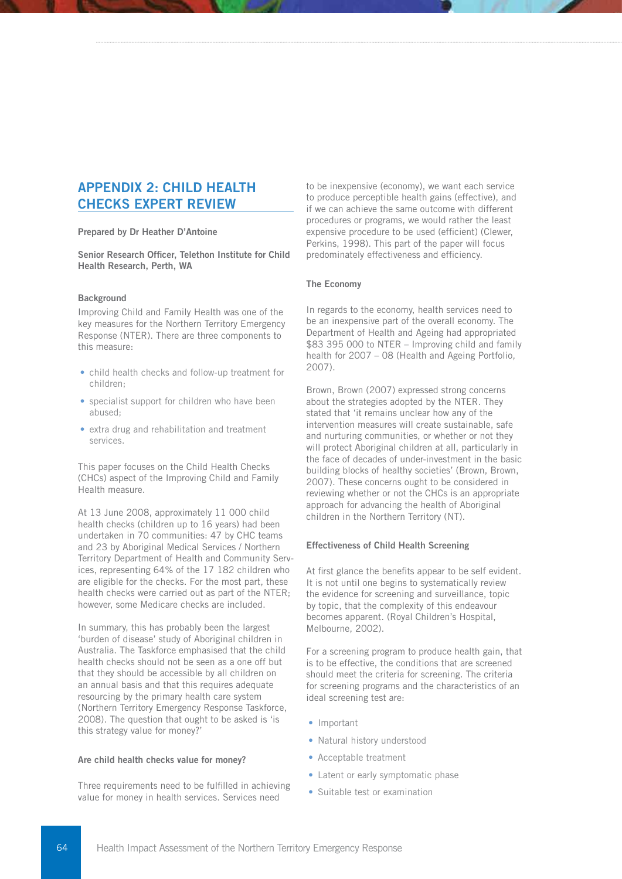## Appendix 2: Child Health Checks Expert Review

#### **Prepared by Dr Heather D'Antoine**

**Senior Research Officer, Telethon Institute for Child Health Research, Perth, WA**

#### **Background**

Improving Child and Family Health was one of the key measures for the Northern Territory Emergency Response (NTER). There are three components to this measure:

- child health checks and follow-up treatment for children;
- specialist support for children who have been abused;
- extra drug and rehabilitation and treatment services.

This paper focuses on the Child Health Checks (CHCs) aspect of the Improving Child and Family Health measure.

At 13 June 2008, approximately 11 000 child health checks (children up to 16 years) had been undertaken in 70 communities: 47 by CHC teams and 23 by Aboriginal Medical Services / Northern Territory Department of Health and Community Services, representing 64% of the 17 182 children who are eligible for the checks. For the most part, these health checks were carried out as part of the NTER; however, some Medicare checks are included.

In summary, this has probably been the largest 'burden of disease' study of Aboriginal children in Australia. The Taskforce emphasised that the child health checks should not be seen as a one off but that they should be accessible by all children on an annual basis and that this requires adequate resourcing by the primary health care system (Northern Territory Emergency Response Taskforce, 2008). The question that ought to be asked is 'is this strategy value for money?'

## **Are child health checks value for money?**

Three requirements need to be fulfilled in achieving value for money in health services. Services need

to be inexpensive (economy), we want each service to produce perceptible health gains (effective), and if we can achieve the same outcome with different procedures or programs, we would rather the least expensive procedure to be used (efficient) (Clewer, Perkins, 1998). This part of the paper will focus predominately effectiveness and efficiency.

### **The Economy**

In regards to the economy, health services need to be an inexpensive part of the overall economy. The Department of Health and Ageing had appropriated \$83 395 000 to NTER – Improving child and family health for 2007 – 08 (Health and Ageing Portfolio, 2007).

Brown, Brown (2007) expressed strong concerns about the strategies adopted by the NTER. They stated that 'it remains unclear how any of the intervention measures will create sustainable, safe and nurturing communities, or whether or not they will protect Aboriginal children at all, particularly in the face of decades of under-investment in the basic building blocks of healthy societies' (Brown, Brown, 2007). These concerns ought to be considered in reviewing whether or not the CHCs is an appropriate approach for advancing the health of Aboriginal children in the Northern Territory (NT).

#### **Effectiveness of Child Health Screening**

At first glance the benefits appear to be self evident. It is not until one begins to systematically review the evidence for screening and surveillance, topic by topic, that the complexity of this endeavour becomes apparent. (Royal Children's Hospital, Melbourne, 2002).

For a screening program to produce health gain, that is to be effective, the conditions that are screened should meet the criteria for screening. The criteria for screening programs and the characteristics of an ideal screening test are:

- Important
- Natural history understood
- Acceptable treatment
- Latent or early symptomatic phase
- Suitable test or examination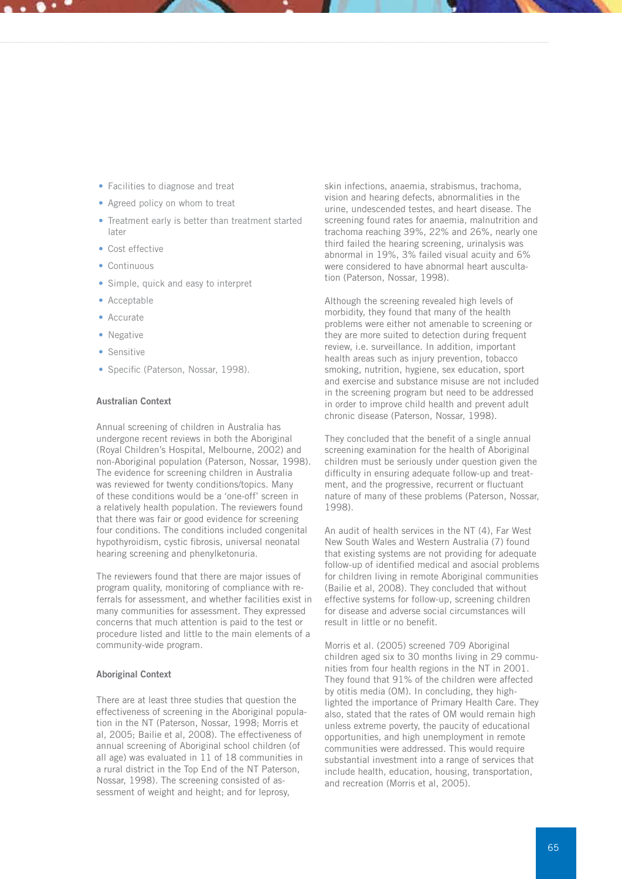- Facilities to diagnose and treat
- Agreed policy on whom to treat
- Treatment early is better than treatment started later
- Cost effective
- Continuous
- Simple, quick and easy to interpret
- Acceptable
- • Accurate
- Negative
- Sensitive
- Specific (Paterson, Nossar, 1998).

### **Australian Context**

Annual screening of children in Australia has undergone recent reviews in both the Aboriginal (Royal Children's Hospital, Melbourne, 2002) and non-Aboriginal population (Paterson, Nossar, 1998). The evidence for screening children in Australia was reviewed for twenty conditions/topics. Many of these conditions would be a 'one-off' screen in a relatively health population. The reviewers found that there was fair or good evidence for screening four conditions. The conditions included congenital hypothyroidism, cystic fibrosis, universal neonatal hearing screening and phenylketonuria.

The reviewers found that there are major issues of program quality, monitoring of compliance with referrals for assessment, and whether facilities exist in many communities for assessment. They expressed concerns that much attention is paid to the test or procedure listed and little to the main elements of a community-wide program.

### **Aboriginal Context**

There are at least three studies that question the effectiveness of screening in the Aboriginal population in the NT (Paterson, Nossar, 1998; Morris et al, 2005; Bailie et al, 2008). The effectiveness of annual screening of Aboriginal school children (of all age) was evaluated in 11 of 18 communities in a rural district in the Top End of the NT Paterson, Nossar, 1998). The screening consisted of assessment of weight and height; and for leprosy,

skin infections, anaemia, strabismus, trachoma, vision and hearing defects, abnormalities in the urine, undescended testes, and heart disease. The screening found rates for anaemia, malnutrition and trachoma reaching 39%, 22% and 26%, nearly one third failed the hearing screening, urinalysis was abnormal in 19%, 3% failed visual acuity and 6% were considered to have abnormal heart auscultation (Paterson, Nossar, 1998).

Although the screening revealed high levels of morbidity, they found that many of the health problems were either not amenable to screening or they are more suited to detection during frequent review, i.e. surveillance. In addition, important health areas such as injury prevention, tobacco smoking, nutrition, hygiene, sex education, sport and exercise and substance misuse are not included in the screening program but need to be addressed in order to improve child health and prevent adult chronic disease (Paterson, Nossar, 1998).

They concluded that the benefit of a single annual screening examination for the health of Aboriginal children must be seriously under question given the difficulty in ensuring adequate follow-up and treatment, and the progressive, recurrent or fluctuant nature of many of these problems (Paterson, Nossar, 1998).

An audit of health services in the NT (4), Far West New South Wales and Western Australia (7) found that existing systems are not providing for adequate follow-up of identified medical and asocial problems for children living in remote Aboriginal communities (Bailie et al, 2008). They concluded that without effective systems for follow-up, screening children for disease and adverse social circumstances will result in little or no benefit.

Morris et al. (2005) screened 709 Aboriginal children aged six to 30 months living in 29 communities from four health regions in the NT in 2001. They found that 91% of the children were affected by otitis media (OM). In concluding, they highlighted the importance of Primary Health Care. They also, stated that the rates of OM would remain high unless extreme poverty, the paucity of educational opportunities, and high unemployment in remote communities were addressed. This would require substantial investment into a range of services that include health, education, housing, transportation, and recreation (Morris et al, 2005).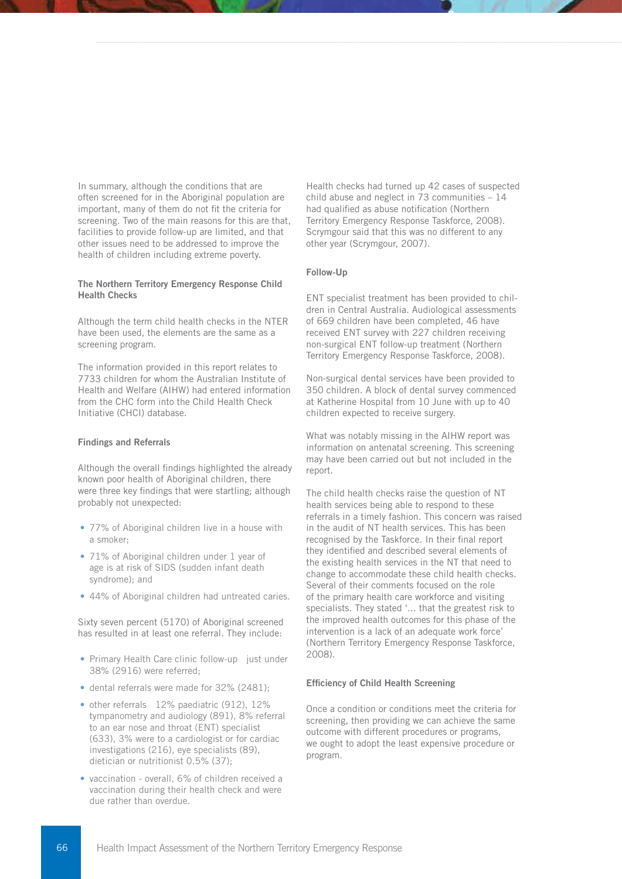In summary, although the conditions that are often screened for in the Aboriginal population are important, many of them do not fit the criteria for screening. Two of the main reasons for this are that, facilities to provide follow-up are limited, and that other issues need to be addressed to improve the health of children including extreme poverty.

## **The Northern Territory Emergency Response Child Health Checks**

Although the term child health checks in the NTER have been used, the elements are the same as a screening program.

The information provided in this report relates to 7733 children for whom the Australian Institute of Health and Welfare (AIHW) had entered information from the CHC form into the Child Health Check Initiative (CHCI) database.

### **Findings and Referrals**

Although the overall findings highlighted the already known poor health of Aboriginal children, there were three key findings that were startling; although probably not unexpected:

- 77% of Aboriginal children live in a house with a smoker;
- 71% of Aboriginal children under 1 year of age is at risk of SIDS (sudden infant death syndrome); and
- 44% of Aboriginal children had untreated caries.

Sixty seven percent (5170) of Aboriginal screened has resulted in at least one referral. They include:

- Primary Health Care clinic follow-up just under 38% (2916) were referred;
- dental referrals were made for 32% (2481);
- other referrals 12% paediatric (912), 12% tympanometry and audiology (891), 8% referral to an ear nose and throat (ENT) specialist (633), 3% were to a cardiologist or for cardiac investigations (216), eye specialists (89), dietician or nutritionist 0.5% (37);
- vaccination overall, 6% of children received a vaccination during their health check and were due rather than overdue.

Health checks had turned up 42 cases of suspected child abuse and neglect in 73 communities – 14 had qualified as abuse notification (Northern Territory Emergency Response Taskforce, 2008). Scrymgour said that this was no different to any other year (Scrymgour, 2007).

### **Follow-Up**

ENT specialist treatment has been provided to children in Central Australia. Audiological assessments of 669 children have been completed, 46 have received ENT survey with 227 children receiving non-surgical ENT follow-up treatment (Northern Territory Emergency Response Taskforce, 2008).

Non-surgical dental services have been provided to 350 children. A block of dental survey commenced at Katherine Hospital from 10 June with up to 40 children expected to receive surgery.

What was notably missing in the AIHW report was information on antenatal screening. This screening may have been carried out but not included in the report.

The child health checks raise the question of NT health services being able to respond to these referrals in a timely fashion. This concern was raised in the audit of NT health services. This has been recognised by the Taskforce. In their final report they identified and described several elements of the existing health services in the NT that need to change to accommodate these child health checks. Several of their comments focused on the role of the primary health care workforce and visiting specialists. They stated '... that the greatest risk to the improved health outcomes for this phase of the intervention is a lack of an adequate work force' (Northern Territory Emergency Response Taskforce, 2008).

### **Efficiency of Child Health Screening**

Once a condition or conditions meet the criteria for screening, then providing we can achieve the same outcome with different procedures or programs, we ought to adopt the least expensive procedure or program.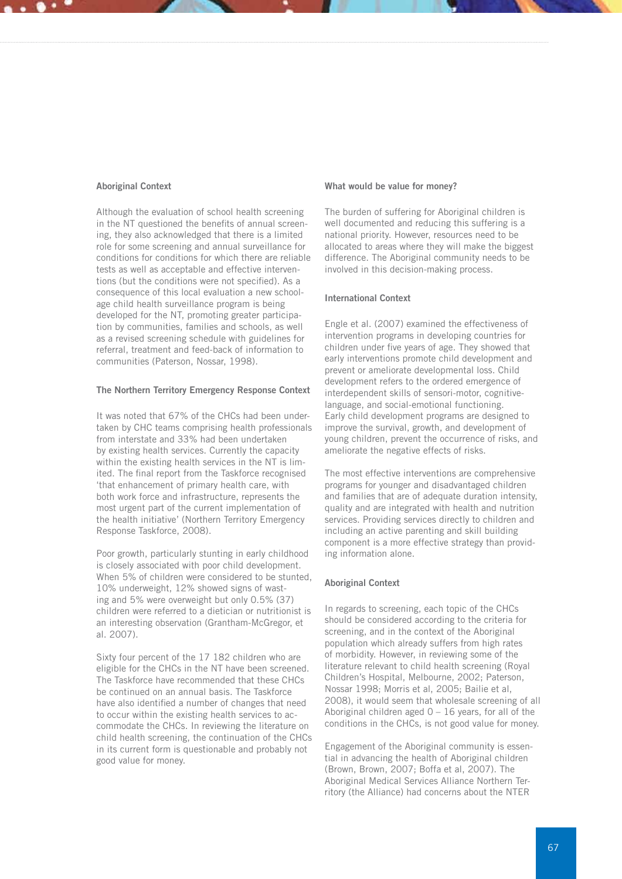### **Aboriginal Context**

Although the evaluation of school health screening in the NT questioned the benefits of annual screening, they also acknowledged that there is a limited role for some screening and annual surveillance for conditions for conditions for which there are reliable tests as well as acceptable and effective interventions (but the conditions were not specified). As a consequence of this local evaluation a new schoolage child health surveillance program is being developed for the NT, promoting greater participation by communities, families and schools, as well as a revised screening schedule with guidelines for referral, treatment and feed-back of information to communities (Paterson, Nossar, 1998).

#### **The Northern Territory Emergency Response Context**

It was noted that 67% of the CHCs had been undertaken by CHC teams comprising health professionals from interstate and 33% had been undertaken by existing health services. Currently the capacity within the existing health services in the NT is limited. The final report from the Taskforce recognised 'that enhancement of primary health care, with both work force and infrastructure, represents the most urgent part of the current implementation of the health initiative' (Northern Territory Emergency Response Taskforce, 2008).

Poor growth, particularly stunting in early childhood is closely associated with poor child development. When 5% of children were considered to be stunted, 10% underweight, 12% showed signs of wasting and 5% were overweight but only 0.5% (37) children were referred to a dietician or nutritionist is an interesting observation (Grantham-McGregor, et al. 2007).

Sixty four percent of the 17 182 children who are eligible for the CHCs in the NT have been screened. The Taskforce have recommended that these CHCs be continued on an annual basis. The Taskforce have also identified a number of changes that need to occur within the existing health services to accommodate the CHCs. In reviewing the literature on child health screening, the continuation of the CHCs in its current form is questionable and probably not good value for money.

#### **What would be value for money?**

The burden of suffering for Aboriginal children is well documented and reducing this suffering is a national priority. However, resources need to be allocated to areas where they will make the biggest difference. The Aboriginal community needs to be involved in this decision-making process.

### **International Context**

Engle et al. (2007) examined the effectiveness of intervention programs in developing countries for children under five years of age. They showed that early interventions promote child development and prevent or ameliorate developmental loss. Child development refers to the ordered emergence of interdependent skills of sensori-motor, cognitivelanguage, and social-emotional functioning. Early child development programs are designed to improve the survival, growth, and development of young children, prevent the occurrence of risks, and ameliorate the negative effects of risks.

The most effective interventions are comprehensive programs for younger and disadvantaged children and families that are of adequate duration intensity, quality and are integrated with health and nutrition services. Providing services directly to children and including an active parenting and skill building component is a more effective strategy than providing information alone.

### **Aboriginal Context**

In regards to screening, each topic of the CHCs should be considered according to the criteria for screening, and in the context of the Aboriginal population which already suffers from high rates of morbidity. However, in reviewing some of the literature relevant to child health screening (Royal Children's Hospital, Melbourne, 2002; Paterson, Nossar 1998; Morris et al, 2005; Bailie et al, 2008), it would seem that wholesale screening of all Aboriginal children aged  $0 - 16$  years, for all of the conditions in the CHCs, is not good value for money.

Engagement of the Aboriginal community is essential in advancing the health of Aboriginal children (Brown, Brown, 2007; Boffa et al, 2007). The Aboriginal Medical Services Alliance Northern Territory (the Alliance) had concerns about the NTER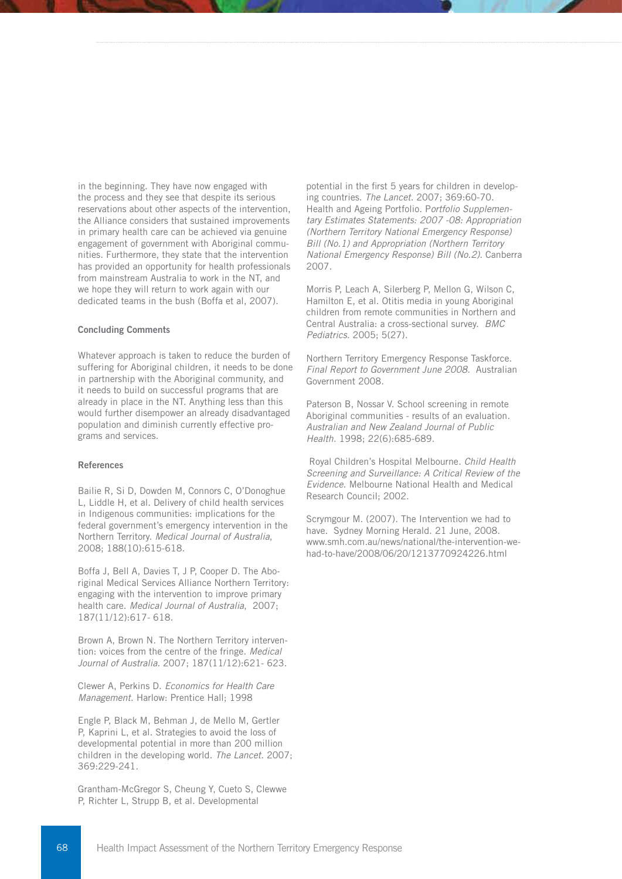in the beginning. They have now engaged with the process and they see that despite its serious reservations about other aspects of the intervention, the Alliance considers that sustained improvements in primary health care can be achieved via genuine engagement of government with Aboriginal communities. Furthermore, they state that the intervention has provided an opportunity for health professionals from mainstream Australia to work in the NT, and we hope they will return to work again with our dedicated teams in the bush (Boffa et al, 2007).

### **Concluding Comments**

Whatever approach is taken to reduce the burden of suffering for Aboriginal children, it needs to be done in partnership with the Aboriginal community, and it needs to build on successful programs that are already in place in the NT. Anything less than this would further disempower an already disadvantaged population and diminish currently effective programs and services.

### **References**

Bailie R, Si D, Dowden M, Connors C, O'Donoghue L, Liddle H, et al. Delivery of child health services in Indigenous communities: implications for the federal government's emergency intervention in the Northern Territory. *Medical Journal of Australia*, 2008; 188(10):615-618.

Boffa J, Bell A, Davies T, J P, Cooper D. The Aboriginal Medical Services Alliance Northern Territory: engaging with the intervention to improve primary health care. *Medical Journal of Australia*, 2007; 187(11/12):617- 618.

Brown A, Brown N. The Northern Territory intervention: voices from the centre of the fringe. *Medical Journal of Australia.* 2007; 187(11/12):621- 623.

Clewer A, Perkins D. *Economics for Health Care Management.* Harlow: Prentice Hall; 1998

Engle P, Black M, Behman J, de Mello M, Gertler P, Kaprini L, et al. Strategies to avoid the loss of developmental potential in more than 200 million children in the developing world. *The Lancet*. 2007; 369:229-241.

Grantham-McGregor S, Cheung Y, Cueto S, Clewwe P, Richter L, Strupp B, et al. Developmental

potential in the first 5 years for children in developing countries. *The Lancet.* 2007; 369:60-70. Health and Ageing Portfolio. P*ortfolio Supplementary Estimates Statements: 2007 -08: Appropriation (Northern Territory National Emergency Response) Bill (No.1) and Appropriation (Northern Territory National Emergency Response) Bill (No.2)*. Canberra 2007.

Morris P, Leach A, Silerberg P, Mellon G, Wilson C, Hamilton E, et al. Otitis media in young Aboriginal children from remote communities in Northern and Central Australia: a cross-sectional survey. *BMC Pediatrics.* 2005; 5(27).

Northern Territory Emergency Response Taskforce. *Final Report to Government June 2008*. Australian Government 2008.

Paterson B, Nossar V. School screening in remote Aboriginal communities - results of an evaluation. *Australian and New Zealand Journal of Public Health.* 1998; 22(6):685-689.

 Royal Children's Hospital Melbourne. *Child Health Screening and Surveillance: A Critical Review of the Evidence*. Melbourne National Health and Medical Research Council; 2002.

Scrymgour M. (2007). The Intervention we had to have. Sydney Morning Herald. 21 June, 2008. www.smh.com.au/news/national/the-intervention-wehad-to-have/2008/06/20/1213770924226.html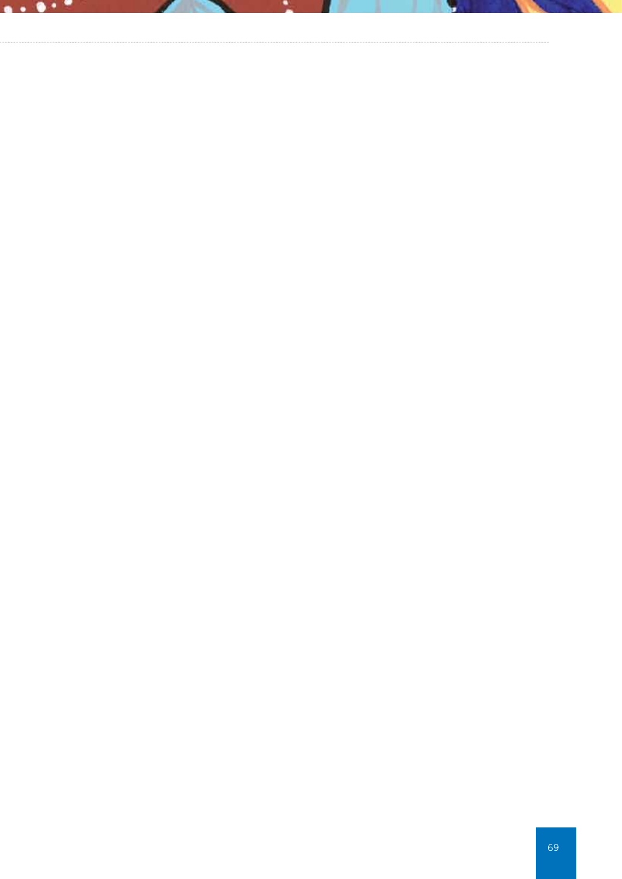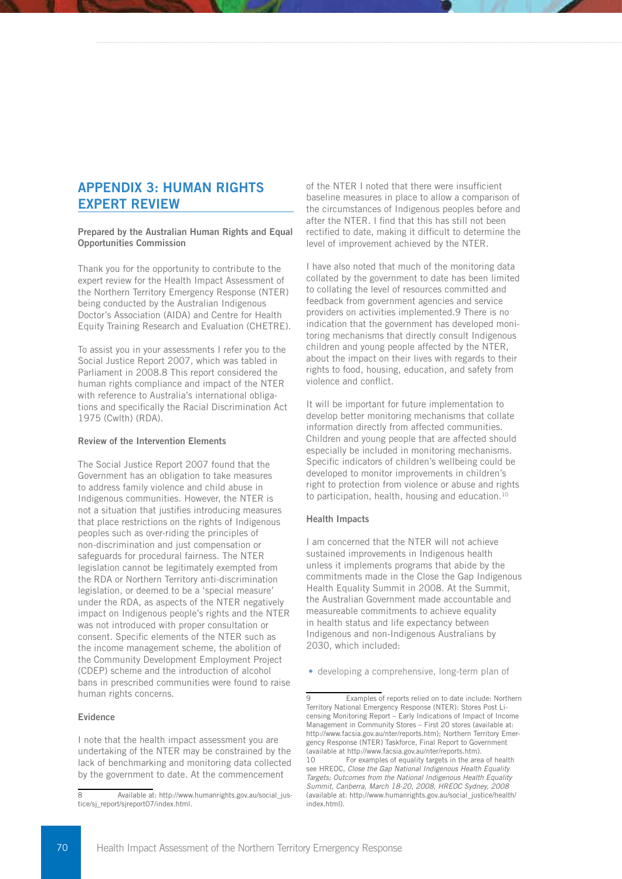## Appendix 3: Human Rights Expert Review

## **Prepared by the Australian Human Rights and Equal Opportunities Commission**

Thank you for the opportunity to contribute to the expert review for the Health Impact Assessment of the Northern Territory Emergency Response (NTER) being conducted by the Australian Indigenous Doctor's Association (AIDA) and Centre for Health Equity Training Research and Evaluation (CHETRE).

To assist you in your assessments I refer you to the Social Justice Report 2007, which was tabled in Parliament in 2008.8 This report considered the human rights compliance and impact of the NTER with reference to Australia's international obligations and specifically the Racial Discrimination Act 1975 (Cwlth) (RDA).

## **Review of the Intervention Elements**

The Social Justice Report 2007 found that the Government has an obligation to take measures to address family violence and child abuse in Indigenous communities. However, the NTER is not a situation that justifies introducing measures that place restrictions on the rights of Indigenous peoples such as over-riding the principles of non-discrimination and just compensation or safeguards for procedural fairness. The NTER legislation cannot be legitimately exempted from the RDA or Northern Territory anti-discrimination legislation, or deemed to be a 'special measure' under the RDA, as aspects of the NTER negatively impact on Indigenous people's rights and the NTER was not introduced with proper consultation or consent. Specific elements of the NTER such as the income management scheme, the abolition of the Community Development Employment Project (CDEP) scheme and the introduction of alcohol bans in prescribed communities were found to raise human rights concerns.

### **Evidence**

I note that the health impact assessment you are undertaking of the NTER may be constrained by the lack of benchmarking and monitoring data collected by the government to date. At the commencement

of the NTER I noted that there were insufficient baseline measures in place to allow a comparison of the circumstances of Indigenous peoples before and after the NTER. I find that this has still not been rectified to date, making it difficult to determine the level of improvement achieved by the NTER.

I have also noted that much of the monitoring data collated by the government to date has been limited to collating the level of resources committed and feedback from government agencies and service providers on activities implemented.9 There is no indication that the government has developed monitoring mechanisms that directly consult Indigenous children and young people affected by the NTER, about the impact on their lives with regards to their rights to food, housing, education, and safety from violence and conflict.

It will be important for future implementation to develop better monitoring mechanisms that collate information directly from affected communities. Children and young people that are affected should especially be included in monitoring mechanisms. Specific indicators of children's wellbeing could be developed to monitor improvements in children's right to protection from violence or abuse and rights to participation, health, housing and education.<sup>10</sup>

## **Health Impacts**

I am concerned that the NTER will not achieve sustained improvements in Indigenous health unless it implements programs that abide by the commitments made in the Close the Gap Indigenous Health Equality Summit in 2008. At the Summit, the Australian Government made accountable and measureable commitments to achieve equality in health status and life expectancy between Indigenous and non-Indigenous Australians by 2030, which included:

• developing a comprehensive, long-term plan of

<sup>8</sup> Available at: http://www.humanrights.gov.au/social\_justice/sj\_report/sjreport07/index.html.

Examples of reports relied on to date include: Northern Territory National Emergency Response (NTER): Stores Post Licensing Monitoring Report – Early Indications of Impact of Income Management in Community Stores – First 20 stores (available at: http://www.facsia.gov.au/nter/reports.htm); Northern Territory Emergency Response (NTER) Taskforce, Final Report to Government (available at http://www.facsia.gov.au/nter/reports.htm).

<sup>10</sup> For examples of equality targets in the area of health see HREOC, *Close the Gap National Indigenous Health Equality Targets; Outcomes from the National Indigenous Health Equality Summit, Canberra, March 18-20, 2008, HREOC Sydney, 2008*  (available at: http://www.humanrights.gov.au/social\_justice/health/ index.html).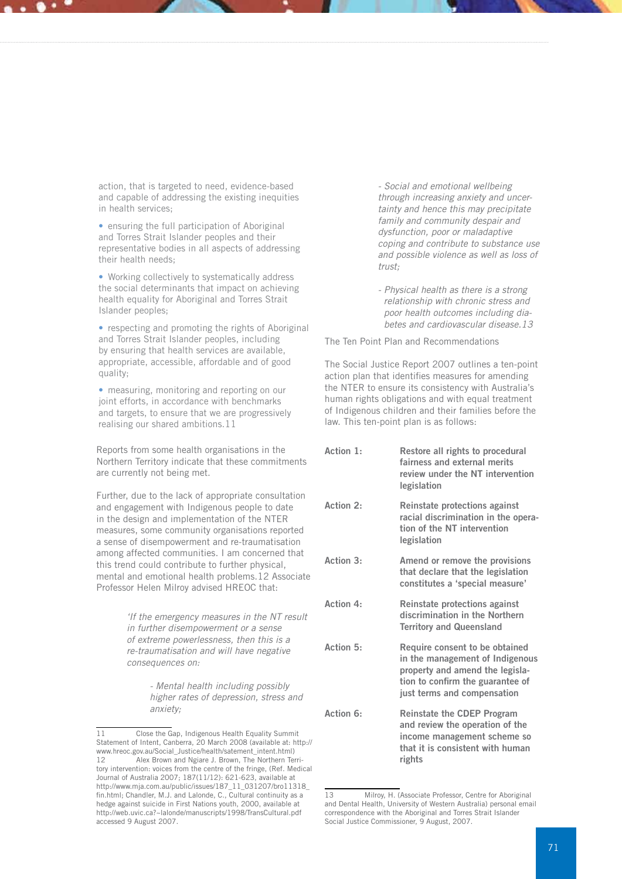action, that is targeted to need, evidence-based and capable of addressing the existing inequities in health services;

• ensuring the full participation of Aboriginal and Torres Strait Islander peoples and their representative bodies in all aspects of addressing their health needs;

• Working collectively to systematically address the social determinants that impact on achieving health equality for Aboriginal and Torres Strait Islander peoples;

• respecting and promoting the rights of Aboriginal and Torres Strait Islander peoples, including by ensuring that health services are available, appropriate, accessible, affordable and of good quality;

• measuring, monitoring and reporting on our joint efforts, in accordance with benchmarks and targets, to ensure that we are progressively realising our shared ambitions.11

Reports from some health organisations in the Northern Territory indicate that these commitments are currently not being met.

Further, due to the lack of appropriate consultation and engagement with Indigenous people to date in the design and implementation of the NTER measures, some community organisations reported a sense of disempowerment and re-traumatisation among affected communities. I am concerned that this trend could contribute to further physical, mental and emotional health problems.12 Associate Professor Helen Milroy advised HREOC that:

> *'If the emergency measures in the NT result in further disempowerment or a sense of extreme powerlessness, then this is a re-traumatisation and will have negative consequences on:*

> > *- Mental health including possibly higher rates of depression, stress and anxiety;*

 *- Social and emotional wellbeing through increasing anxiety and uncertainty and hence this may precipitate family and community despair and dysfunction, poor or maladaptive coping and contribute to substance use and possible violence as well as loss of trust;*

 *- Physical health as there is a strong relationship with chronic stress and poor health outcomes including diabetes and cardiovascular disease.13*

The Ten Point Plan and Recommendations

The Social Justice Report 2007 outlines a ten-point action plan that identifies measures for amending the NTER to ensure its consistency with Australia's human rights obligations and with equal treatment of Indigenous children and their families before the law. This ten-point plan is as follows:

| Action 1: | Restore all rights to procedural<br>fairness and external merits<br>review under the NT intervention<br>legislation                                                     |
|-----------|-------------------------------------------------------------------------------------------------------------------------------------------------------------------------|
| Action 2: | Reinstate protections against<br>racial discrimination in the opera-<br>tion of the NT intervention<br>legislation                                                      |
| Action 3: | Amend or remove the provisions<br>that declare that the legislation<br>constitutes a 'special measure'                                                                  |
| Action 4: | Reinstate protections against<br>discrimination in the Northern<br><b>Territory and Queensland</b>                                                                      |
| Action 5: | Require consent to be obtained<br>in the management of Indigenous<br>property and amend the legisla-<br>tion to confirm the guarantee of<br>just terms and compensation |
| Action 6: | <b>Reinstate the CDEP Program</b><br>and review the operation of the<br>income management scheme so<br>that it is consistent with human<br>rights                       |

<sup>13</sup> Milroy, H. (Associate Professor, Centre for Aboriginal and Dental Health, University of Western Australia) personal email correspondence with the Aboriginal and Torres Strait Islander Social Justice Commissioner, 9 August, 2007.

<sup>11</sup> Close the Gap, Indigenous Health Equality Summit Statement of Intent, Canberra, 20 March 2008 (available at: http:// www.hreoc.gov.au/Social\_Justice/health/satement\_intent.html) 12 Alex Brown and Ngiare J. Brown, The Northern Territory intervention: voices from the centre of the fringe, (Ref. Medical Journal of Australia 2007; 187(11/12): 621-623, available at http://www.mja.com.au/public/issues/187\_11\_031207/bro11318\_ fin.html; Chandler, M.J. and Lalonde, C., Cultural continuity as a hedge against suicide in First Nations youth, 2000, available at http://web.uvic.ca?~lalonde/manuscripts/1998/TransCultural.pdf accessed 9 August 2007.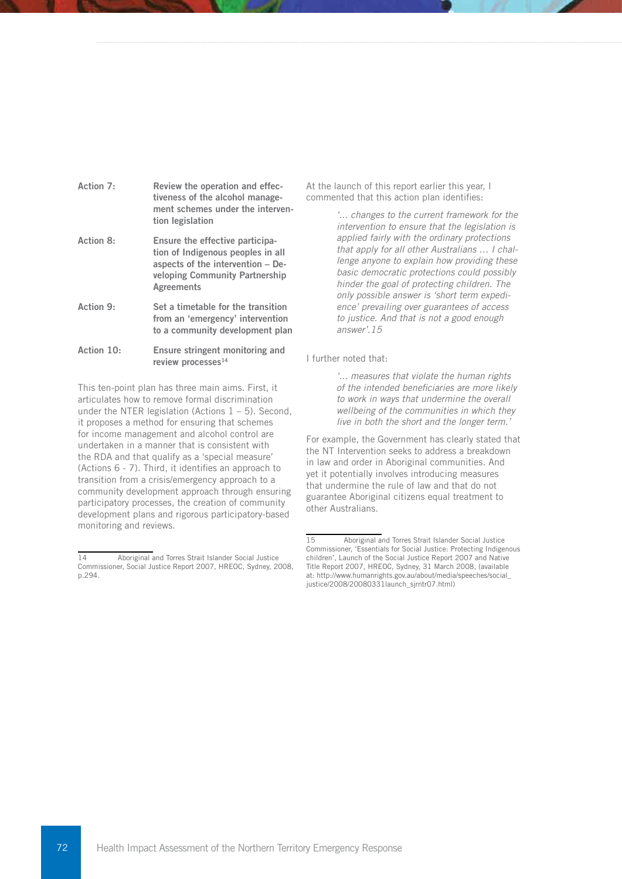| Action 7: | Review the operation and effec-  |
|-----------|----------------------------------|
|           | tiveness of the alcohol manage-  |
|           | ment schemes under the interven- |
|           | tion legislation                 |

- **Action 8: Ensure the effective participation of Indigenous peoples in all aspects of the intervention – Developing Community Partnership Agreements**
- **Action 9: Set a timetable for the transition from an 'emergency' intervention to a community development plan**
- **Action 10: Ensure stringent monitoring and review processes14**

This ten-point plan has three main aims. First, it articulates how to remove formal discrimination under the NTER legislation (Actions  $1 - 5$ ). Second, it proposes a method for ensuring that schemes for income management and alcohol control are undertaken in a manner that is consistent with the RDA and that qualify as a 'special measure' (Actions 6 ‑ 7). Third, it identifies an approach to transition from a crisis/emergency approach to a community development approach through ensuring participatory processes, the creation of community development plans and rigorous participatory-based monitoring and reviews.

At the launch of this report earlier this year, I commented that this action plan identifies:

> *'... changes to the current framework for the intervention to ensure that the legislation is applied fairly with the ordinary protections that apply for all other Australians … I challenge anyone to explain how providing these basic democratic protections could possibly hinder the goal of protecting children. The only possible answer is 'short term expedience' prevailing over guarantees of access to justice. And that is not a good enough answer'.15*

## I further noted that:

*'... measures that violate the human rights*  of the intended beneficiaries are more likely *to work in ways that undermine the overall wellbeing of the communities in which they live in both the short and the longer term.'*

For example, the Government has clearly stated that the NT Intervention seeks to address a breakdown in law and order in Aboriginal communities. And yet it potentially involves introducing measures that undermine the rule of law and that do not guarantee Aboriginal citizens equal treatment to other Australians.

<sup>14</sup> Aboriginal and Torres Strait Islander Social Justice Commissioner, Social Justice Report 2007, HREOC, Sydney, 2008, p.294.

<sup>15</sup> Aboriginal and Torres Strait Islander Social Justice Commissioner, 'Essentials for Social Justice: Protecting Indigenous children', Launch of the Social Justice Report 2007 and Native Title Report 2007, HREOC, Sydney, 31 March 2008, (available at: http://www.humanrights.gov.au/about/media/speeches/social\_ justice/2008/20080331launch\_sjrntr07.html)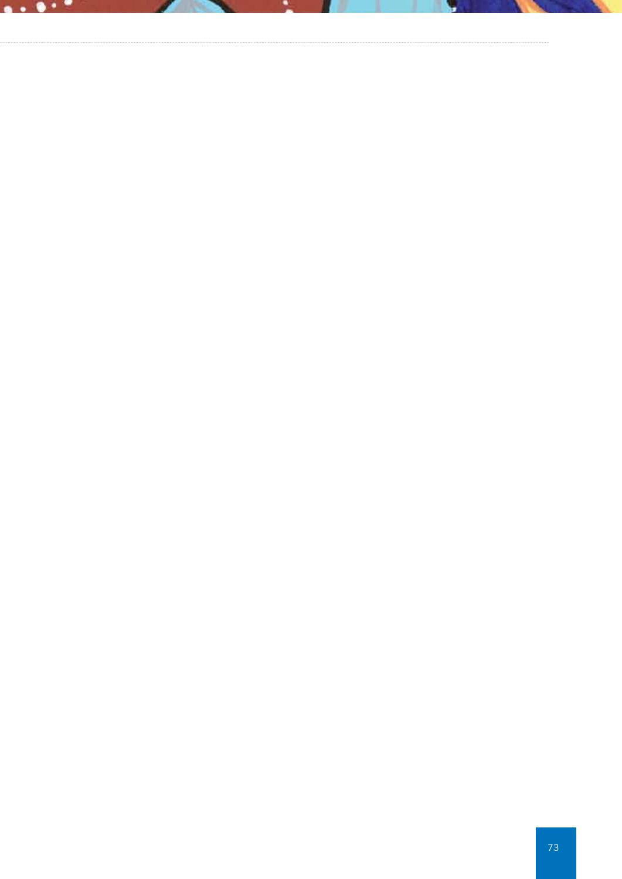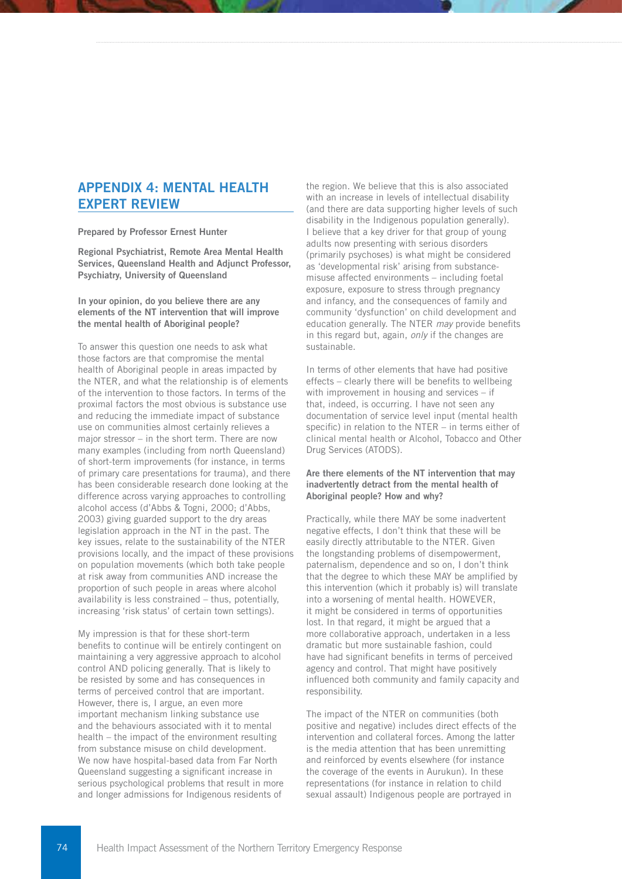## Appendix 4: Mental Health Expert Review

**Prepared by Professor Ernest Hunter**

**Regional Psychiatrist, Remote Area Mental Health Services, Queensland Health and Adjunct Professor, Psychiatry, University of Queensland**

**In your opinion, do you believe there are any elements of the NT intervention that will improve the mental health of Aboriginal people?**

To answer this question one needs to ask what those factors are that compromise the mental health of Aboriginal people in areas impacted by the NTER, and what the relationship is of elements of the intervention to those factors. In terms of the proximal factors the most obvious is substance use and reducing the immediate impact of substance use on communities almost certainly relieves a major stressor – in the short term. There are now many examples (including from north Queensland) of short-term improvements (for instance, in terms of primary care presentations for trauma), and there has been considerable research done looking at the difference across varying approaches to controlling alcohol access (d'Abbs & Togni, 2000; d'Abbs, 2003) giving guarded support to the dry areas legislation approach in the NT in the past. The key issues, relate to the sustainability of the NTER provisions locally, and the impact of these provisions on population movements (which both take people at risk away from communities AND increase the proportion of such people in areas where alcohol availability is less constrained – thus, potentially, increasing 'risk status' of certain town settings).

My impression is that for these short-term benefits to continue will be entirely contingent on maintaining a very aggressive approach to alcohol control AND policing generally. That is likely to be resisted by some and has consequences in terms of perceived control that are important. However, there is, I argue, an even more important mechanism linking substance use and the behaviours associated with it to mental health – the impact of the environment resulting from substance misuse on child development. We now have hospital-based data from Far North Queensland suggesting a significant increase in serious psychological problems that result in more and longer admissions for Indigenous residents of

the region. We believe that this is also associated with an increase in levels of intellectual disability (and there are data supporting higher levels of such disability in the Indigenous population generally). I believe that a key driver for that group of young adults now presenting with serious disorders (primarily psychoses) is what might be considered as 'developmental risk' arising from substancemisuse affected environments – including foetal exposure, exposure to stress through pregnancy and infancy, and the consequences of family and community 'dysfunction' on child development and education generally. The NTER *may* provide benefits in this regard but, again, *only* if the changes are sustainable.

In terms of other elements that have had positive effects – clearly there will be benefits to wellbeing with improvement in housing and services – if that, indeed, is occurring. I have not seen any documentation of service level input (mental health specific) in relation to the NTER – in terms either of clinical mental health or Alcohol, Tobacco and Other Drug Services (ATODS).

## **Are there elements of the NT intervention that may inadvertently detract from the mental health of Aboriginal people? How and why?**

Practically, while there MAY be some inadvertent negative effects, I don't think that these will be easily directly attributable to the NTER. Given the longstanding problems of disempowerment, paternalism, dependence and so on, I don't think that the degree to which these MAY be amplified by this intervention (which it probably is) will translate into a worsening of mental health. HOWEVER, it might be considered in terms of opportunities lost. In that regard, it might be argued that a more collaborative approach, undertaken in a less dramatic but more sustainable fashion, could have had significant benefits in terms of perceived agency and control. That might have positively influenced both community and family capacity and responsibility.

The impact of the NTER on communities (both positive and negative) includes direct effects of the intervention and collateral forces. Among the latter is the media attention that has been unremitting and reinforced by events elsewhere (for instance the coverage of the events in Aurukun). In these representations (for instance in relation to child sexual assault) Indigenous people are portrayed in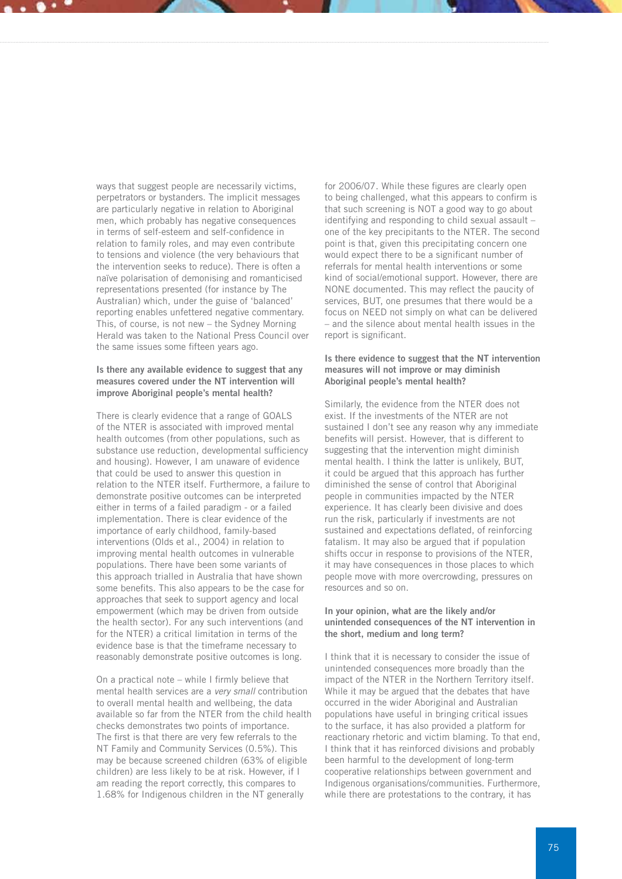ways that suggest people are necessarily victims, perpetrators or bystanders. The implicit messages are particularly negative in relation to Aboriginal men, which probably has negative consequences in terms of self-esteem and self-confidence in relation to family roles, and may even contribute to tensions and violence (the very behaviours that the intervention seeks to reduce). There is often a naïve polarisation of demonising and romanticised representations presented (for instance by The Australian) which, under the guise of 'balanced' reporting enables unfettered negative commentary. This, of course, is not new – the Sydney Morning Herald was taken to the National Press Council over the same issues some fifteen years ago.

## **Is there any available evidence to suggest that any measures covered under the NT intervention will improve Aboriginal people's mental health?**

There is clearly evidence that a range of GOALS of the NTER is associated with improved mental health outcomes (from other populations, such as substance use reduction, developmental sufficiency and housing). However, I am unaware of evidence that could be used to answer this question in relation to the NTER itself. Furthermore, a failure to demonstrate positive outcomes can be interpreted either in terms of a failed paradigm - or a failed implementation. There is clear evidence of the importance of early childhood, family-based interventions (Olds et al., 2004) in relation to improving mental health outcomes in vulnerable populations. There have been some variants of this approach trialled in Australia that have shown some benefits. This also appears to be the case for approaches that seek to support agency and local empowerment (which may be driven from outside the health sector). For any such interventions (and for the NTER) a critical limitation in terms of the evidence base is that the timeframe necessary to reasonably demonstrate positive outcomes is long.

On a practical note – while I firmly believe that mental health services are a *very small* contribution to overall mental health and wellbeing, the data available so far from the NTER from the child health checks demonstrates two points of importance. The first is that there are very few referrals to the NT Family and Community Services (0.5%). This may be because screened children (63% of eligible children) are less likely to be at risk. However, if I am reading the report correctly, this compares to 1.68% for Indigenous children in the NT generally

for 2006/07. While these figures are clearly open to being challenged, what this appears to confirm is that such screening is NOT a good way to go about identifying and responding to child sexual assault – one of the key precipitants to the NTER. The second point is that, given this precipitating concern one would expect there to be a significant number of referrals for mental health interventions or some kind of social/emotional support. However, there are NONE documented. This may reflect the paucity of services, BUT, one presumes that there would be a focus on NEED not simply on what can be delivered – and the silence about mental health issues in the report is significant.

### **Is there evidence to suggest that the NT intervention measures will not improve or may diminish Aboriginal people's mental health?**

Similarly, the evidence from the NTER does not exist. If the investments of the NTER are not sustained I don't see any reason why any immediate benefits will persist. However, that is different to suggesting that the intervention might diminish mental health. I think the latter is unlikely, BUT, it could be argued that this approach has further diminished the sense of control that Aboriginal people in communities impacted by the NTER experience. It has clearly been divisive and does run the risk, particularly if investments are not sustained and expectations deflated, of reinforcing fatalism. It may also be argued that if population shifts occur in response to provisions of the NTER, it may have consequences in those places to which people move with more overcrowding, pressures on resources and so on.

### **In your opinion, what are the likely and/or unintended consequences of the NT intervention in the short, medium and long term?**

I think that it is necessary to consider the issue of unintended consequences more broadly than the impact of the NTER in the Northern Territory itself. While it may be argued that the debates that have occurred in the wider Aboriginal and Australian populations have useful in bringing critical issues to the surface, it has also provided a platform for reactionary rhetoric and victim blaming. To that end, I think that it has reinforced divisions and probably been harmful to the development of long-term cooperative relationships between government and Indigenous organisations/communities. Furthermore, while there are protestations to the contrary, it has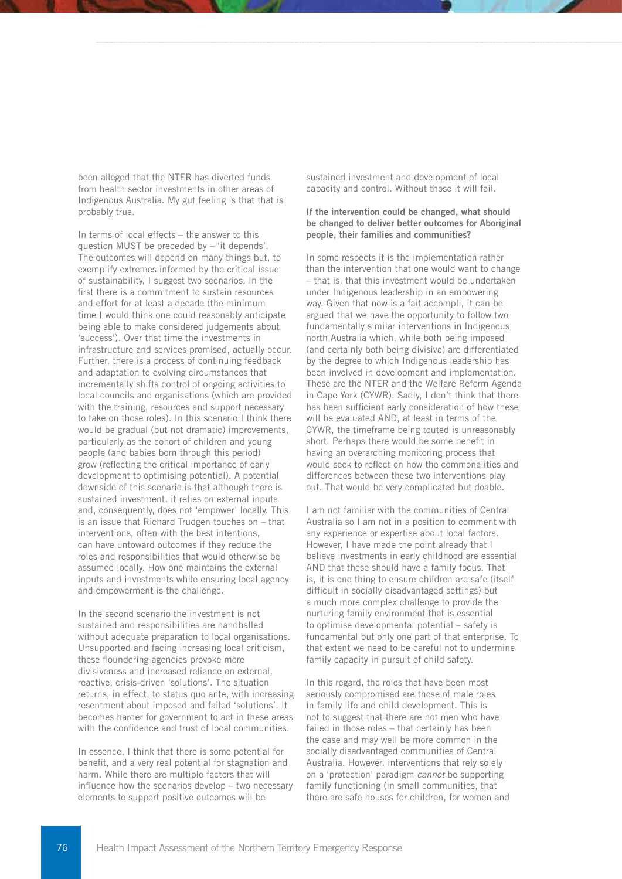been alleged that the NTER has diverted funds from health sector investments in other areas of Indigenous Australia. My gut feeling is that that is probably true.

In terms of local effects – the answer to this question MUST be preceded by – 'it depends'. The outcomes will depend on many things but, to exemplify extremes informed by the critical issue of sustainability, I suggest two scenarios. In the first there is a commitment to sustain resources and effort for at least a decade (the minimum time I would think one could reasonably anticipate being able to make considered judgements about 'success'). Over that time the investments in infrastructure and services promised, actually occur. Further, there is a process of continuing feedback and adaptation to evolving circumstances that incrementally shifts control of ongoing activities to local councils and organisations (which are provided with the training, resources and support necessary to take on those roles). In this scenario I think there would be gradual (but not dramatic) improvements, particularly as the cohort of children and young people (and babies born through this period) grow (reflecting the critical importance of early development to optimising potential). A potential downside of this scenario is that although there is sustained investment, it relies on external inputs and, consequently, does not 'empower' locally. This is an issue that Richard Trudgen touches on – that interventions, often with the best intentions, can have untoward outcomes if they reduce the roles and responsibilities that would otherwise be assumed locally. How one maintains the external inputs and investments while ensuring local agency and empowerment is the challenge.

In the second scenario the investment is not sustained and responsibilities are handballed without adequate preparation to local organisations. Unsupported and facing increasing local criticism, these floundering agencies provoke more divisiveness and increased reliance on external, reactive, crisis-driven 'solutions'. The situation returns, in effect, to status quo ante, with increasing resentment about imposed and failed 'solutions'. It becomes harder for government to act in these areas with the confidence and trust of local communities.

In essence, I think that there is some potential for benefit, and a very real potential for stagnation and harm. While there are multiple factors that will influence how the scenarios develop – two necessary elements to support positive outcomes will be

sustained investment and development of local capacity and control. Without those it will fail.

## **If the intervention could be changed, what should be changed to deliver better outcomes for Aboriginal people, their families and communities?**

In some respects it is the implementation rather than the intervention that one would want to change – that is, that this investment would be undertaken under Indigenous leadership in an empowering way. Given that now is a fait accompli, it can be argued that we have the opportunity to follow two fundamentally similar interventions in Indigenous north Australia which, while both being imposed (and certainly both being divisive) are differentiated by the degree to which Indigenous leadership has been involved in development and implementation. These are the NTER and the Welfare Reform Agenda in Cape York (CYWR). Sadly, I don't think that there has been sufficient early consideration of how these will be evaluated AND, at least in terms of the CYWR, the timeframe being touted is unreasonably short. Perhaps there would be some benefit in having an overarching monitoring process that would seek to reflect on how the commonalities and differences between these two interventions play out. That would be very complicated but doable.

I am not familiar with the communities of Central Australia so I am not in a position to comment with any experience or expertise about local factors. However, I have made the point already that I believe investments in early childhood are essential AND that these should have a family focus. That is, it is one thing to ensure children are safe (itself difficult in socially disadvantaged settings) but a much more complex challenge to provide the nurturing family environment that is essential to optimise developmental potential – safety is fundamental but only one part of that enterprise. To that extent we need to be careful not to undermine family capacity in pursuit of child safety.

In this regard, the roles that have been most seriously compromised are those of male roles in family life and child development. This is not to suggest that there are not men who have failed in those roles – that certainly has been the case and may well be more common in the socially disadvantaged communities of Central Australia. However, interventions that rely solely on a 'protection' paradigm *cannot* be supporting family functioning (in small communities, that there are safe houses for children, for women and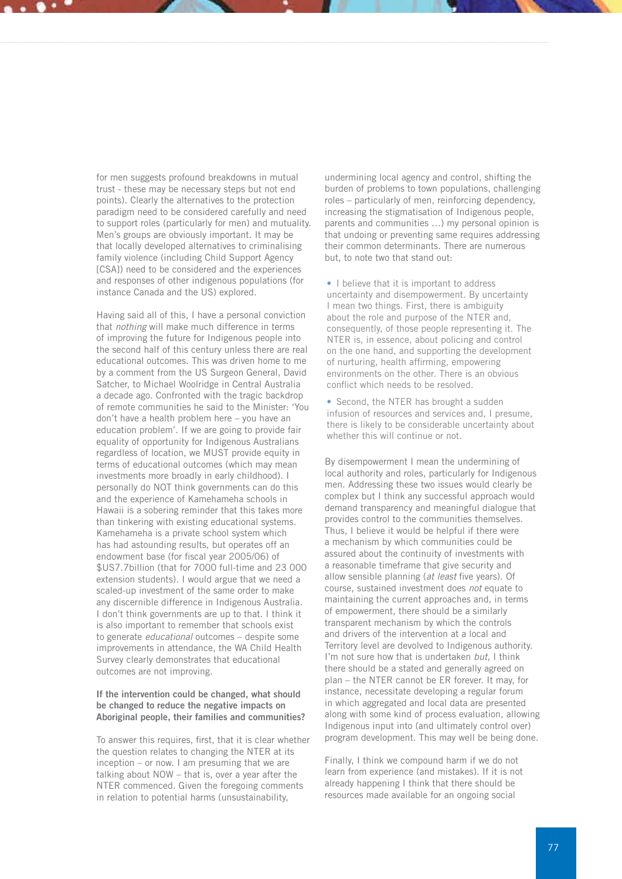for men suggests profound breakdowns in mutual trust - these may be necessary steps but not end points). Clearly the alternatives to the protection paradigm need to be considered carefully and need to support roles (particularly for men) and mutuality. Men's groups are obviously important. It may be that locally developed alternatives to criminalising family violence (including Child Support Agency [CSA]) need to be considered and the experiences and responses of other indigenous populations (for instance Canada and the US) explored.

Having said all of this, I have a personal conviction that *nothing* will make much difference in terms of improving the future for Indigenous people into the second half of this century unless there are real educational outcomes. This was driven home to me by a comment from the US Surgeon General, David Satcher, to Michael Woolridge in Central Australia a decade ago. Confronted with the tragic backdrop of remote communities he said to the Minister: 'You don't have a health problem here – you have an education problem'. If we are going to provide fair equality of opportunity for Indigenous Australians regardless of location, we MUST provide equity in terms of educational outcomes (which may mean investments more broadly in early childhood). I personally do NOT think governments can do this and the experience of Kamehameha schools in Hawaii is a sobering reminder that this takes more than tinkering with existing educational systems. Kamehameha is a private school system which has had astounding results, but operates off an endowment base (for fiscal year 2005/06) of \$US7.7billion (that for 7000 full-time and 23 000 extension students). I would argue that we need a scaled-up investment of the same order to make any discernible difference in Indigenous Australia. I don't think governments are up to that. I think it is also important to remember that schools exist to generate *educational* outcomes – despite some improvements in attendance, the WA Child Health Survey clearly demonstrates that educational outcomes are not improving.

## **If the intervention could be changed, what should be changed to reduce the negative impacts on Aboriginal people, their families and communities?**

To answer this requires, first, that it is clear whether the question relates to changing the NTER at its inception – or now. I am presuming that we are talking about NOW – that is, over a year after the NTER commenced. Given the foregoing comments in relation to potential harms (unsustainability,

undermining local agency and control, shifting the burden of problems to town populations, challenging roles – particularly of men, reinforcing dependency, increasing the stigmatisation of Indigenous people, parents and communities …) my personal opinion is that undoing or preventing same requires addressing their common determinants. There are numerous but, to note two that stand out:

• I believe that it is important to address uncertainty and disempowerment. By uncertainty I mean two things. First, there is ambiguity about the role and purpose of the NTER and, consequently, of those people representing it. The NTER is, in essence, about policing and control on the one hand, and supporting the development of nurturing, health affirming, empowering environments on the other. There is an obvious conflict which needs to be resolved.

• Second, the NTER has brought a sudden infusion of resources and services and, I presume, there is likely to be considerable uncertainty about whether this will continue or not.

By disempowerment I mean the undermining of local authority and roles, particularly for Indigenous men. Addressing these two issues would clearly be complex but I think any successful approach would demand transparency and meaningful dialogue that provides control to the communities themselves. Thus, I believe it would be helpful if there were a mechanism by which communities could be assured about the continuity of investments with a reasonable timeframe that give security and allow sensible planning (*at least* five years). Of course, sustained investment does *not* equate to maintaining the current approaches and, in terms of empowerment, there should be a similarly transparent mechanism by which the controls and drivers of the intervention at a local and Territory level are devolved to Indigenous authority. I'm not sure how that is undertaken *but*, I think there should be a stated and generally agreed on plan – the NTER cannot be ER forever. It may, for instance, necessitate developing a regular forum in which aggregated and local data are presented along with some kind of process evaluation, allowing Indigenous input into (and ultimately control over) program development. This may well be being done.

Finally, I think we compound harm if we do not learn from experience (and mistakes). If it is not already happening I think that there should be resources made available for an ongoing social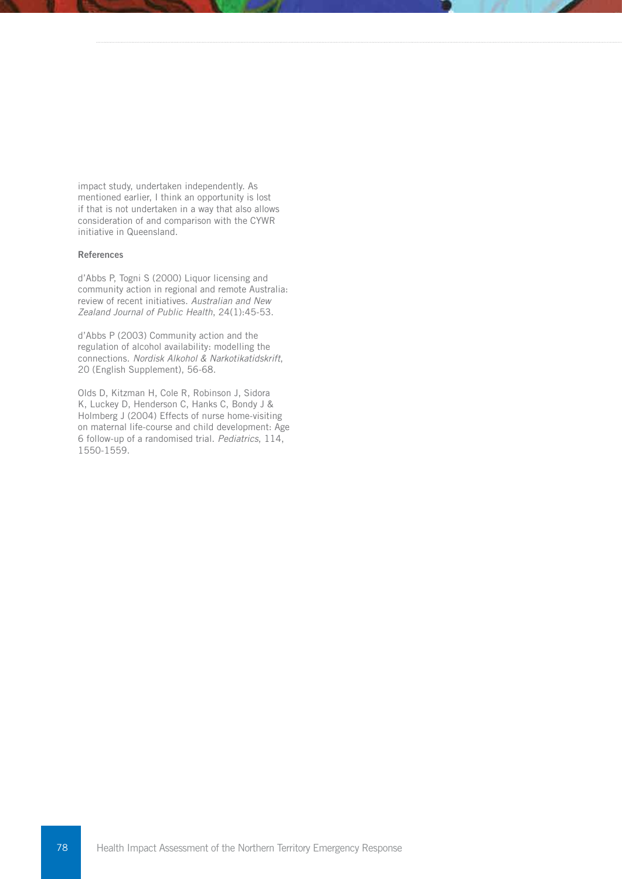impact study, undertaken independently. As mentioned earlier, I think an opportunity is lost if that is not undertaken in a way that also allows consideration of and comparison with the CYWR initiative in Queensland.

### **References**

d'Abbs P, Togni S (2000) Liquor licensing and community action in regional and remote Australia: review of recent initiatives. *Australian and New Zealand Journal of Public Health*, 24(1):45-53.

d'Abbs P (2003) Community action and the regulation of alcohol availability: modelling the connections. *Nordisk Alkohol & Narkotikatidskrift*, 20 (English Supplement), 56-68.

Olds D, Kitzman H, Cole R, Robinson J, Sidora K, Luckey D, Henderson C, Hanks C, Bondy J & Holmberg J (2004) Effects of nurse home-visiting on maternal life-course and child development: Age 6 follow-up of a randomised trial. *Pediatrics*, 114, 1550-1559.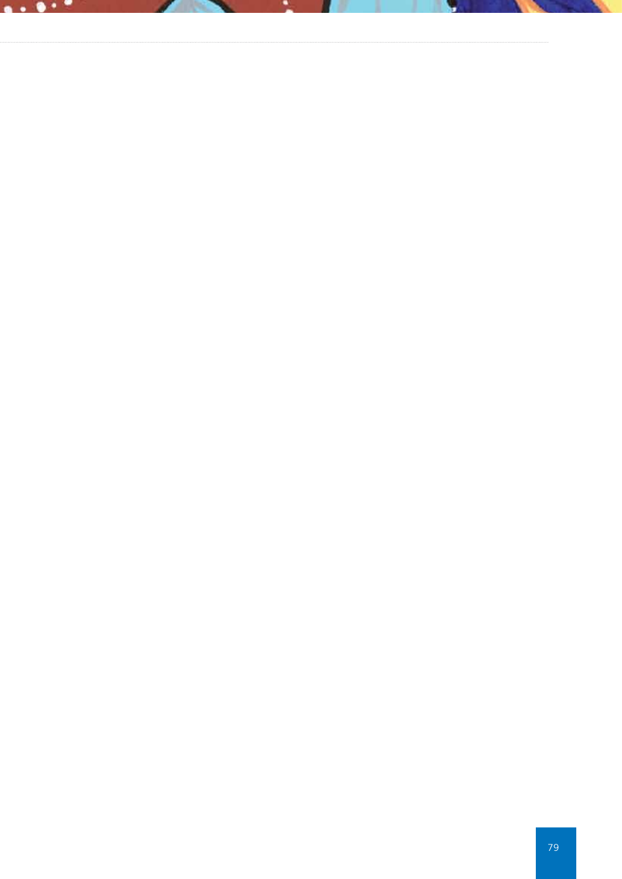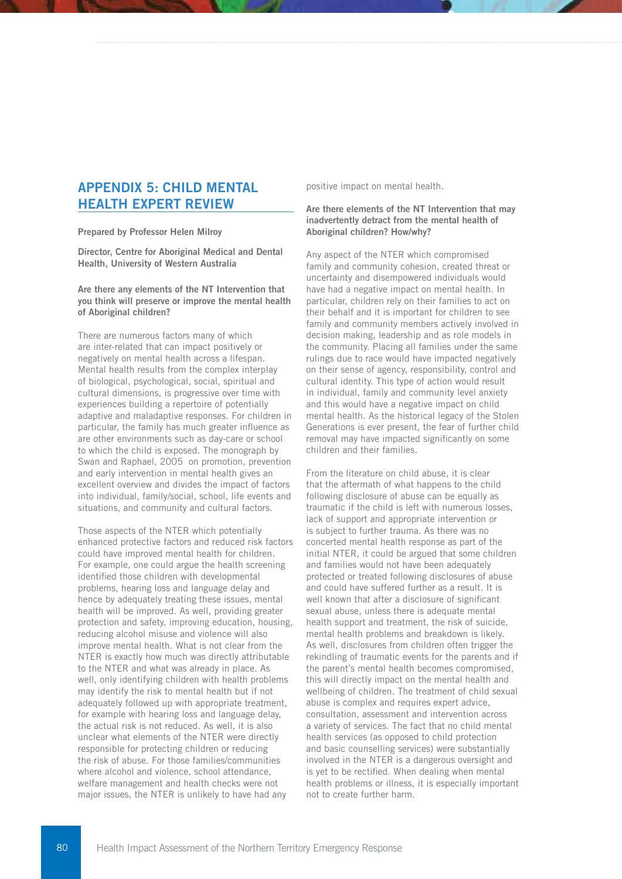## Appendix 5: Child Mental Health Expert Review

**Prepared by Professor Helen Milroy**

**Director, Centre for Aboriginal Medical and Dental Health, University of Western Australia** 

**Are there any elements of the NT Intervention that you think will preserve or improve the mental health of Aboriginal children?**

There are numerous factors many of which are inter-related that can impact positively or negatively on mental health across a lifespan. Mental health results from the complex interplay of biological, psychological, social, spiritual and cultural dimensions, is progressive over time with experiences building a repertoire of potentially adaptive and maladaptive responses. For children in particular, the family has much greater influence as are other environments such as day-care or school to which the child is exposed. The monograph by Swan and Raphael, 2005 on promotion, prevention and early intervention in mental health gives an excellent overview and divides the impact of factors into individual, family/social, school, life events and situations, and community and cultural factors.

Those aspects of the NTER which potentially enhanced protective factors and reduced risk factors could have improved mental health for children. For example, one could argue the health screening identified those children with developmental problems, hearing loss and language delay and hence by adequately treating these issues, mental health will be improved. As well, providing greater protection and safety, improving education, housing, reducing alcohol misuse and violence will also improve mental health. What is not clear from the NTER is exactly how much was directly attributable to the NTER and what was already in place. As well, only identifying children with health problems may identify the risk to mental health but if not adequately followed up with appropriate treatment, for example with hearing loss and language delay, the actual risk is not reduced. As well, it is also unclear what elements of the NTER were directly responsible for protecting children or reducing the risk of abuse. For those families/communities where alcohol and violence, school attendance, welfare management and health checks were not major issues, the NTER is unlikely to have had any

positive impact on mental health.

## **Are there elements of the NT Intervention that may inadvertently detract from the mental health of Aboriginal children? How/why?**

Any aspect of the NTER which compromised family and community cohesion, created threat or uncertainty and disempowered individuals would have had a negative impact on mental health. In particular, children rely on their families to act on their behalf and it is important for children to see family and community members actively involved in decision making, leadership and as role models in the community. Placing all families under the same rulings due to race would have impacted negatively on their sense of agency, responsibility, control and cultural identity. This type of action would result in individual, family and community level anxiety and this would have a negative impact on child mental health. As the historical legacy of the Stolen Generations is ever present, the fear of further child removal may have impacted significantly on some children and their families.

From the literature on child abuse, it is clear that the aftermath of what happens to the child following disclosure of abuse can be equally as traumatic if the child is left with numerous losses, lack of support and appropriate intervention or is subject to further trauma. As there was no concerted mental health response as part of the initial NTER, it could be argued that some children and families would not have been adequately protected or treated following disclosures of abuse and could have suffered further as a result. It is well known that after a disclosure of significant sexual abuse, unless there is adequate mental health support and treatment, the risk of suicide, mental health problems and breakdown is likely. As well, disclosures from children often trigger the rekindling of traumatic events for the parents and if the parent's mental health becomes compromised, this will directly impact on the mental health and wellbeing of children. The treatment of child sexual abuse is complex and requires expert advice, consultation, assessment and intervention across a variety of services. The fact that no child mental health services (as opposed to child protection and basic counselling services) were substantially involved in the NTER is a dangerous oversight and is yet to be rectified. When dealing when mental health problems or illness, it is especially important not to create further harm.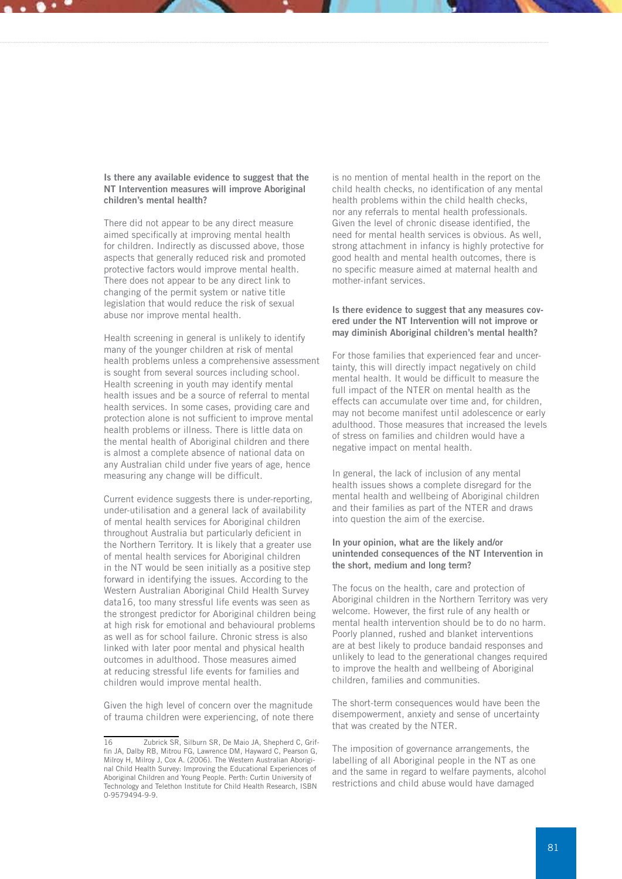## **Is there any available evidence to suggest that the NT Intervention measures will improve Aboriginal children's mental health?**

There did not appear to be any direct measure aimed specifically at improving mental health for children. Indirectly as discussed above, those aspects that generally reduced risk and promoted protective factors would improve mental health. There does not appear to be any direct link to changing of the permit system or native title legislation that would reduce the risk of sexual abuse nor improve mental health.

Health screening in general is unlikely to identify many of the younger children at risk of mental health problems unless a comprehensive assessment is sought from several sources including school. Health screening in youth may identify mental health issues and be a source of referral to mental health services. In some cases, providing care and protection alone is not sufficient to improve mental health problems or illness. There is little data on the mental health of Aboriginal children and there is almost a complete absence of national data on any Australian child under five years of age, hence measuring any change will be difficult.

Current evidence suggests there is under-reporting, under-utilisation and a general lack of availability of mental health services for Aboriginal children throughout Australia but particularly deficient in the Northern Territory. It is likely that a greater use of mental health services for Aboriginal children in the NT would be seen initially as a positive step forward in identifying the issues. According to the Western Australian Aboriginal Child Health Survey data16, too many stressful life events was seen as the strongest predictor for Aboriginal children being at high risk for emotional and behavioural problems as well as for school failure. Chronic stress is also linked with later poor mental and physical health outcomes in adulthood. Those measures aimed at reducing stressful life events for families and children would improve mental health.

Given the high level of concern over the magnitude of trauma children were experiencing, of note there is no mention of mental health in the report on the child health checks, no identification of any mental health problems within the child health checks, nor any referrals to mental health professionals. Given the level of chronic disease identified, the need for mental health services is obvious. As well, strong attachment in infancy is highly protective for good health and mental health outcomes, there is no specific measure aimed at maternal health and mother-infant services.

## **Is there evidence to suggest that any measures covered under the NT Intervention will not improve or may diminish Aboriginal children's mental health?**

For those families that experienced fear and uncertainty, this will directly impact negatively on child mental health. It would be difficult to measure the full impact of the NTER on mental health as the effects can accumulate over time and, for children, may not become manifest until adolescence or early adulthood. Those measures that increased the levels of stress on families and children would have a negative impact on mental health.

In general, the lack of inclusion of any mental health issues shows a complete disregard for the mental health and wellbeing of Aboriginal children and their families as part of the NTER and draws into question the aim of the exercise.

## **In your opinion, what are the likely and/or unintended consequences of the NT Intervention in the short, medium and long term?**

The focus on the health, care and protection of Aboriginal children in the Northern Territory was very welcome. However, the first rule of any health or mental health intervention should be to do no harm. Poorly planned, rushed and blanket interventions are at best likely to produce bandaid responses and unlikely to lead to the generational changes required to improve the health and wellbeing of Aboriginal children, families and communities.

The short-term consequences would have been the disempowerment, anxiety and sense of uncertainty that was created by the NTER.

The imposition of governance arrangements, the labelling of all Aboriginal people in the NT as one and the same in regard to welfare payments, alcohol restrictions and child abuse would have damaged

<sup>16</sup> Zubrick SR, Silburn SR, De Maio JA, Shepherd C, Griffin JA, Dalby RB, Mitrou FG, Lawrence DM, Hayward C, Pearson G, Milroy H, Milroy J, Cox A. (2006). The Western Australian Aboriginal Child Health Survey: Improving the Educational Experiences of Aboriginal Children and Young People. Perth: Curtin University of Technology and Telethon Institute for Child Health Research, ISBN 0-9579494-9-9.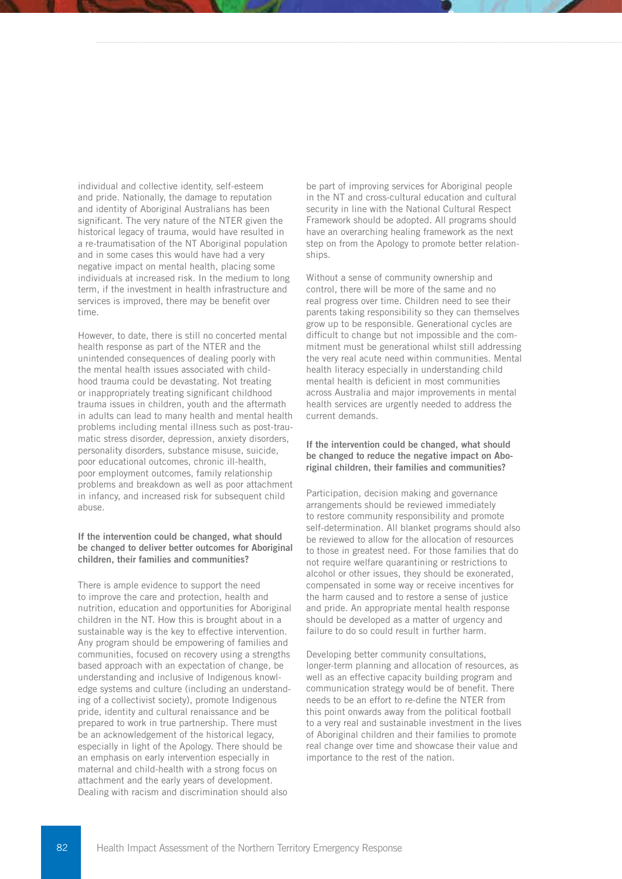individual and collective identity, self-esteem and pride. Nationally, the damage to reputation and identity of Aboriginal Australians has been significant. The very nature of the NTER given the historical legacy of trauma, would have resulted in a re-traumatisation of the NT Aboriginal population and in some cases this would have had a very negative impact on mental health, placing some individuals at increased risk. In the medium to long term, if the investment in health infrastructure and services is improved, there may be benefit over time.

However, to date, there is still no concerted mental health response as part of the NTER and the unintended consequences of dealing poorly with the mental health issues associated with childhood trauma could be devastating. Not treating or inappropriately treating significant childhood trauma issues in children, youth and the aftermath in adults can lead to many health and mental health problems including mental illness such as post-traumatic stress disorder, depression, anxiety disorders, personality disorders, substance misuse, suicide, poor educational outcomes, chronic ill-health, poor employment outcomes, family relationship problems and breakdown as well as poor attachment in infancy, and increased risk for subsequent child abuse.

## **If the intervention could be changed, what should be changed to deliver better outcomes for Aboriginal children, their families and communities?**

There is ample evidence to support the need to improve the care and protection, health and nutrition, education and opportunities for Aboriginal children in the NT. How this is brought about in a sustainable way is the key to effective intervention. Any program should be empowering of families and communities, focused on recovery using a strengths based approach with an expectation of change, be understanding and inclusive of Indigenous knowledge systems and culture (including an understanding of a collectivist society), promote Indigenous pride, identity and cultural renaissance and be prepared to work in true partnership. There must be an acknowledgement of the historical legacy, especially in light of the Apology. There should be an emphasis on early intervention especially in maternal and child-health with a strong focus on attachment and the early years of development. Dealing with racism and discrimination should also

be part of improving services for Aboriginal people in the NT and cross-cultural education and cultural security in line with the National Cultural Respect Framework should be adopted. All programs should have an overarching healing framework as the next step on from the Apology to promote better relationships.

Without a sense of community ownership and control, there will be more of the same and no real progress over time. Children need to see their parents taking responsibility so they can themselves grow up to be responsible. Generational cycles are difficult to change but not impossible and the commitment must be generational whilst still addressing the very real acute need within communities. Mental health literacy especially in understanding child mental health is deficient in most communities across Australia and major improvements in mental health services are urgently needed to address the current demands.

## **If the intervention could be changed, what should be changed to reduce the negative impact on Aboriginal children, their families and communities?**

Participation, decision making and governance arrangements should be reviewed immediately to restore community responsibility and promote self-determination. All blanket programs should also be reviewed to allow for the allocation of resources to those in greatest need. For those families that do not require welfare quarantining or restrictions to alcohol or other issues, they should be exonerated, compensated in some way or receive incentives for the harm caused and to restore a sense of justice and pride. An appropriate mental health response should be developed as a matter of urgency and failure to do so could result in further harm.

Developing better community consultations, longer-term planning and allocation of resources, as well as an effective capacity building program and communication strategy would be of benefit. There needs to be an effort to re-define the NTER from this point onwards away from the political football to a very real and sustainable investment in the lives of Aboriginal children and their families to promote real change over time and showcase their value and importance to the rest of the nation.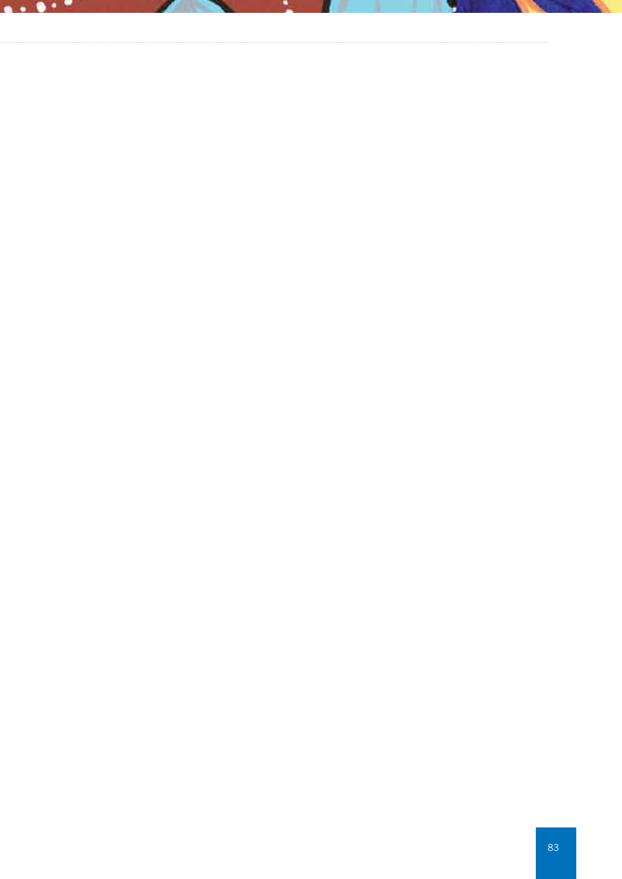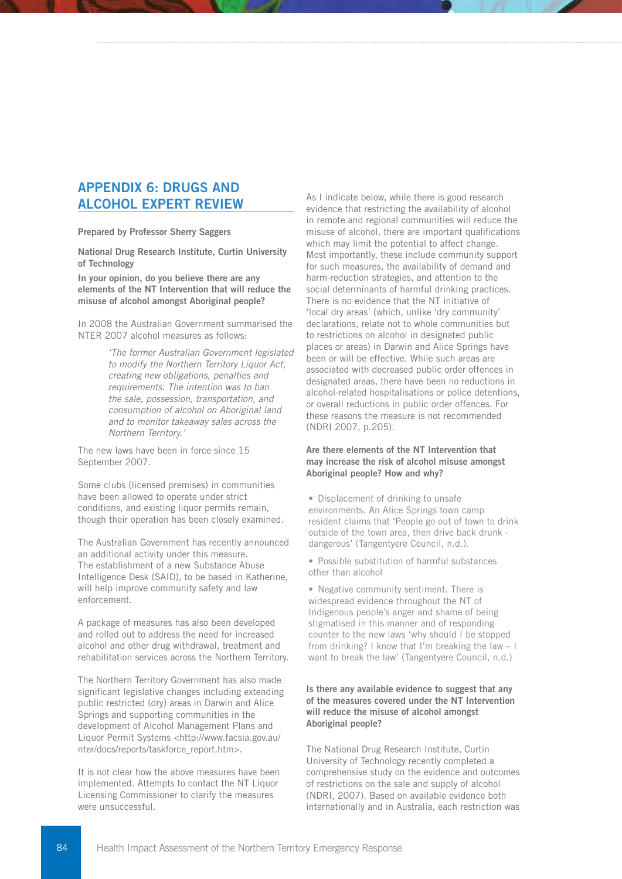## Appendix 6: Drugs and Alcohol Expert Review

**Prepared by Professor Sherry Saggers**

**National Drug Research Institute, Curtin University of Technology** 

**In your opinion, do you believe there are any elements of the NT Intervention that will reduce the misuse of alcohol amongst Aboriginal people?**

In 2008 the Australian Government summarised the NTER 2007 alcohol measures as follows:

> *'The former Australian Government legislated to modify the Northern Territory Liquor Act, creating new obligations, penalties and requirements. The intention was to ban the sale, possession, transportation, and consumption of alcohol on Aboriginal land and to monitor takeaway sales across the Northern Territory.'*

The new laws have been in force since 15 September 2007.

Some clubs (licensed premises) in communities have been allowed to operate under strict conditions, and existing liquor permits remain, though their operation has been closely examined.

The Australian Government has recently announced an additional activity under this measure. The establishment of a new Substance Abuse Intelligence Desk (SAID), to be based in Katherine, will help improve community safety and law enforcement.

A package of measures has also been developed and rolled out to address the need for increased alcohol and other drug withdrawal, treatment and rehabilitation services across the Northern Territory.

The Northern Territory Government has also made significant legislative changes including extending public restricted (dry) areas in Darwin and Alice Springs and supporting communities in the development of Alcohol Management Plans and Liquor Permit Systems <http://www.facsia.gov.au/ nter/docs/reports/taskforce\_report.htm>.

It is not clear how the above measures have been implemented. Attempts to contact the NT Liquor Licensing Commissioner to clarify the measures were unsuccessful.

As I indicate below, while there is good research evidence that restricting the availability of alcohol in remote and regional communities will reduce the misuse of alcohol, there are important qualifications which may limit the potential to affect change. Most importantly, these include community support for such measures, the availability of demand and harm-reduction strategies, and attention to the social determinants of harmful drinking practices. There is no evidence that the NT initiative of 'local dry areas' (which, unlike 'dry community' declarations, relate not to whole communities but to restrictions on alcohol in designated public places or areas) in Darwin and Alice Springs have been or will be effective. While such areas are associated with decreased public order offences in designated areas, there have been no reductions in alcohol-related hospitalisations or police detentions, or overall reductions in public order offences. For these reasons the measure is not recommended (NDRI 2007, p.205).

## **Are there elements of the NT Intervention that may increase the risk of alcohol misuse amongst Aboriginal people? How and why?**

• Displacement of drinking to unsafe environments. An Alice Springs town camp resident claims that 'People go out of town to drink outside of the town area, then drive back drunk dangerous' (Tangentyere Council, n.d.).

• Possible substitution of harmful substances other than alcohol

• Negative community sentiment. There is widespread evidence throughout the NT of Indigenous people's anger and shame of being stigmatised in this manner and of responding counter to the new laws 'why should I be stopped from drinking? I know that I'm breaking the law – I want to break the law' (Tangentyere Council, n.d.)

## **Is there any available evidence to suggest that any of the measures covered under the NT Intervention will reduce the misuse of alcohol amongst Aboriginal people?**

The National Drug Research Institute, Curtin University of Technology recently completed a comprehensive study on the evidence and outcomes of restrictions on the sale and supply of alcohol (NDRI, 2007). Based on available evidence both internationally and in Australia, each restriction was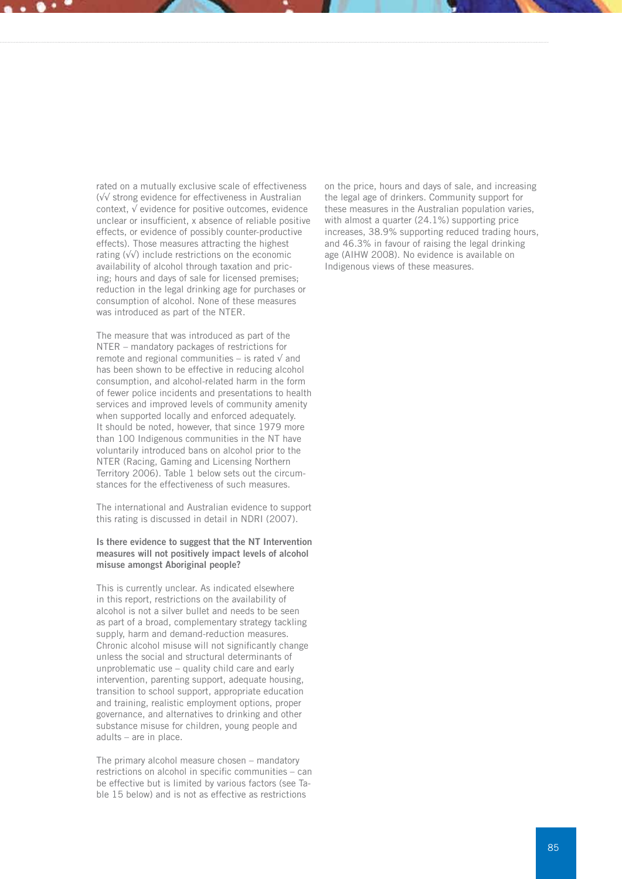rated on a mutually exclusive scale of effectiveness (√√ strong evidence for effectiveness in Australian context, √ evidence for positive outcomes, evidence unclear or insufficient, x absence of reliable positive effects, or evidence of possibly counter-productive effects). Those measures attracting the highest rating (√√) include restrictions on the economic availability of alcohol through taxation and pricing; hours and days of sale for licensed premises; reduction in the legal drinking age for purchases or consumption of alcohol. None of these measures was introduced as part of the NTER.

The measure that was introduced as part of the NTER – mandatory packages of restrictions for remote and regional communities – is rated  $\sqrt{ }$  and has been shown to be effective in reducing alcohol consumption, and alcohol-related harm in the form of fewer police incidents and presentations to health services and improved levels of community amenity when supported locally and enforced adequately. It should be noted, however, that since 1979 more than 100 Indigenous communities in the NT have voluntarily introduced bans on alcohol prior to the NTER (Racing, Gaming and Licensing Northern Territory 2006). Table 1 below sets out the circumstances for the effectiveness of such measures.

The international and Australian evidence to support this rating is discussed in detail in NDRI (2007).

## **Is there evidence to suggest that the NT Intervention measures will not positively impact levels of alcohol misuse amongst Aboriginal people?**

This is currently unclear. As indicated elsewhere in this report, restrictions on the availability of alcohol is not a silver bullet and needs to be seen as part of a broad, complementary strategy tackling supply, harm and demand-reduction measures. Chronic alcohol misuse will not significantly change unless the social and structural determinants of unproblematic use – quality child care and early intervention, parenting support, adequate housing, transition to school support, appropriate education and training, realistic employment options, proper governance, and alternatives to drinking and other substance misuse for children, young people and adults – are in place.

The primary alcohol measure chosen – mandatory restrictions on alcohol in specific communities – can be effective but is limited by various factors (see Table 15 below) and is not as effective as restrictions

on the price, hours and days of sale, and increasing the legal age of drinkers. Community support for these measures in the Australian population varies, with almost a quarter (24.1%) supporting price increases, 38.9% supporting reduced trading hours, and 46.3% in favour of raising the legal drinking age (AIHW 2008). No evidence is available on Indigenous views of these measures.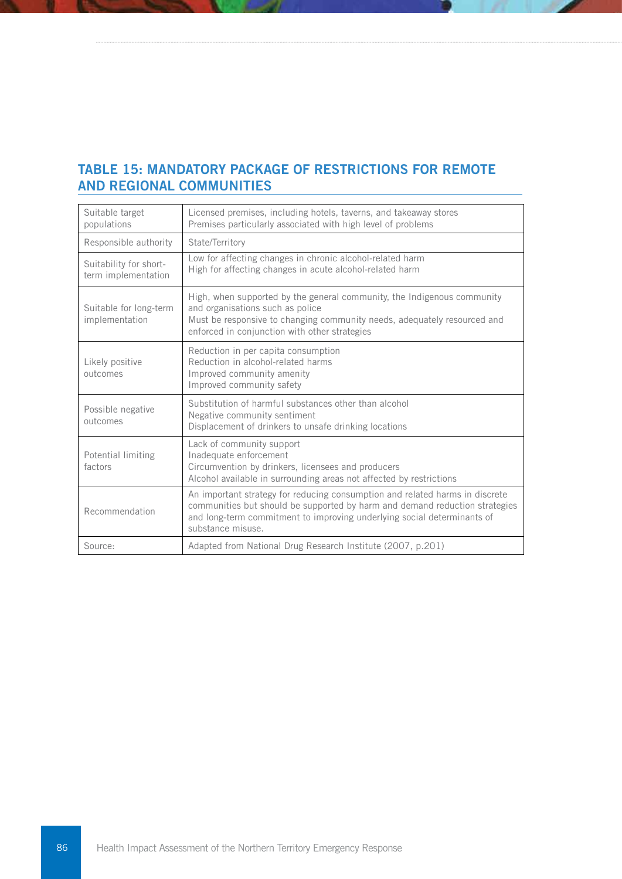# Table 15: Mandatory package of restrictions for remote and regional communities

| Suitable target<br>populations                | Licensed premises, including hotels, taverns, and takeaway stores<br>Premises particularly associated with high level of problems                                                                                                                           |
|-----------------------------------------------|-------------------------------------------------------------------------------------------------------------------------------------------------------------------------------------------------------------------------------------------------------------|
| Responsible authority                         | State/Territory                                                                                                                                                                                                                                             |
| Suitability for short-<br>term implementation | Low for affecting changes in chronic alcohol-related harm<br>High for affecting changes in acute alcohol-related harm                                                                                                                                       |
| Suitable for long-term<br>implementation      | High, when supported by the general community, the Indigenous community<br>and organisations such as police<br>Must be responsive to changing community needs, adequately resourced and<br>enforced in conjunction with other strategies                    |
| Likely positive<br>outcomes                   | Reduction in per capita consumption<br>Reduction in alcohol-related harms<br>Improved community amenity<br>Improved community safety                                                                                                                        |
| Possible negative<br>outcomes                 | Substitution of harmful substances other than alcohol<br>Negative community sentiment<br>Displacement of drinkers to unsafe drinking locations                                                                                                              |
| Potential limiting<br>factors                 | Lack of community support<br>Inadequate enforcement<br>Circumvention by drinkers, licensees and producers<br>Alcohol available in surrounding areas not affected by restrictions                                                                            |
| Recommendation                                | An important strategy for reducing consumption and related harms in discrete<br>communities but should be supported by harm and demand reduction strategies<br>and long-term commitment to improving underlying social determinants of<br>substance misuse. |
| Source:                                       | Adapted from National Drug Research Institute (2007, p.201)                                                                                                                                                                                                 |